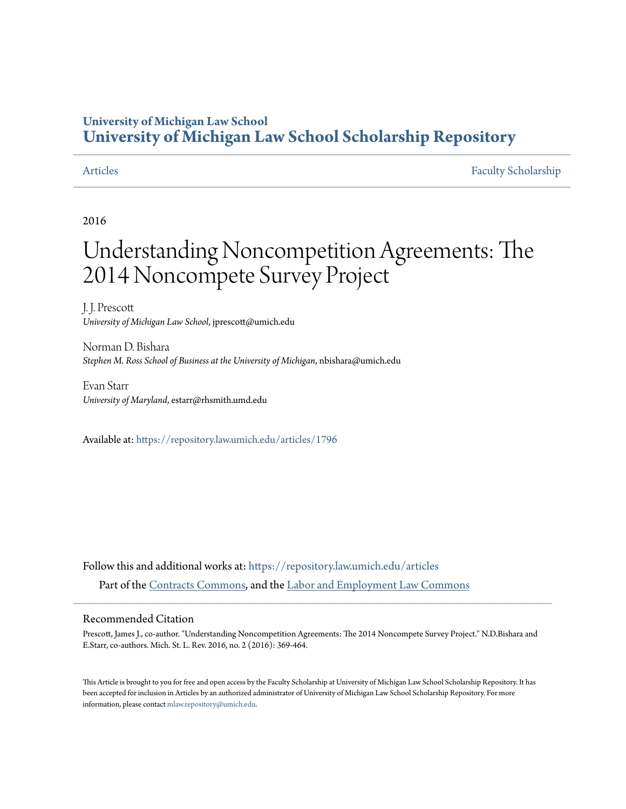# **University of Michigan Law School [University of Michigan Law School Scholarship Repository](https://repository.law.umich.edu?utm_source=repository.law.umich.edu%2Farticles%2F1796&utm_medium=PDF&utm_campaign=PDFCoverPages)**

[Articles](https://repository.law.umich.edu/articles?utm_source=repository.law.umich.edu%2Farticles%2F1796&utm_medium=PDF&utm_campaign=PDFCoverPages) [Faculty Scholarship](https://repository.law.umich.edu/faculty_scholarship?utm_source=repository.law.umich.edu%2Farticles%2F1796&utm_medium=PDF&utm_campaign=PDFCoverPages)

2016

# Understanding Noncompetition Agreements: The 2014 Noncompete Survey Project

J. J. Prescott *University of Michigan Law School*, jprescott@umich.edu

Norman D. Bishara *Stephen M. Ross School of Business at the University of Michigan*, nbishara@umich.edu

Evan Starr *University of Maryland*, estarr@rhsmith.umd.edu

Available at: <https://repository.law.umich.edu/articles/1796>

Follow this and additional works at: [https://repository.law.umich.edu/articles](https://repository.law.umich.edu/articles?utm_source=repository.law.umich.edu%2Farticles%2F1796&utm_medium=PDF&utm_campaign=PDFCoverPages) Part of the [Contracts Commons](http://network.bepress.com/hgg/discipline/591?utm_source=repository.law.umich.edu%2Farticles%2F1796&utm_medium=PDF&utm_campaign=PDFCoverPages), and the [Labor and Employment Law Commons](http://network.bepress.com/hgg/discipline/909?utm_source=repository.law.umich.edu%2Farticles%2F1796&utm_medium=PDF&utm_campaign=PDFCoverPages)

### Recommended Citation

Prescott, James J., co-author. "Understanding Noncompetition Agreements: The 2014 Noncompete Survey Project." N.D.Bishara and E.Starr, co-authors. Mich. St. L. Rev. 2016, no. 2 (2016): 369-464.

This Article is brought to you for free and open access by the Faculty Scholarship at University of Michigan Law School Scholarship Repository. It has been accepted for inclusion in Articles by an authorized administrator of University of Michigan Law School Scholarship Repository. For more information, please contact [mlaw.repository@umich.edu.](mailto:mlaw.repository@umich.edu)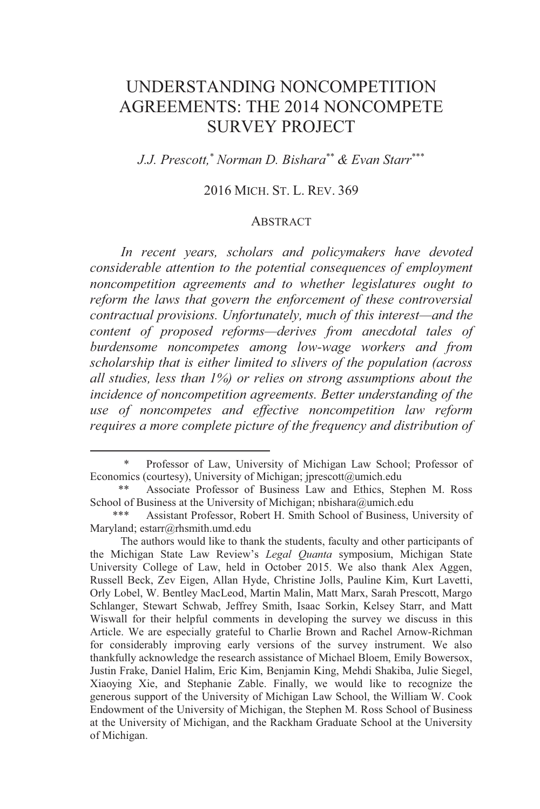## UNDERSTANDING NONCOMPETITION AGREEMENTS: THE 2014 NONCOMPETE SURVEY PROJECT

*J.J. Prescott,*\* *Norman D. Bishara*\*\* *& Evan Starr*\*\*\*

#### 2016 MICH. ST. L. REV. 369

#### ABSTRACT

*In recent years, scholars and policymakers have devoted considerable attention to the potential consequences of employment noncompetition agreements and to whether legislatures ought to reform the laws that govern the enforcement of these controversial contractual provisions. Unfortunately, much of this interest—and the content of proposed reforms—derives from anecdotal tales of burdensome noncompetes among low-wage workers and from scholarship that is either limited to slivers of the population (across all studies, less than 1%) or relies on strong assumptions about the incidence of noncompetition agreements. Better understanding of the use of noncompetes and effective noncompetition law reform requires a more complete picture of the frequency and distribution of* 

 <sup>\*</sup> Professor of Law, University of Michigan Law School; Professor of Economics (courtesy), University of Michigan; jprescott@umich.edu<br>\*\* Associate Professor of Business Law and Ethics Ste

Associate Professor of Business Law and Ethics, Stephen M. Ross School of Business at the University of Michigan; nbishara@umich.edu

<sup>\*\*\*</sup> Assistant Professor, Robert H. Smith School of Business, University of Maryland; estarr@rhsmith.umd.edu

The authors would like to thank the students, faculty and other participants of the Michigan State Law Review's *Legal Quanta* symposium, Michigan State University College of Law, held in October 2015. We also thank Alex Aggen, Russell Beck, Zev Eigen, Allan Hyde, Christine Jolls, Pauline Kim, Kurt Lavetti, Orly Lobel, W. Bentley MacLeod, Martin Malin, Matt Marx, Sarah Prescott, Margo Schlanger, Stewart Schwab, Jeffrey Smith, Isaac Sorkin, Kelsey Starr, and Matt Wiswall for their helpful comments in developing the survey we discuss in this Article. We are especially grateful to Charlie Brown and Rachel Arnow-Richman for considerably improving early versions of the survey instrument. We also thankfully acknowledge the research assistance of Michael Bloem, Emily Bowersox, Justin Frake, Daniel Halim, Eric Kim, Benjamin King, Mehdi Shakiba, Julie Siegel, Xiaoying Xie, and Stephanie Zable. Finally, we would like to recognize the generous support of the University of Michigan Law School, the William W. Cook Endowment of the University of Michigan, the Stephen M. Ross School of Business at the University of Michigan, and the Rackham Graduate School at the University of Michigan.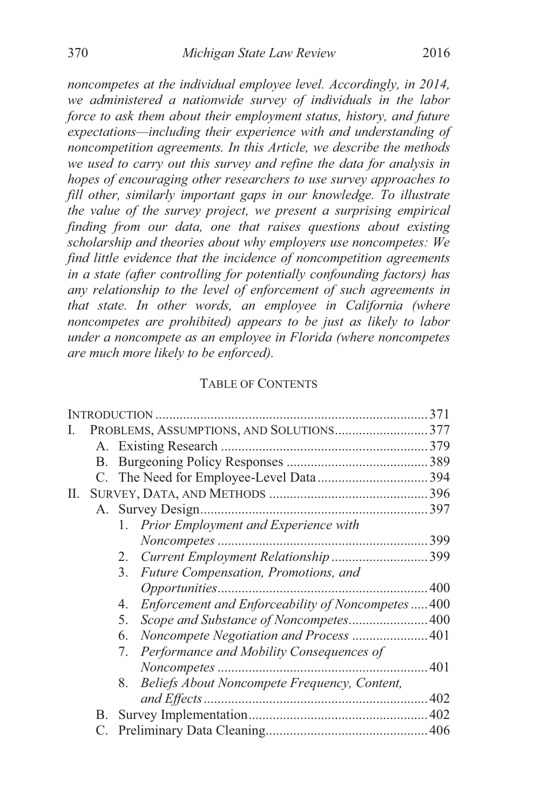*noncompetes at the individual employee level. Accordingly, in 2014, we administered a nationwide survey of individuals in the labor force to ask them about their employment status, history, and future expectations—including their experience with and understanding of noncompetition agreements. In this Article, we describe the methods we used to carry out this survey and refine the data for analysis in hopes of encouraging other researchers to use survey approaches to fill other, similarly important gaps in our knowledge. To illustrate the value of the survey project, we present a surprising empirical finding from our data, one that raises questions about existing scholarship and theories about why employers use noncompetes: We find little evidence that the incidence of noncompetition agreements in a state (after controlling for potentially confounding factors) has any relationship to the level of enforcement of such agreements in that state. In other words, an employee in California (where noncompetes are prohibited) appears to be just as likely to labor under a noncompete as an employee in Florida (where noncompetes are much more likely to be enforced).* 

#### TABLE OF CONTENTS

| 1. Prior Employment and Experience with        |                                                                                                                                                                                             |
|------------------------------------------------|---------------------------------------------------------------------------------------------------------------------------------------------------------------------------------------------|
|                                                |                                                                                                                                                                                             |
| 2.                                             |                                                                                                                                                                                             |
| Future Compensation, Promotions, and<br>3.     |                                                                                                                                                                                             |
|                                                |                                                                                                                                                                                             |
| 4.                                             |                                                                                                                                                                                             |
| 5.                                             |                                                                                                                                                                                             |
| 6.                                             |                                                                                                                                                                                             |
| Performance and Mobility Consequences of<br>7. |                                                                                                                                                                                             |
|                                                |                                                                                                                                                                                             |
| 8.                                             |                                                                                                                                                                                             |
|                                                |                                                                                                                                                                                             |
|                                                |                                                                                                                                                                                             |
|                                                |                                                                                                                                                                                             |
|                                                | PROBLEMS, ASSUMPTIONS, AND SOLUTIONS377<br>Enforcement and Enforceability of Noncompetes400<br>Scope and Substance of Noncompetes 400<br>Beliefs About Noncompete Frequency, Content,<br>B. |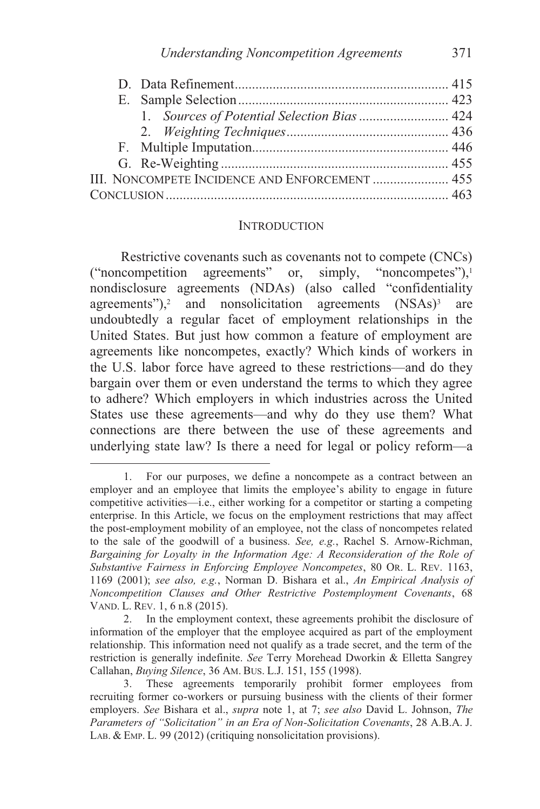|  |  | III. NONCOMPETE INCIDENCE AND ENFORCEMENT  455 |  |  |
|--|--|------------------------------------------------|--|--|
|  |  |                                                |  |  |
|  |  |                                                |  |  |

#### **INTRODUCTION**

Restrictive covenants such as covenants not to compete (CNCs) ("noncompetition agreements" or, simply, "noncompetes"),1 nondisclosure agreements (NDAs) (also called "confidentiality agreements"), $2$  and nonsolicitation agreements  $(NSAs)^3$  are undoubtedly a regular facet of employment relationships in the United States. But just how common a feature of employment are agreements like noncompetes, exactly? Which kinds of workers in the U.S. labor force have agreed to these restrictions—and do they bargain over them or even understand the terms to which they agree to adhere? Which employers in which industries across the United States use these agreements—and why do they use them? What connections are there between the use of these agreements and underlying state law? Is there a need for legal or policy reform—a

 <sup>1.</sup> For our purposes, we define a noncompete as a contract between an employer and an employee that limits the employee's ability to engage in future competitive activities—i.e., either working for a competitor or starting a competing enterprise. In this Article, we focus on the employment restrictions that may affect the post-employment mobility of an employee, not the class of noncompetes related to the sale of the goodwill of a business. *See, e.g.*, Rachel S. Arnow-Richman, *Bargaining for Loyalty in the Information Age: A Reconsideration of the Role of Substantive Fairness in Enforcing Employee Noncompetes*, 80 OR. L. REV. 1163, 1169 (2001); *see also, e.g.*, Norman D. Bishara et al., *An Empirical Analysis of Noncompetition Clauses and Other Restrictive Postemployment Covenants*, 68 VAND. L. REV. 1, 6 n.8 (2015).<br>2. In the employmen

 <sup>2.</sup> In the employment context, these agreements prohibit the disclosure of information of the employer that the employee acquired as part of the employment relationship. This information need not qualify as a trade secret, and the term of the restriction is generally indefinite. *See* Terry Morehead Dworkin & Elletta Sangrey Callahan, *Buying Silence*, 36 AM. BUS. L.J. 151, 155 (1998).

 <sup>3.</sup> These agreements temporarily prohibit former employees from recruiting former co-workers or pursuing business with the clients of their former employers. *See* Bishara et al., *supra* note 1, at 7; *see also* David L. Johnson, *The Parameters of "Solicitation" in an Era of Non-Solicitation Covenants*, 28 A.B.A. J. LAB. & EMP. L. 99 (2012) (critiquing nonsolicitation provisions).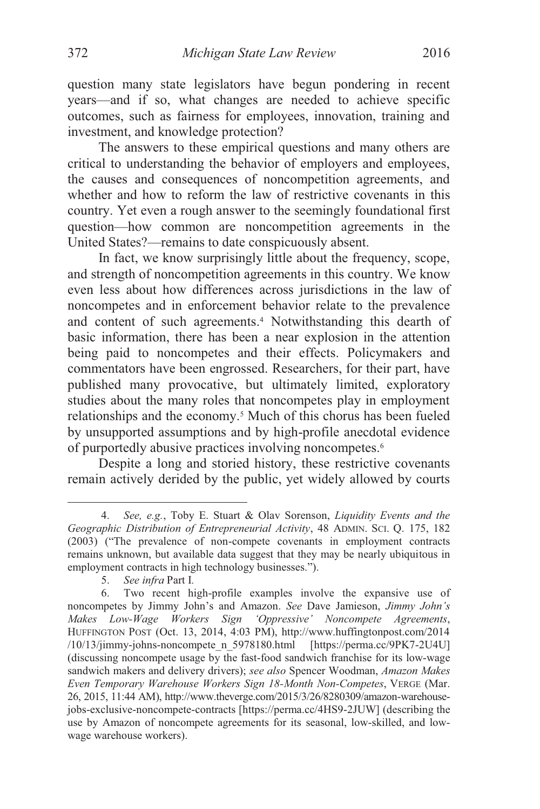question many state legislators have begun pondering in recent years—and if so, what changes are needed to achieve specific outcomes, such as fairness for employees, innovation, training and investment, and knowledge protection?

The answers to these empirical questions and many others are critical to understanding the behavior of employers and employees, the causes and consequences of noncompetition agreements, and whether and how to reform the law of restrictive covenants in this country. Yet even a rough answer to the seemingly foundational first question—how common are noncompetition agreements in the United States?—remains to date conspicuously absent.

In fact, we know surprisingly little about the frequency, scope, and strength of noncompetition agreements in this country. We know even less about how differences across jurisdictions in the law of noncompetes and in enforcement behavior relate to the prevalence and content of such agreements.4 Notwithstanding this dearth of basic information, there has been a near explosion in the attention being paid to noncompetes and their effects. Policymakers and commentators have been engrossed. Researchers, for their part, have published many provocative, but ultimately limited, exploratory studies about the many roles that noncompetes play in employment relationships and the economy.5 Much of this chorus has been fueled by unsupported assumptions and by high-profile anecdotal evidence of purportedly abusive practices involving noncompetes.6

Despite a long and storied history, these restrictive covenants remain actively derided by the public, yet widely allowed by courts

 <sup>4.</sup> *See, e.g.*, Toby E. Stuart & Olav Sorenson, *Liquidity Events and the Geographic Distribution of Entrepreneurial Activity*, 48 ADMIN. SCI. Q. 175, 182 (2003) ("The prevalence of non-compete covenants in employment contracts remains unknown, but available data suggest that they may be nearly ubiquitous in employment contracts in high technology businesses.").

<sup>5.</sup> *See infra* Part I*.*

 <sup>6.</sup> Two recent high-profile examples involve the expansive use of noncompetes by Jimmy John's and Amazon. *See* Dave Jamieson, *Jimmy John's Makes Low-Wage Workers Sign 'Oppressive' Noncompete Agreements*, HUFFINGTON POST (Oct. 13, 2014, 4:03 PM), http://www.huffingtonpost.com/2014 /10/13/jimmy-johns-noncompete\_n\_5978180.html [https://perma.cc/9PK7-2U4U] (discussing noncompete usage by the fast-food sandwich franchise for its low-wage sandwich makers and delivery drivers); *see also* Spencer Woodman, *Amazon Makes Even Temporary Warehouse Workers Sign 18-Month Non-Competes*, VERGE (Mar. 26, 2015, 11:44 AM), http://www.theverge.com/2015/3/26/8280309/amazon-warehousejobs-exclusive-noncompete-contracts [https://perma.cc/4HS9-2JUW] (describing the use by Amazon of noncompete agreements for its seasonal, low-skilled, and lowwage warehouse workers).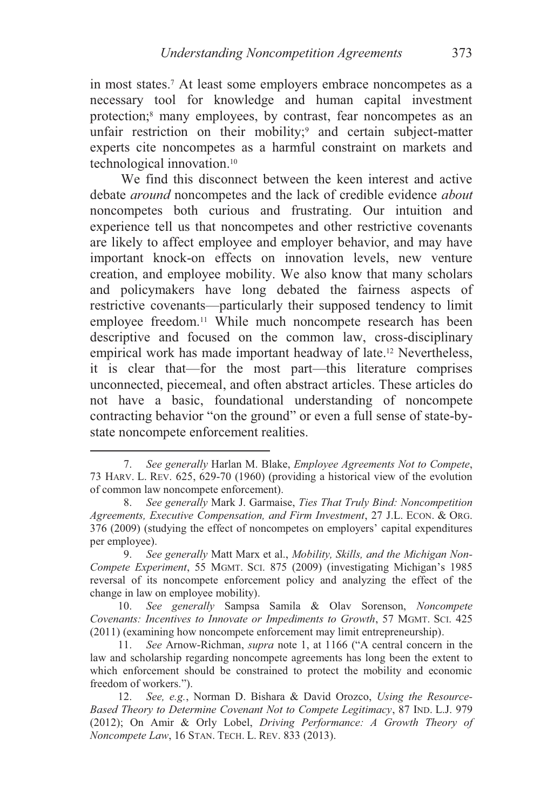in most states.7 At least some employers embrace noncompetes as a necessary tool for knowledge and human capital investment protection;<sup>8</sup> many employees, by contrast, fear noncompetes as an unfair restriction on their mobility; $9$  and certain subject-matter experts cite noncompetes as a harmful constraint on markets and technological innovation.10

We find this disconnect between the keen interest and active debate *around* noncompetes and the lack of credible evidence *about* noncompetes both curious and frustrating. Our intuition and experience tell us that noncompetes and other restrictive covenants are likely to affect employee and employer behavior, and may have important knock-on effects on innovation levels, new venture creation, and employee mobility. We also know that many scholars and policymakers have long debated the fairness aspects of restrictive covenants—particularly their supposed tendency to limit employee freedom.<sup>11</sup> While much noncompete research has been descriptive and focused on the common law, cross-disciplinary empirical work has made important headway of late.12 Nevertheless, it is clear that—for the most part—this literature comprises unconnected, piecemeal, and often abstract articles. These articles do not have a basic, foundational understanding of noncompete contracting behavior "on the ground" or even a full sense of state-bystate noncompete enforcement realities.

 <sup>7.</sup> *See generally* Harlan M. Blake, *Employee Agreements Not to Compete*, 73 HARV. L. REV. 625, 629-70 (1960) (providing a historical view of the evolution of common law noncompete enforcement).

 <sup>8.</sup> *See generally* Mark J. Garmaise, *Ties That Truly Bind: Noncompetition Agreements, Executive Compensation, and Firm Investment*, 27 J.L. ECON. & ORG. 376 (2009) (studying the effect of noncompetes on employers' capital expenditures per employee).<br>9. See

 <sup>9.</sup> *See generally* Matt Marx et al., *Mobility, Skills, and the Michigan Non-Compete Experiment*, 55 MGMT. SCI. 875 (2009) (investigating Michigan's 1985 reversal of its noncompete enforcement policy and analyzing the effect of the change in law on employee mobility).<br>10. See generally Sampsa

 <sup>10.</sup> *See generally* Sampsa Samila & Olav Sorenson, *Noncompete Covenants: Incentives to Innovate or Impediments to Growth*, 57 MGMT. SCI. 425 (2011) (examining how noncompete enforcement may limit entrepreneurship).

 <sup>11.</sup> *See* Arnow-Richman, *supra* note 1, at 1166 ("A central concern in the law and scholarship regarding noncompete agreements has long been the extent to which enforcement should be constrained to protect the mobility and economic freedom of workers.").

 <sup>12.</sup> *See, e.g.*, Norman D. Bishara & David Orozco, *Using the Resource-Based Theory to Determine Covenant Not to Compete Legitimacy*, 87 IND. L.J. 979 (2012); On Amir & Orly Lobel, *Driving Performance: A Growth Theory of Noncompete Law*, 16 STAN. TECH. L. REV. 833 (2013).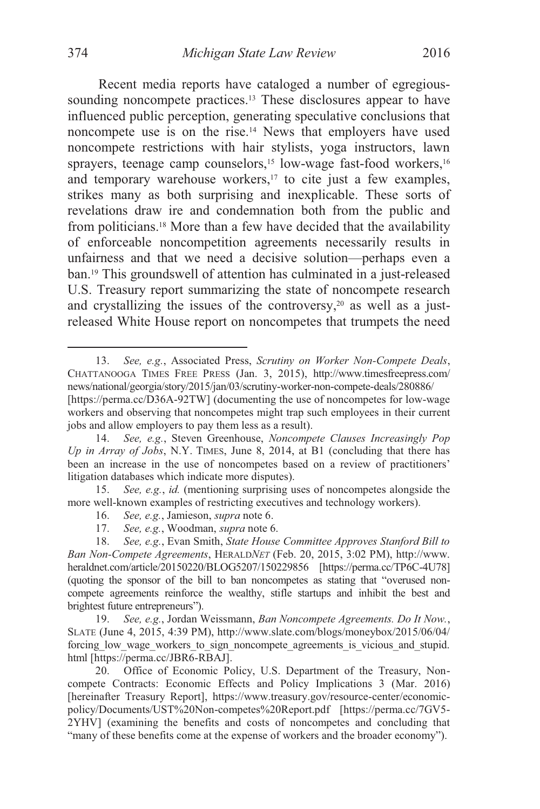Recent media reports have cataloged a number of egregioussounding noncompete practices.<sup>13</sup> These disclosures appear to have influenced public perception, generating speculative conclusions that noncompete use is on the rise.14 News that employers have used noncompete restrictions with hair stylists, yoga instructors, lawn sprayers, teenage camp counselors,<sup>15</sup> low-wage fast-food workers,<sup>16</sup> and temporary warehouse workers,<sup>17</sup> to cite just a few examples, strikes many as both surprising and inexplicable. These sorts of revelations draw ire and condemnation both from the public and from politicians.18 More than a few have decided that the availability of enforceable noncompetition agreements necessarily results in unfairness and that we need a decisive solution—perhaps even a ban.19 This groundswell of attention has culminated in a just-released U.S. Treasury report summarizing the state of noncompete research and crystallizing the issues of the controversy, $20$  as well as a just-

 13. *See, e.g.*, Associated Press, *Scrutiny on Worker Non-Compete Deals*, CHATTANOOGA TIMES FREE PRESS (Jan. 3, 2015), http://www.timesfreepress.com/ news/national/georgia/story/2015/jan/03/scrutiny-worker-non-compete-deals/280886/ [https://perma.cc/D36A-92TW] (documenting the use of noncompetes for low-wage workers and observing that noncompetes might trap such employees in their current jobs and allow employers to pay them less as a result).

released White House report on noncompetes that trumpets the need

<sup>14.</sup> *See, e.g.*, Steven Greenhouse, *Noncompete Clauses Increasingly Pop Up in Array of Jobs*, N.Y. TIMES, June 8, 2014, at B1 (concluding that there has been an increase in the use of noncompetes based on a review of practitioners' litigation databases which indicate more disputes).

<sup>15.</sup> *See, e.g.*, *id.* (mentioning surprising uses of noncompetes alongside the more well-known examples of restricting executives and technology workers).

 <sup>16.</sup> *See, e.g.*, Jamieson, *supra* note 6.

 <sup>17.</sup> *See, e.g.*, Woodman, *supra* note 6.

<sup>18.</sup> *See, e.g.*, Evan Smith, *State House Committee Approves Stanford Bill to Ban Non-Compete Agreements*, HERALD*NET* (Feb. 20, 2015, 3:02 PM), http://www. heraldnet.com/article/20150220/BLOG5207/150229856 [https://perma.cc/TP6C-4U78] (quoting the sponsor of the bill to ban noncompetes as stating that "overused noncompete agreements reinforce the wealthy, stifle startups and inhibit the best and brightest future entrepreneurs").

<sup>19.</sup> *See, e.g.*, Jordan Weissmann, *Ban Noncompete Agreements. Do It Now.*, SLATE (June 4, 2015, 4:39 PM), http://www.slate.com/blogs/moneybox/2015/06/04/ forcing\_low\_wage\_workers\_to\_sign\_noncompete\_agreements\_is\_vicious\_and\_stupid. html [https://perma.cc/JBR6-RBAJ].

<sup>20.</sup> Office of Economic Policy, U.S. Department of the Treasury, Noncompete Contracts: Economic Effects and Policy Implications 3 (Mar. 2016) [hereinafter Treasury Report], https://www.treasury.gov/resource-center/economicpolicy/Documents/UST%20Non-competes%20Report.pdf [https://perma.cc/7GV5- 2YHV] (examining the benefits and costs of noncompetes and concluding that "many of these benefits come at the expense of workers and the broader economy").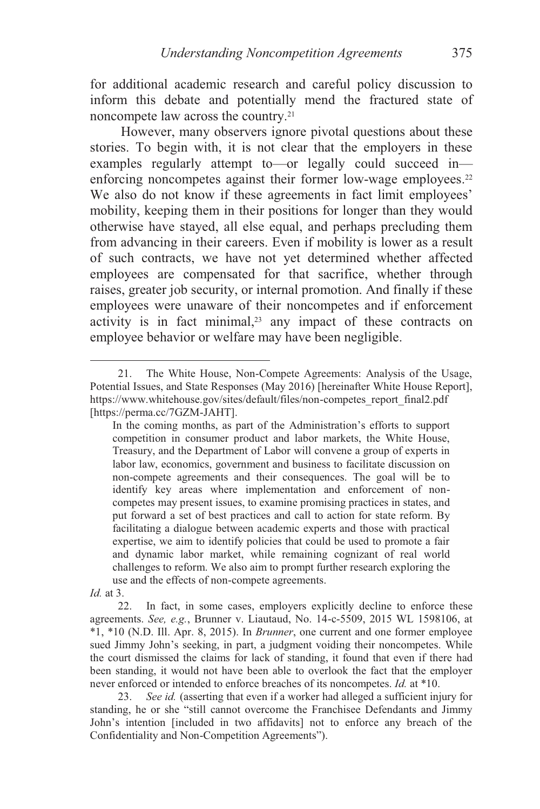for additional academic research and careful policy discussion to inform this debate and potentially mend the fractured state of noncompete law across the country.21

However, many observers ignore pivotal questions about these stories. To begin with, it is not clear that the employers in these examples regularly attempt to—or legally could succeed in enforcing noncompetes against their former low-wage employees.<sup>22</sup> We also do not know if these agreements in fact limit employees' mobility, keeping them in their positions for longer than they would otherwise have stayed, all else equal, and perhaps precluding them from advancing in their careers. Even if mobility is lower as a result of such contracts, we have not yet determined whether affected employees are compensated for that sacrifice, whether through raises, greater job security, or internal promotion. And finally if these employees were unaware of their noncompetes and if enforcement activity is in fact minimal,<sup>23</sup> any impact of these contracts on employee behavior or welfare may have been negligible.

*Id.* at 3.

22. In fact, in some cases, employers explicitly decline to enforce these agreements. *See, e.g.*, Brunner v. Liautaud, No. 14-c-5509, 2015 WL 1598106, at \*1, \*10 (N.D. Ill. Apr. 8, 2015). In *Brunner*, one current and one former employee sued Jimmy John's seeking, in part, a judgment voiding their noncompetes. While the court dismissed the claims for lack of standing, it found that even if there had been standing, it would not have been able to overlook the fact that the employer never enforced or intended to enforce breaches of its noncompetes. *Id.* at \*10.

23. *See id.* (asserting that even if a worker had alleged a sufficient injury for standing, he or she "still cannot overcome the Franchisee Defendants and Jimmy John's intention [included in two affidavits] not to enforce any breach of the Confidentiality and Non-Competition Agreements").

 <sup>21.</sup> The White House, Non-Compete Agreements: Analysis of the Usage, Potential Issues, and State Responses (May 2016) [hereinafter White House Report], https://www.whitehouse.gov/sites/default/files/non-competes\_report\_final2.pdf [https://perma.cc/7GZM-JAHT].

In the coming months, as part of the Administration's efforts to support competition in consumer product and labor markets, the White House, Treasury, and the Department of Labor will convene a group of experts in labor law, economics, government and business to facilitate discussion on non-compete agreements and their consequences. The goal will be to identify key areas where implementation and enforcement of noncompetes may present issues, to examine promising practices in states, and put forward a set of best practices and call to action for state reform. By facilitating a dialogue between academic experts and those with practical expertise, we aim to identify policies that could be used to promote a fair and dynamic labor market, while remaining cognizant of real world challenges to reform. We also aim to prompt further research exploring the use and the effects of non-compete agreements.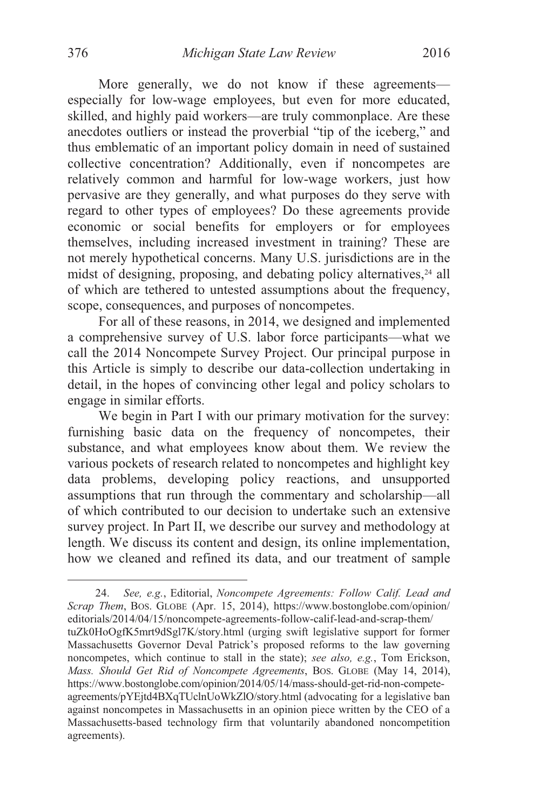More generally, we do not know if these agreements especially for low-wage employees, but even for more educated, skilled, and highly paid workers—are truly commonplace. Are these anecdotes outliers or instead the proverbial "tip of the iceberg," and thus emblematic of an important policy domain in need of sustained collective concentration? Additionally, even if noncompetes are relatively common and harmful for low-wage workers, just how pervasive are they generally, and what purposes do they serve with regard to other types of employees? Do these agreements provide economic or social benefits for employers or for employees themselves, including increased investment in training? These are not merely hypothetical concerns. Many U.S. jurisdictions are in the midst of designing, proposing, and debating policy alternatives,<sup>24</sup> all of which are tethered to untested assumptions about the frequency, scope, consequences, and purposes of noncompetes.

For all of these reasons, in 2014, we designed and implemented a comprehensive survey of U.S. labor force participants—what we call the 2014 Noncompete Survey Project. Our principal purpose in this Article is simply to describe our data-collection undertaking in detail, in the hopes of convincing other legal and policy scholars to engage in similar efforts.

We begin in Part I with our primary motivation for the survey: furnishing basic data on the frequency of noncompetes, their substance, and what employees know about them. We review the various pockets of research related to noncompetes and highlight key data problems, developing policy reactions, and unsupported assumptions that run through the commentary and scholarship—all of which contributed to our decision to undertake such an extensive survey project. In Part II, we describe our survey and methodology at length. We discuss its content and design, its online implementation, how we cleaned and refined its data, and our treatment of sample

 <sup>24.</sup> *See, e.g.*, Editorial, *Noncompete Agreements: Follow Calif. Lead and Scrap Them*, BOS. GLOBE (Apr. 15, 2014), https://www.bostonglobe.com/opinion/ editorials/2014/04/15/noncompete-agreements-follow-calif-lead-and-scrap-them/ tuZk0HoOgfK5mrt9dSgl7K/story.html (urging swift legislative support for former Massachusetts Governor Deval Patrick's proposed reforms to the law governing noncompetes, which continue to stall in the state); *see also, e.g.*, Tom Erickson, *Mass. Should Get Rid of Noncompete Agreements*, BOS. GLOBE (May 14, 2014), https://www.bostonglobe.com/opinion/2014/05/14/mass-should-get-rid-non-competeagreements/pYEjtd4BXqTUclnUoWkZlO/story.html (advocating for a legislative ban against noncompetes in Massachusetts in an opinion piece written by the CEO of a Massachusetts-based technology firm that voluntarily abandoned noncompetition agreements).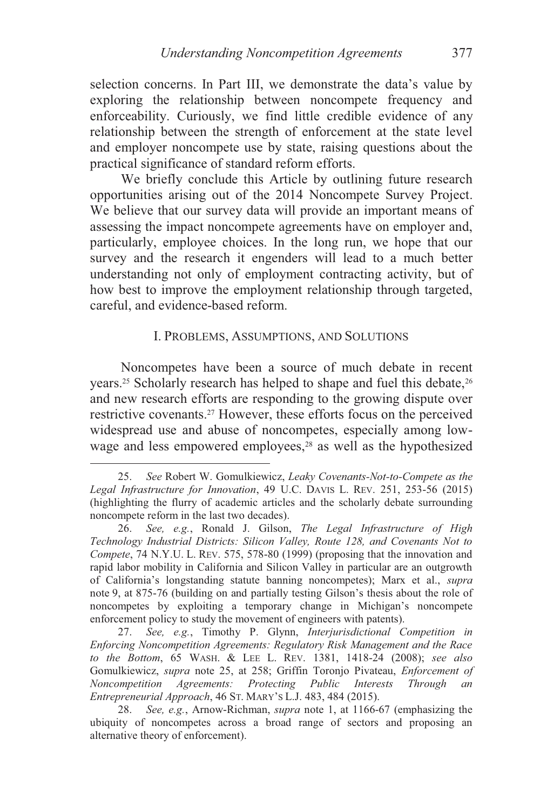selection concerns. In Part III, we demonstrate the data's value by exploring the relationship between noncompete frequency and enforceability. Curiously, we find little credible evidence of any relationship between the strength of enforcement at the state level and employer noncompete use by state, raising questions about the practical significance of standard reform efforts.

We briefly conclude this Article by outlining future research opportunities arising out of the 2014 Noncompete Survey Project. We believe that our survey data will provide an important means of assessing the impact noncompete agreements have on employer and, particularly, employee choices. In the long run, we hope that our survey and the research it engenders will lead to a much better understanding not only of employment contracting activity, but of how best to improve the employment relationship through targeted, careful, and evidence-based reform.

#### I. PROBLEMS, ASSUMPTIONS, AND SOLUTIONS

Noncompetes have been a source of much debate in recent years.<sup>25</sup> Scholarly research has helped to shape and fuel this debate,<sup>26</sup> and new research efforts are responding to the growing dispute over restrictive covenants.27 However, these efforts focus on the perceived widespread use and abuse of noncompetes, especially among lowwage and less empowered employees, $28$  as well as the hypothesized

 <sup>25.</sup> *See* Robert W. Gomulkiewicz, *Leaky Covenants-Not-to-Compete as the Legal Infrastructure for Innovation*, 49 U.C. DAVIS L. REV. 251, 253-56 (2015) (highlighting the flurry of academic articles and the scholarly debate surrounding noncompete reform in the last two decades).

 <sup>26.</sup> *See, e.g.*, Ronald J. Gilson, *The Legal Infrastructure of High Technology Industrial Districts: Silicon Valley, Route 128, and Covenants Not to Compete*, 74 N.Y.U. L. REV. 575, 578-80 (1999) (proposing that the innovation and rapid labor mobility in California and Silicon Valley in particular are an outgrowth of California's longstanding statute banning noncompetes); Marx et al., *supra* note 9, at 875-76 (building on and partially testing Gilson's thesis about the role of noncompetes by exploiting a temporary change in Michigan's noncompete enforcement policy to study the movement of engineers with patents).

 <sup>27.</sup> *See, e.g.*, Timothy P. Glynn, *Interjurisdictional Competition in Enforcing Noncompetition Agreements: Regulatory Risk Management and the Race to the Bottom*, 65 WASH. & LEE L. REV. 1381, 1418-24 (2008); *see also*  Gomulkiewicz, *supra* note 25, at 258; Griffin Toronjo Pivateau, *Enforcement of Noncompetition Agreements: Protecting Public Interests Through an Entrepreneurial Approach*, 46 ST. MARY'S L.J. 483, 484 (2015).

<sup>28.</sup> *See, e.g.*, Arnow-Richman, *supra* note 1, at 1166-67 (emphasizing the ubiquity of noncompetes across a broad range of sectors and proposing an alternative theory of enforcement).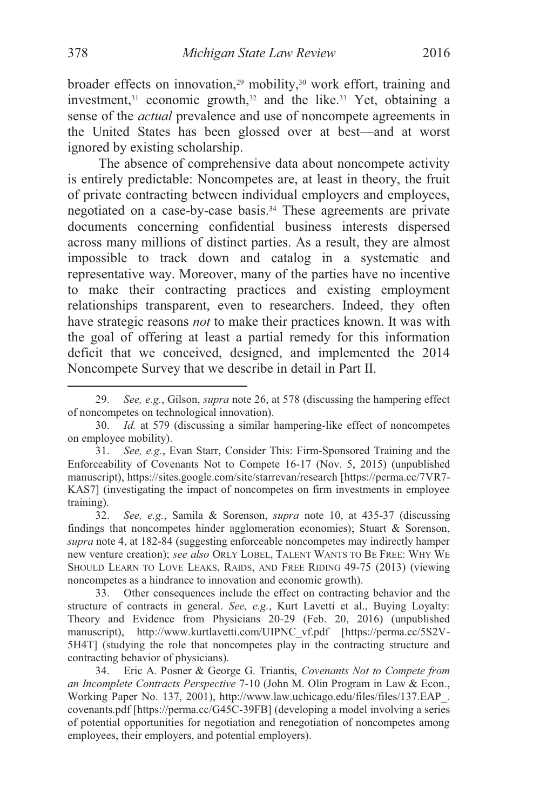broader effects on innovation,<sup>29</sup> mobility,<sup>30</sup> work effort, training and investment, $31$  economic growth, $32$  and the like. $33$  Yet, obtaining a sense of the *actual* prevalence and use of noncompete agreements in the United States has been glossed over at best—and at worst ignored by existing scholarship.

The absence of comprehensive data about noncompete activity is entirely predictable: Noncompetes are, at least in theory, the fruit of private contracting between individual employers and employees, negotiated on a case-by-case basis.34 These agreements are private documents concerning confidential business interests dispersed across many millions of distinct parties. As a result, they are almost impossible to track down and catalog in a systematic and representative way. Moreover, many of the parties have no incentive to make their contracting practices and existing employment relationships transparent, even to researchers. Indeed, they often have strategic reasons *not* to make their practices known. It was with the goal of offering at least a partial remedy for this information deficit that we conceived, designed, and implemented the 2014 Noncompete Survey that we describe in detail in Part II.

 <sup>29.</sup> *See, e.g.*, Gilson, *supra* note 26, at 578 (discussing the hampering effect of noncompetes on technological innovation).

 <sup>30.</sup> *Id.* at 579 (discussing a similar hampering-like effect of noncompetes on employee mobility).

<sup>31.</sup> *See, e.g.*, Evan Starr, Consider This: Firm-Sponsored Training and the Enforceability of Covenants Not to Compete 16-17 (Nov. 5, 2015) (unpublished manuscript), https://sites.google.com/site/starrevan/research [https://perma.cc/7VR7- KAS7] (investigating the impact of noncompetes on firm investments in employee training).

<sup>32.</sup> *See, e.g.*, Samila & Sorenson, *supra* note 10, at 435-37 (discussing findings that noncompetes hinder agglomeration economies); Stuart & Sorenson, *supra* note 4, at 182-84 (suggesting enforceable noncompetes may indirectly hamper new venture creation); *see also* ORLY LOBEL, TALENT WANTS TO BE FREE: WHY WE SHOULD LEARN TO LOVE LEAKS, RAIDS, AND FREE RIDING 49-75 (2013) (viewing noncompetes as a hindrance to innovation and economic growth).

<sup>33.</sup> Other consequences include the effect on contracting behavior and the structure of contracts in general. *See, e.g.*, Kurt Lavetti et al., Buying Loyalty: Theory and Evidence from Physicians 20-29 (Feb. 20, 2016) (unpublished manuscript), http://www.kurtlavetti.com/UIPNC\_vf.pdf [https://perma.cc/5S2V-5H4T] (studying the role that noncompetes play in the contracting structure and contracting behavior of physicians).

 <sup>34.</sup> Eric A. Posner & George G. Triantis, *Covenants Not to Compete from an Incomplete Contracts Perspective* 7-10 (John M. Olin Program in Law & Econ., Working Paper No. 137, 2001), http://www.law.uchicago.edu/files/files/137.EAP\_. covenants.pdf [https://perma.cc/G45C-39FB] (developing a model involving a series of potential opportunities for negotiation and renegotiation of noncompetes among employees, their employers, and potential employers).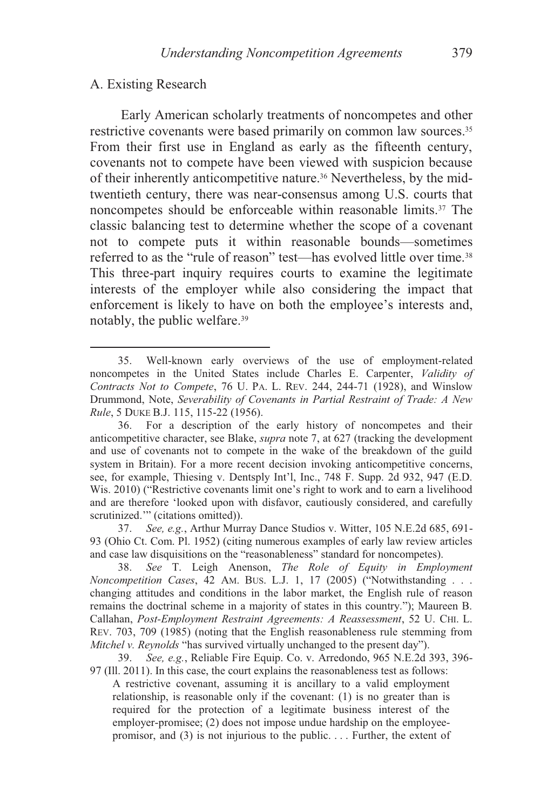#### A. Existing Research

 $\overline{a}$ 

Early American scholarly treatments of noncompetes and other restrictive covenants were based primarily on common law sources.<sup>35</sup> From their first use in England as early as the fifteenth century, covenants not to compete have been viewed with suspicion because of their inherently anticompetitive nature.36 Nevertheless, by the midtwentieth century, there was near-consensus among U.S. courts that noncompetes should be enforceable within reasonable limits.<sup>37</sup> The classic balancing test to determine whether the scope of a covenant not to compete puts it within reasonable bounds—sometimes referred to as the "rule of reason" test—has evolved little over time.<sup>38</sup> This three-part inquiry requires courts to examine the legitimate interests of the employer while also considering the impact that enforcement is likely to have on both the employee's interests and, notably, the public welfare.39

37. *See, e.g.*, Arthur Murray Dance Studios v. Witter, 105 N.E.2d 685, 691- 93 (Ohio Ct. Com. Pl. 1952) (citing numerous examples of early law review articles and case law disquisitions on the "reasonableness" standard for noncompetes).

38. *See* T. Leigh Anenson, *The Role of Equity in Employment Noncompetition Cases*, 42 AM. BUS. L.J. 1, 17 (2005) ("Notwithstanding . . . changing attitudes and conditions in the labor market, the English rule of reason remains the doctrinal scheme in a majority of states in this country."); Maureen B. Callahan, *Post-Employment Restraint Agreements: A Reassessment*, 52 U. CHI. L. REV. 703, 709 (1985) (noting that the English reasonableness rule stemming from *Mitchel v. Reynolds* "has survived virtually unchanged to the present day").

39. *See, e.g.*, Reliable Fire Equip. Co. v. Arredondo, 965 N.E.2d 393, 396- 97 (Ill. 2011). In this case, the court explains the reasonableness test as follows:

A restrictive covenant, assuming it is ancillary to a valid employment relationship, is reasonable only if the covenant: (1) is no greater than is required for the protection of a legitimate business interest of the employer-promisee; (2) does not impose undue hardship on the employeepromisor, and (3) is not injurious to the public. . . . Further, the extent of

 <sup>35.</sup> Well-known early overviews of the use of employment-related noncompetes in the United States include Charles E. Carpenter, *Validity of Contracts Not to Compete*, 76 U. PA. L. REV. 244, 244-71 (1928), and Winslow Drummond, Note, *Severability of Covenants in Partial Restraint of Trade: A New Rule*, 5 DUKE B.J. 115, 115-22 (1956).

 <sup>36.</sup> For a description of the early history of noncompetes and their anticompetitive character, see Blake, *supra* note 7, at 627 (tracking the development and use of covenants not to compete in the wake of the breakdown of the guild system in Britain). For a more recent decision invoking anticompetitive concerns, see, for example, Thiesing v. Dentsply Int'l, Inc., 748 F. Supp. 2d 932, 947 (E.D. Wis. 2010) ("Restrictive covenants limit one's right to work and to earn a livelihood and are therefore 'looked upon with disfavor, cautiously considered, and carefully scrutinized." (citations omitted)).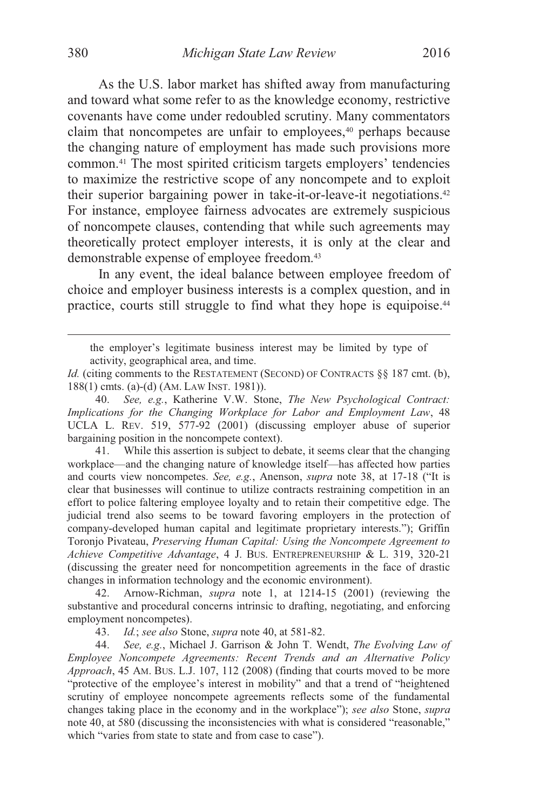As the U.S. labor market has shifted away from manufacturing and toward what some refer to as the knowledge economy, restrictive covenants have come under redoubled scrutiny. Many commentators claim that noncompetes are unfair to employees,<sup>40</sup> perhaps because the changing nature of employment has made such provisions more common.41 The most spirited criticism targets employers' tendencies to maximize the restrictive scope of any noncompete and to exploit their superior bargaining power in take-it-or-leave-it negotiations.42 For instance, employee fairness advocates are extremely suspicious of noncompete clauses, contending that while such agreements may theoretically protect employer interests, it is only at the clear and demonstrable expense of employee freedom.43

In any event, the ideal balance between employee freedom of choice and employer business interests is a complex question, and in practice, courts still struggle to find what they hope is equipoise.44

 41. While this assertion is subject to debate, it seems clear that the changing workplace—and the changing nature of knowledge itself—has affected how parties and courts view noncompetes. *See, e.g.*, Anenson, *supra* note 38, at 17-18 ("It is clear that businesses will continue to utilize contracts restraining competition in an effort to police faltering employee loyalty and to retain their competitive edge. The judicial trend also seems to be toward favoring employers in the protection of company-developed human capital and legitimate proprietary interests."); Griffin Toronjo Pivateau, *Preserving Human Capital: Using the Noncompete Agreement to Achieve Competitive Advantage*, 4 J. BUS. ENTREPRENEURSHIP & L. 319, 320-21 (discussing the greater need for noncompetition agreements in the face of drastic changes in information technology and the economic environment).

 42. Arnow-Richman, *supra* note 1, at 1214-15 (2001) (reviewing the substantive and procedural concerns intrinsic to drafting, negotiating, and enforcing employment noncompetes).

43. *Id.*; *see also* Stone, *supra* note 40, at 581-82.

44. *See, e.g.*, Michael J. Garrison & John T. Wendt, *The Evolving Law of Employee Noncompete Agreements: Recent Trends and an Alternative Policy Approach*, 45 AM. BUS. L.J. 107, 112 (2008) (finding that courts moved to be more "protective of the employee's interest in mobility" and that a trend of "heightened scrutiny of employee noncompete agreements reflects some of the fundamental changes taking place in the economy and in the workplace"); *see also* Stone, *supra* note 40, at 580 (discussing the inconsistencies with what is considered "reasonable," which "varies from state to state and from case to case").

the employer's legitimate business interest may be limited by type of activity, geographical area, and time.

*Id.* (citing comments to the RESTATEMENT (SECOND) OF CONTRACTS §§ 187 cmt. (b), 188(1) cmts. (a)-(d) (AM. LAW INST. 1981)).

<sup>40.</sup> *See, e.g.*, Katherine V.W. Stone, *The New Psychological Contract: Implications for the Changing Workplace for Labor and Employment Law*, 48 UCLA L. REV. 519, 577-92 (2001) (discussing employer abuse of superior bargaining position in the noncompete context).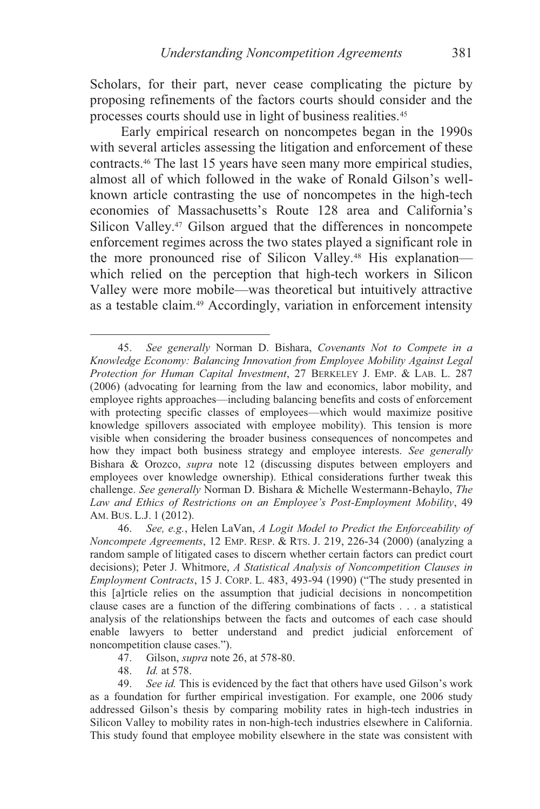Scholars, for their part, never cease complicating the picture by proposing refinements of the factors courts should consider and the processes courts should use in light of business realities.45

Early empirical research on noncompetes began in the 1990s with several articles assessing the litigation and enforcement of these contracts.46 The last 15 years have seen many more empirical studies, almost all of which followed in the wake of Ronald Gilson's wellknown article contrasting the use of noncompetes in the high-tech economies of Massachusetts's Route 128 area and California's Silicon Valley.47 Gilson argued that the differences in noncompete enforcement regimes across the two states played a significant role in the more pronounced rise of Silicon Valley.<sup>48</sup> His explanation which relied on the perception that high-tech workers in Silicon Valley were more mobile—was theoretical but intuitively attractive as a testable claim.49 Accordingly, variation in enforcement intensity

*Id.* at 578.

 $\overline{a}$ 

 49. *See id.* This is evidenced by the fact that others have used Gilson's work as a foundation for further empirical investigation. For example, one 2006 study addressed Gilson's thesis by comparing mobility rates in high-tech industries in Silicon Valley to mobility rates in non-high-tech industries elsewhere in California. This study found that employee mobility elsewhere in the state was consistent with

 <sup>45.</sup> *See generally* Norman D. Bishara, *Covenants Not to Compete in a Knowledge Economy: Balancing Innovation from Employee Mobility Against Legal Protection for Human Capital Investment*, 27 BERKELEY J. EMP. & LAB. L. 287 (2006) (advocating for learning from the law and economics, labor mobility, and employee rights approaches—including balancing benefits and costs of enforcement with protecting specific classes of employees—which would maximize positive knowledge spillovers associated with employee mobility). This tension is more visible when considering the broader business consequences of noncompetes and how they impact both business strategy and employee interests. *See generally* Bishara & Orozco, *supra* note 12 (discussing disputes between employers and employees over knowledge ownership). Ethical considerations further tweak this challenge. *See generally* Norman D. Bishara & Michelle Westermann-Behaylo, *The Law and Ethics of Restrictions on an Employee's Post-Employment Mobility*, 49 AM. BUS. L.J. 1 (2012).

<sup>46.</sup> *See, e.g.*, Helen LaVan, *A Logit Model to Predict the Enforceability of Noncompete Agreements*, 12 EMP. RESP. & RTS. J. 219, 226-34 (2000) (analyzing a random sample of litigated cases to discern whether certain factors can predict court decisions); Peter J. Whitmore, *A Statistical Analysis of Noncompetition Clauses in Employment Contracts*, 15 J. CORP. L. 483, 493-94 (1990) ("The study presented in this [a]rticle relies on the assumption that judicial decisions in noncompetition clause cases are a function of the differing combinations of facts . . . a statistical analysis of the relationships between the facts and outcomes of each case should enable lawyers to better understand and predict judicial enforcement of noncompetition clause cases.").

 <sup>47.</sup> Gilson, *supra* note 26, at 578-80.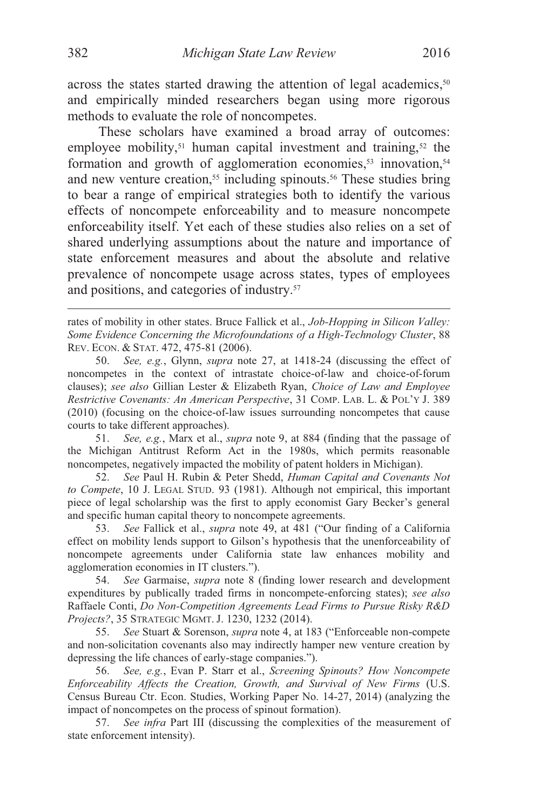$\overline{a}$ 

across the states started drawing the attention of legal academics,<sup>50</sup> and empirically minded researchers began using more rigorous methods to evaluate the role of noncompetes.

These scholars have examined a broad array of outcomes: employee mobility,<sup>51</sup> human capital investment and training,<sup>52</sup> the formation and growth of agglomeration economies,<sup>53</sup> innovation,<sup>54</sup> and new venture creation,<sup>55</sup> including spinouts.<sup>56</sup> These studies bring to bear a range of empirical strategies both to identify the various effects of noncompete enforceability and to measure noncompete enforceability itself. Yet each of these studies also relies on a set of shared underlying assumptions about the nature and importance of state enforcement measures and about the absolute and relative prevalence of noncompete usage across states, types of employees and positions, and categories of industry.57

rates of mobility in other states. Bruce Fallick et al., *Job-Hopping in Silicon Valley: Some Evidence Concerning the Microfoundations of a High-Technology Cluster*, 88 REV. ECON. & STAT. 472, 475-81 (2006).

50. *See, e.g.*, Glynn, *supra* note 27, at 1418-24 (discussing the effect of noncompetes in the context of intrastate choice-of-law and choice-of-forum clauses); *see also* Gillian Lester & Elizabeth Ryan, *Choice of Law and Employee Restrictive Covenants: An American Perspective*, 31 COMP. LAB. L. & POL'Y J. 389 (2010) (focusing on the choice-of-law issues surrounding noncompetes that cause courts to take different approaches).

51. *See, e.g.*, Marx et al., *supra* note 9, at 884 (finding that the passage of the Michigan Antitrust Reform Act in the 1980s, which permits reasonable noncompetes, negatively impacted the mobility of patent holders in Michigan).

52. *See* Paul H. Rubin & Peter Shedd, *Human Capital and Covenants Not to Compete*, 10 J. LEGAL STUD. 93 (1981). Although not empirical, this important piece of legal scholarship was the first to apply economist Gary Becker's general and specific human capital theory to noncompete agreements.

53. *See* Fallick et al., *supra* note 49, at 481 ("Our finding of a California effect on mobility lends support to Gilson's hypothesis that the unenforceability of noncompete agreements under California state law enhances mobility and agglomeration economies in IT clusters.").

54. *See* Garmaise, *supra* note 8 (finding lower research and development expenditures by publically traded firms in noncompete-enforcing states); *see also* Raffaele Conti, *Do Non-Competition Agreements Lead Firms to Pursue Risky R&D Projects?*, 35 STRATEGIC MGMT. J. 1230, 1232 (2014).

55. *See* Stuart & Sorenson, *supra* note 4, at 183 ("Enforceable non-compete and non-solicitation covenants also may indirectly hamper new venture creation by depressing the life chances of early-stage companies.").

56. *See, e.g.*, Evan P. Starr et al., *Screening Spinouts? How Noncompete Enforceability Affects the Creation, Growth, and Survival of New Firms* (U.S. Census Bureau Ctr. Econ. Studies, Working Paper No. 14-27, 2014) (analyzing the impact of noncompetes on the process of spinout formation).

 57. *See infra* Part III (discussing the complexities of the measurement of state enforcement intensity).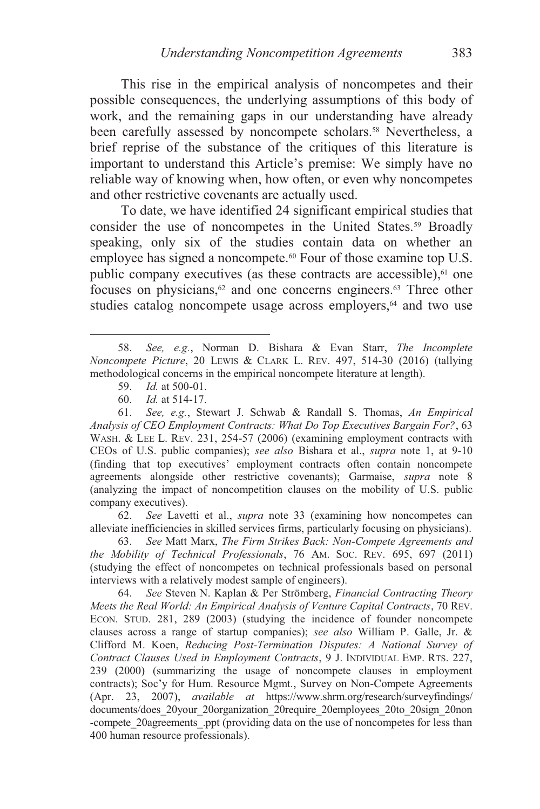This rise in the empirical analysis of noncompetes and their possible consequences, the underlying assumptions of this body of work, and the remaining gaps in our understanding have already been carefully assessed by noncompete scholars.<sup>58</sup> Nevertheless, a brief reprise of the substance of the critiques of this literature is important to understand this Article's premise: We simply have no reliable way of knowing when, how often, or even why noncompetes and other restrictive covenants are actually used.

To date, we have identified 24 significant empirical studies that consider the use of noncompetes in the United States.<sup>59</sup> Broadly speaking, only six of the studies contain data on whether an employee has signed a noncompete.<sup>60</sup> Four of those examine top U.S. public company executives (as these contracts are accessible),<sup>61</sup> one focuses on physicians,<sup>62</sup> and one concerns engineers.<sup>63</sup> Three other studies catalog noncompete usage across employers,<sup>64</sup> and two use

 $\overline{a}$ 

 61. *See, e.g.*, Stewart J. Schwab & Randall S. Thomas, *An Empirical Analysis of CEO Employment Contracts: What Do Top Executives Bargain For?*, 63 WASH. & LEE L. REV. 231, 254-57 (2006) (examining employment contracts with CEOs of U.S. public companies); *see also* Bishara et al., *supra* note 1, at 9-10 (finding that top executives' employment contracts often contain noncompete agreements alongside other restrictive covenants); Garmaise, *supra* note 8 (analyzing the impact of noncompetition clauses on the mobility of U.S. public company executives).

 62. *See* Lavetti et al., *supra* note 33 (examining how noncompetes can alleviate inefficiencies in skilled services firms, particularly focusing on physicians).

 63. *See* Matt Marx, *The Firm Strikes Back: Non-Compete Agreements and the Mobility of Technical Professionals*, 76 AM. SOC. REV. 695, 697 (2011) (studying the effect of noncompetes on technical professionals based on personal interviews with a relatively modest sample of engineers).

 64. *See* Steven N. Kaplan & Per Strömberg, *Financial Contracting Theory Meets the Real World: An Empirical Analysis of Venture Capital Contracts*, 70 REV. ECON. STUD. 281, 289 (2003) (studying the incidence of founder noncompete clauses across a range of startup companies); *see also* William P. Galle, Jr. & Clifford M. Koen, *Reducing Post-Termination Disputes: A National Survey of Contract Clauses Used in Employment Contracts*, 9 J. INDIVIDUAL EMP. RTS. 227, 239 (2000) (summarizing the usage of noncompete clauses in employment contracts); Soc'y for Hum. Resource Mgmt., Survey on Non-Compete Agreements (Apr. 23, 2007), *available at* https://www.shrm.org/research/surveyfindings/ documents/does\_20your\_20organization\_20require\_20employees\_20to\_20sign\_20non -compete 20agreements .ppt (providing data on the use of noncompetes for less than 400 human resource professionals).

 <sup>58.</sup> *See, e.g.*, Norman D. Bishara & Evan Starr, *The Incomplete Noncompete Picture*, 20 LEWIS & CLARK L. REV. 497, 514-30 (2016) (tallying methodological concerns in the empirical noncompete literature at length).

<sup>59.</sup> *Id.* at 500-01.

<sup>60.</sup> *Id.* at 514-17.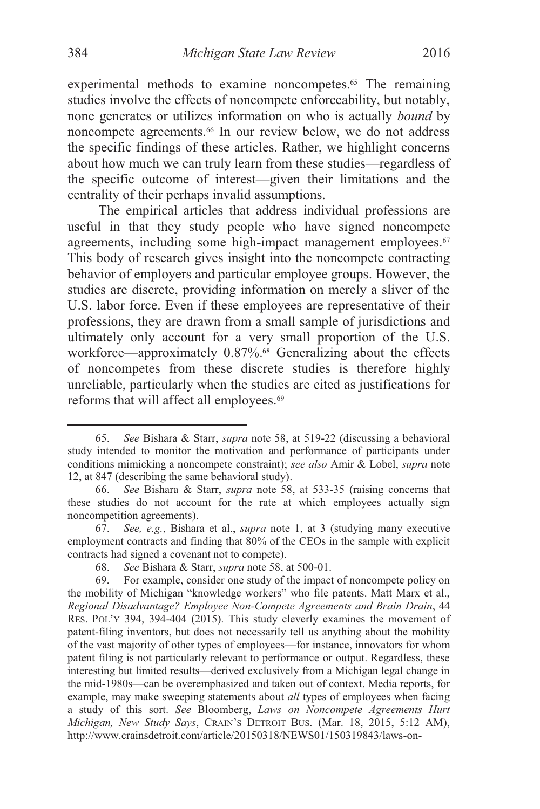experimental methods to examine noncompetes.<sup>65</sup> The remaining studies involve the effects of noncompete enforceability, but notably, none generates or utilizes information on who is actually *bound* by noncompete agreements.66 In our review below, we do not address the specific findings of these articles. Rather, we highlight concerns about how much we can truly learn from these studies—regardless of

the specific outcome of interest—given their limitations and the centrality of their perhaps invalid assumptions.

The empirical articles that address individual professions are useful in that they study people who have signed noncompete agreements, including some high-impact management employees.<sup>67</sup> This body of research gives insight into the noncompete contracting behavior of employers and particular employee groups. However, the studies are discrete, providing information on merely a sliver of the U.S. labor force. Even if these employees are representative of their professions, they are drawn from a small sample of jurisdictions and ultimately only account for a very small proportion of the U.S. workforce—approximately 0.87%.<sup>68</sup> Generalizing about the effects of noncompetes from these discrete studies is therefore highly unreliable, particularly when the studies are cited as justifications for reforms that will affect all employees.<sup>69</sup>

 <sup>65.</sup> *See* Bishara & Starr, *supra* note 58, at 519-22 (discussing a behavioral study intended to monitor the motivation and performance of participants under conditions mimicking a noncompete constraint); *see also* Amir & Lobel, *supra* note 12, at 847 (describing the same behavioral study).

<sup>66.</sup> *See* Bishara & Starr, *supra* note 58, at 533-35 (raising concerns that these studies do not account for the rate at which employees actually sign noncompetition agreements).

 <sup>67.</sup> *See, e.g.*, Bishara et al., *supra* note 1, at 3 (studying many executive employment contracts and finding that 80% of the CEOs in the sample with explicit contracts had signed a covenant not to compete).

<sup>68.</sup> *See* Bishara & Starr, *supra* note 58, at 500-01.

 <sup>69.</sup> For example, consider one study of the impact of noncompete policy on the mobility of Michigan "knowledge workers" who file patents. Matt Marx et al., *Regional Disadvantage? Employee Non-Compete Agreements and Brain Drain*, 44 RES. POL'Y 394, 394-404 (2015). This study cleverly examines the movement of patent-filing inventors, but does not necessarily tell us anything about the mobility of the vast majority of other types of employees—for instance, innovators for whom patent filing is not particularly relevant to performance or output. Regardless, these interesting but limited results—derived exclusively from a Michigan legal change in the mid-1980s—can be overemphasized and taken out of context. Media reports, for example, may make sweeping statements about *all* types of employees when facing a study of this sort. *See* Bloomberg, *Laws on Noncompete Agreements Hurt Michigan, New Study Says*, CRAIN'S DETROIT BUS. (Mar. 18, 2015, 5:12 AM), http://www.crainsdetroit.com/article/20150318/NEWS01/150319843/laws-on-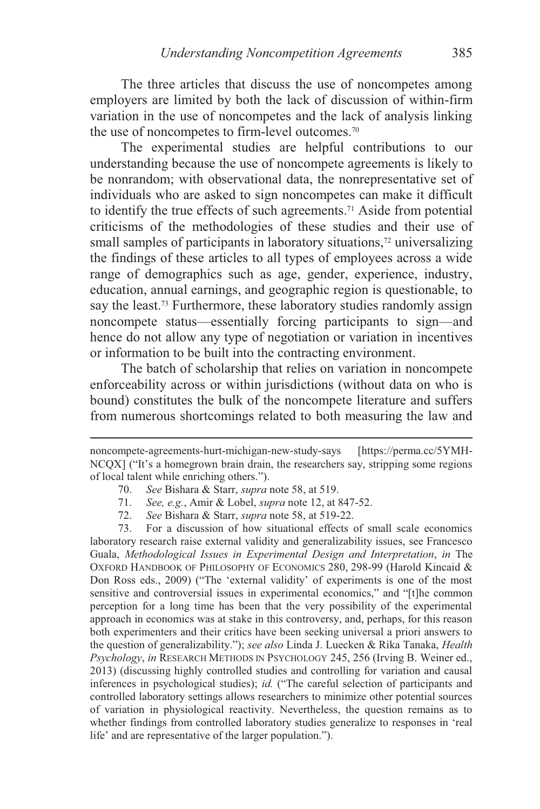The three articles that discuss the use of noncompetes among employers are limited by both the lack of discussion of within-firm variation in the use of noncompetes and the lack of analysis linking the use of noncompetes to firm-level outcomes.70

The experimental studies are helpful contributions to our understanding because the use of noncompete agreements is likely to be nonrandom; with observational data, the nonrepresentative set of individuals who are asked to sign noncompetes can make it difficult to identify the true effects of such agreements.71 Aside from potential criticisms of the methodologies of these studies and their use of small samples of participants in laboratory situations,<sup>72</sup> universalizing the findings of these articles to all types of employees across a wide range of demographics such as age, gender, experience, industry, education, annual earnings, and geographic region is questionable, to say the least.<sup>73</sup> Furthermore, these laboratory studies randomly assign noncompete status—essentially forcing participants to sign—and hence do not allow any type of negotiation or variation in incentives or information to be built into the contracting environment.

The batch of scholarship that relies on variation in noncompete enforceability across or within jurisdictions (without data on who is bound) constitutes the bulk of the noncompete literature and suffers from numerous shortcomings related to both measuring the law and

70. *See* Bishara & Starr, *supra* note 58, at 519.

 $\overline{a}$ 

- 71. *See, e.g.*, Amir & Lobel, *supra* note 12, at 847-52.
- 72. *See* Bishara & Starr, *supra* note 58, at 519-22.

 73. For a discussion of how situational effects of small scale economics laboratory research raise external validity and generalizability issues, see Francesco Guala, *Methodological Issues in Experimental Design and Interpretation*, *in* The OXFORD HANDBOOK OF PHILOSOPHY OF ECONOMICS 280, 298-99 (Harold Kincaid & Don Ross eds., 2009) ("The 'external validity' of experiments is one of the most sensitive and controversial issues in experimental economics," and "[t]he common perception for a long time has been that the very possibility of the experimental approach in economics was at stake in this controversy, and, perhaps, for this reason both experimenters and their critics have been seeking universal a priori answers to the question of generalizability."); *see also* Linda J. Luecken & Rika Tanaka, *Health Psychology*, *in* RESEARCH METHODS IN PSYCHOLOGY 245, 256 (Irving B. Weiner ed., 2013) (discussing highly controlled studies and controlling for variation and causal inferences in psychological studies); *id.* ("The careful selection of participants and controlled laboratory settings allows researchers to minimize other potential sources of variation in physiological reactivity. Nevertheless, the question remains as to whether findings from controlled laboratory studies generalize to responses in 'real life' and are representative of the larger population.").

noncompete-agreements-hurt-michigan-new-study-says [https://perma.cc/5YMH-NCQX] ("It's a homegrown brain drain, the researchers say, stripping some regions of local talent while enriching others.").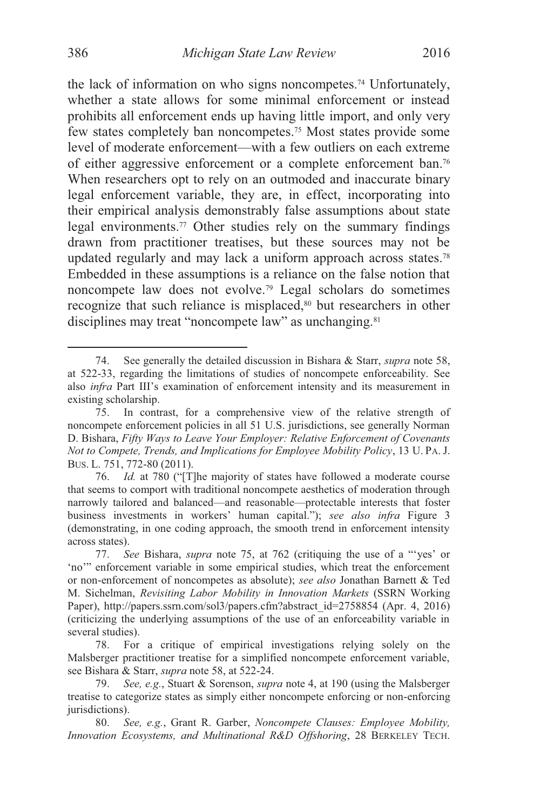the lack of information on who signs noncompetes.74 Unfortunately, whether a state allows for some minimal enforcement or instead prohibits all enforcement ends up having little import, and only very few states completely ban noncompetes.75 Most states provide some level of moderate enforcement—with a few outliers on each extreme of either aggressive enforcement or a complete enforcement ban.76 When researchers opt to rely on an outmoded and inaccurate binary legal enforcement variable, they are, in effect, incorporating into their empirical analysis demonstrably false assumptions about state legal environments.<sup>77</sup> Other studies rely on the summary findings drawn from practitioner treatises, but these sources may not be updated regularly and may lack a uniform approach across states.78 Embedded in these assumptions is a reliance on the false notion that noncompete law does not evolve.79 Legal scholars do sometimes recognize that such reliance is misplaced,<sup>80</sup> but researchers in other disciplines may treat "noncompete law" as unchanging.<sup>81</sup>

 <sup>74.</sup> See generally the detailed discussion in Bishara & Starr, *supra* note 58, at 522-33, regarding the limitations of studies of noncompete enforceability. See also *infra* Part III's examination of enforcement intensity and its measurement in existing scholarship.

 <sup>75.</sup> In contrast, for a comprehensive view of the relative strength of noncompete enforcement policies in all 51 U.S. jurisdictions, see generally Norman D. Bishara, *Fifty Ways to Leave Your Employer: Relative Enforcement of Covenants Not to Compete, Trends, and Implications for Employee Mobility Policy*, 13 U. PA. J. BUS. L. 751, 772-80 (2011).

<sup>76.</sup> *Id.* at 780 ("[T]he majority of states have followed a moderate course that seems to comport with traditional noncompete aesthetics of moderation through narrowly tailored and balanced—and reasonable—protectable interests that foster business investments in workers' human capital."); *see also infra* Figure 3 (demonstrating, in one coding approach, the smooth trend in enforcement intensity across states).

<sup>77.</sup> *See* Bishara, *supra* note 75, at 762 (critiquing the use of a "'yes' or 'no'" enforcement variable in some empirical studies, which treat the enforcement or non-enforcement of noncompetes as absolute); *see also* Jonathan Barnett & Ted M. Sichelman, *Revisiting Labor Mobility in Innovation Markets* (SSRN Working Paper), http://papers.ssrn.com/sol3/papers.cfm?abstract\_id=2758854 (Apr. 4, 2016) (criticizing the underlying assumptions of the use of an enforceability variable in several studies).

 <sup>78.</sup> For a critique of empirical investigations relying solely on the Malsberger practitioner treatise for a simplified noncompete enforcement variable, see Bishara & Starr, *supra* note 58, at 522-24.

 <sup>79.</sup> *See, e.g.*, Stuart & Sorenson, *supra* note 4, at 190 (using the Malsberger treatise to categorize states as simply either noncompete enforcing or non-enforcing jurisdictions).

 <sup>80.</sup> *See, e.g.*, Grant R. Garber, *Noncompete Clauses: Employee Mobility, Innovation Ecosystems, and Multinational R&D Offshoring*, 28 BERKELEY TECH.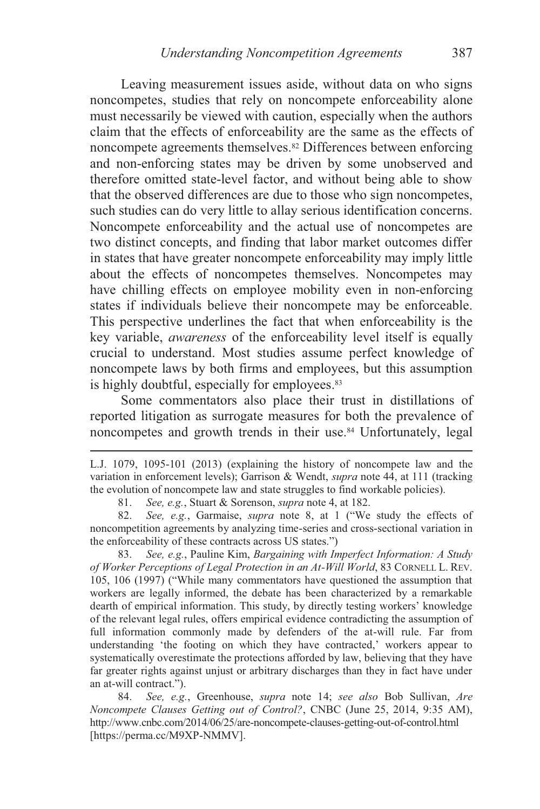Leaving measurement issues aside, without data on who signs noncompetes, studies that rely on noncompete enforceability alone must necessarily be viewed with caution, especially when the authors claim that the effects of enforceability are the same as the effects of noncompete agreements themselves.<sup>82</sup> Differences between enforcing and non-enforcing states may be driven by some unobserved and therefore omitted state-level factor, and without being able to show that the observed differences are due to those who sign noncompetes, such studies can do very little to allay serious identification concerns. Noncompete enforceability and the actual use of noncompetes are two distinct concepts, and finding that labor market outcomes differ in states that have greater noncompete enforceability may imply little about the effects of noncompetes themselves. Noncompetes may have chilling effects on employee mobility even in non-enforcing states if individuals believe their noncompete may be enforceable. This perspective underlines the fact that when enforceability is the key variable, *awareness* of the enforceability level itself is equally crucial to understand. Most studies assume perfect knowledge of noncompete laws by both firms and employees, but this assumption is highly doubtful, especially for employees.<sup>83</sup>

Some commentators also place their trust in distillations of reported litigation as surrogate measures for both the prevalence of noncompetes and growth trends in their use.<sup>84</sup> Unfortunately, legal

 $\overline{a}$ 

 83. *See, e.g.*, Pauline Kim, *Bargaining with Imperfect Information: A Study of Worker Perceptions of Legal Protection in an At-Will World*, 83 CORNELL L. REV. 105, 106 (1997) ("While many commentators have questioned the assumption that workers are legally informed, the debate has been characterized by a remarkable dearth of empirical information. This study, by directly testing workers' knowledge of the relevant legal rules, offers empirical evidence contradicting the assumption of full information commonly made by defenders of the at-will rule. Far from understanding 'the footing on which they have contracted,' workers appear to systematically overestimate the protections afforded by law, believing that they have far greater rights against unjust or arbitrary discharges than they in fact have under an at-will contract.").

84. *See, e.g.*, Greenhouse, *supra* note 14; *see also* Bob Sullivan, *Are Noncompete Clauses Getting out of Control?*, CNBC (June 25, 2014, 9:35 AM), http://www.cnbc.com/2014/06/25/are-noncompete-clauses-getting-out-of-control.html [https://perma.cc/M9XP-NMMV].

L.J. 1079, 1095-101 (2013) (explaining the history of noncompete law and the variation in enforcement levels); Garrison & Wendt, *supra* note 44, at 111 (tracking the evolution of noncompete law and state struggles to find workable policies).

 <sup>81.</sup> *See, e.g.*, Stuart & Sorenson, *supra* note 4, at 182.

 <sup>82.</sup> *See, e.g.*, Garmaise, *supra* note 8, at 1 ("We study the effects of noncompetition agreements by analyzing time-series and cross-sectional variation in the enforceability of these contracts across US states.")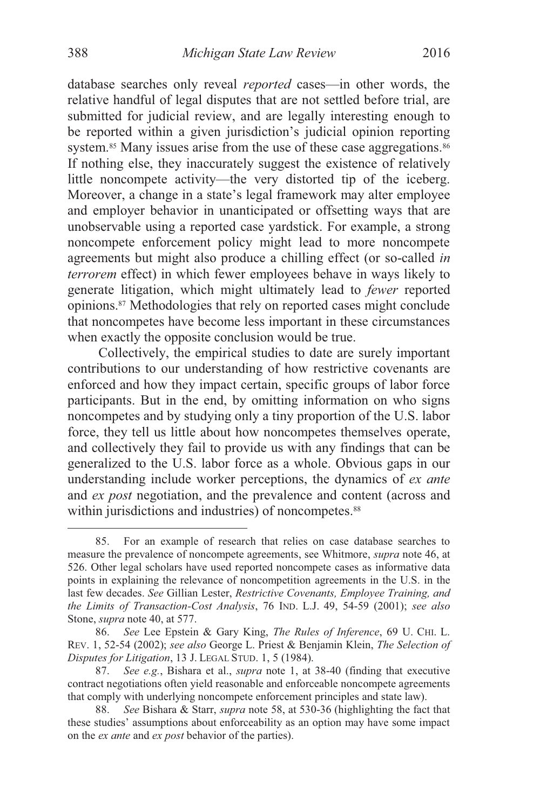database searches only reveal *reported* cases—in other words, the relative handful of legal disputes that are not settled before trial, are submitted for judicial review, and are legally interesting enough to be reported within a given jurisdiction's judicial opinion reporting system.<sup>85</sup> Many issues arise from the use of these case aggregations.<sup>86</sup> If nothing else, they inaccurately suggest the existence of relatively little noncompete activity—the very distorted tip of the iceberg. Moreover, a change in a state's legal framework may alter employee and employer behavior in unanticipated or offsetting ways that are unobservable using a reported case yardstick. For example, a strong noncompete enforcement policy might lead to more noncompete agreements but might also produce a chilling effect (or so-called *in terrorem* effect) in which fewer employees behave in ways likely to generate litigation, which might ultimately lead to *fewer* reported opinions.87 Methodologies that rely on reported cases might conclude that noncompetes have become less important in these circumstances when exactly the opposite conclusion would be true.

Collectively, the empirical studies to date are surely important contributions to our understanding of how restrictive covenants are enforced and how they impact certain, specific groups of labor force participants. But in the end, by omitting information on who signs noncompetes and by studying only a tiny proportion of the U.S. labor force, they tell us little about how noncompetes themselves operate, and collectively they fail to provide us with any findings that can be generalized to the U.S. labor force as a whole. Obvious gaps in our understanding include worker perceptions, the dynamics of *ex ante* and *ex post* negotiation, and the prevalence and content (across and within jurisdictions and industries) of noncompetes.<sup>88</sup>

 <sup>85.</sup> For an example of research that relies on case database searches to measure the prevalence of noncompete agreements, see Whitmore, *supra* note 46, at 526. Other legal scholars have used reported noncompete cases as informative data points in explaining the relevance of noncompetition agreements in the U.S. in the last few decades. *See* Gillian Lester, *Restrictive Covenants, Employee Training, and the Limits of Transaction-Cost Analysis*, 76 IND. L.J. 49, 54-59 (2001); *see also*  Stone, *supra* note 40, at 577.

<sup>86.</sup> *See* Lee Epstein & Gary King, *The Rules of Inference*, 69 U. CHI. L. REV. 1, 52-54 (2002); *see also* George L. Priest & Benjamin Klein, *The Selection of Disputes for Litigation*, 13 J. LEGAL STUD. 1, 5 (1984).

 <sup>87.</sup> *See e.g.*, Bishara et al., *supra* note 1, at 38-40 (finding that executive contract negotiations often yield reasonable and enforceable noncompete agreements that comply with underlying noncompete enforcement principles and state law).

<sup>88.</sup> *See* Bishara & Starr, *supra* note 58, at 530-36 (highlighting the fact that these studies' assumptions about enforceability as an option may have some impact on the *ex ante* and *ex post* behavior of the parties).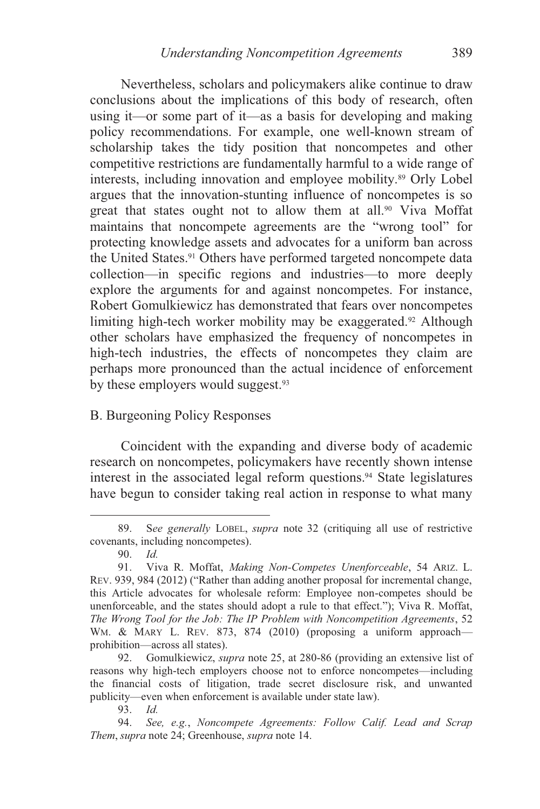Nevertheless, scholars and policymakers alike continue to draw conclusions about the implications of this body of research, often using it—or some part of it—as a basis for developing and making policy recommendations. For example, one well-known stream of scholarship takes the tidy position that noncompetes and other competitive restrictions are fundamentally harmful to a wide range of interests, including innovation and employee mobility.89 Orly Lobel argues that the innovation-stunting influence of noncompetes is so great that states ought not to allow them at all.<sup>90</sup> Viva Moffat maintains that noncompete agreements are the "wrong tool" for protecting knowledge assets and advocates for a uniform ban across the United States.<sup>91</sup> Others have performed targeted noncompete data collection—in specific regions and industries—to more deeply explore the arguments for and against noncompetes. For instance, Robert Gomulkiewicz has demonstrated that fears over noncompetes limiting high-tech worker mobility may be exaggerated.<sup>92</sup> Although other scholars have emphasized the frequency of noncompetes in high-tech industries, the effects of noncompetes they claim are perhaps more pronounced than the actual incidence of enforcement by these employers would suggest.<sup>93</sup>

### B. Burgeoning Policy Responses

Coincident with the expanding and diverse body of academic research on noncompetes, policymakers have recently shown intense interest in the associated legal reform questions.94 State legislatures have begun to consider taking real action in response to what many

 <sup>89.</sup> S*ee generally* LOBEL, *supra* note 32 (critiquing all use of restrictive covenants, including noncompetes).

 <sup>90.</sup> *Id.*

 <sup>91.</sup> Viva R. Moffat, *Making Non-Competes Unenforceable*, 54 ARIZ. L. REV. 939, 984 (2012) ("Rather than adding another proposal for incremental change, this Article advocates for wholesale reform: Employee non-competes should be unenforceable, and the states should adopt a rule to that effect."); Viva R. Moffat, *The Wrong Tool for the Job: The IP Problem with Noncompetition Agreements*, 52 WM. & MARY L. REV. 873, 874 (2010) (proposing a uniform approachprohibition—across all states).

 <sup>92.</sup> Gomulkiewicz, *supra* note 25, at 280-86 (providing an extensive list of reasons why high-tech employers choose not to enforce noncompetes—including the financial costs of litigation, trade secret disclosure risk, and unwanted publicity—even when enforcement is available under state law).

 <sup>93.</sup> *Id.*

 <sup>94.</sup> *See, e.g.*, *Noncompete Agreements: Follow Calif. Lead and Scrap Them*, *supra* note 24; Greenhouse, *supra* note 14.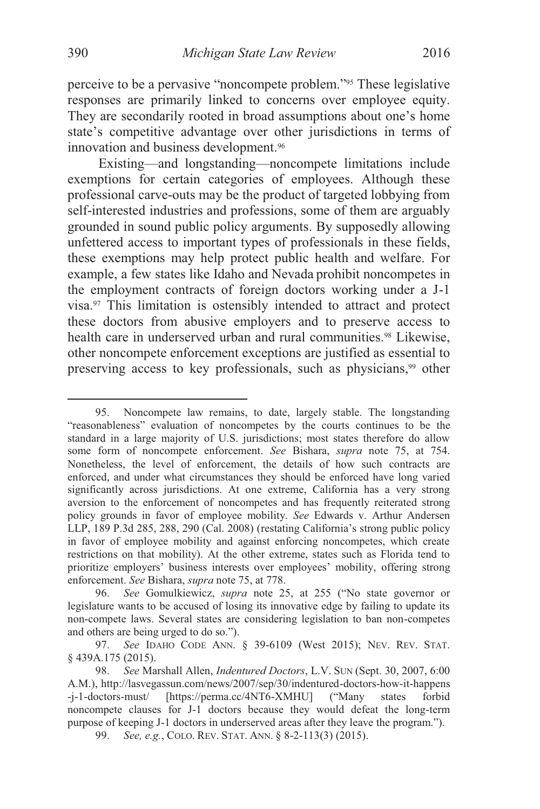perceive to be a pervasive "noncompete problem."95 These legislative responses are primarily linked to concerns over employee equity. They are secondarily rooted in broad assumptions about one's home state's competitive advantage over other jurisdictions in terms of innovation and business development.<sup>96</sup>

Existing—and longstanding—noncompete limitations include exemptions for certain categories of employees. Although these professional carve-outs may be the product of targeted lobbying from self-interested industries and professions, some of them are arguably grounded in sound public policy arguments. By supposedly allowing unfettered access to important types of professionals in these fields, these exemptions may help protect public health and welfare. For example, a few states like Idaho and Nevada prohibit noncompetes in the employment contracts of foreign doctors working under a J-1 visa.97 This limitation is ostensibly intended to attract and protect these doctors from abusive employers and to preserve access to health care in underserved urban and rural communities.<sup>98</sup> Likewise, other noncompete enforcement exceptions are justified as essential to preserving access to key professionals, such as physicians,<sup>99</sup> other

 <sup>95.</sup> Noncompete law remains, to date, largely stable. The longstanding "reasonableness" evaluation of noncompetes by the courts continues to be the standard in a large majority of U.S. jurisdictions; most states therefore do allow some form of noncompete enforcement. *See* Bishara, *supra* note 75, at 754. Nonetheless, the level of enforcement, the details of how such contracts are enforced, and under what circumstances they should be enforced have long varied significantly across jurisdictions. At one extreme, California has a very strong aversion to the enforcement of noncompetes and has frequently reiterated strong policy grounds in favor of employee mobility. *See* Edwards v. Arthur Andersen LLP, 189 P.3d 285, 288, 290 (Cal. 2008) (restating California's strong public policy in favor of employee mobility and against enforcing noncompetes, which create restrictions on that mobility). At the other extreme, states such as Florida tend to prioritize employers' business interests over employees' mobility, offering strong enforcement. *See* Bishara, *supra* note 75, at 778.

 <sup>96.</sup> *See* Gomulkiewicz, *supra* note 25, at 255 ("No state governor or legislature wants to be accused of losing its innovative edge by failing to update its non-compete laws. Several states are considering legislation to ban non-competes and others are being urged to do so.").

<sup>97.</sup> *See* IDAHO CODE ANN. § 39-6109 (West 2015); NEV. REV. STAT. § 439A.175 (2015).

 <sup>98.</sup> *See* Marshall Allen, *Indentured Doctors*, L.V. SUN (Sept. 30, 2007, 6:00 A.M.), http://lasvegassun.com/news/2007/sep/30/indentured-doctors-how-it-happens -j-1-doctors-must/ [https://perma.cc/4NT6-XMHU] ("Many states forbid noncompete clauses for J-1 doctors because they would defeat the long-term purpose of keeping J-1 doctors in underserved areas after they leave the program."). 99. *See, e.g.*, COLO. REV. STAT. ANN. § 8-2-113(3) (2015).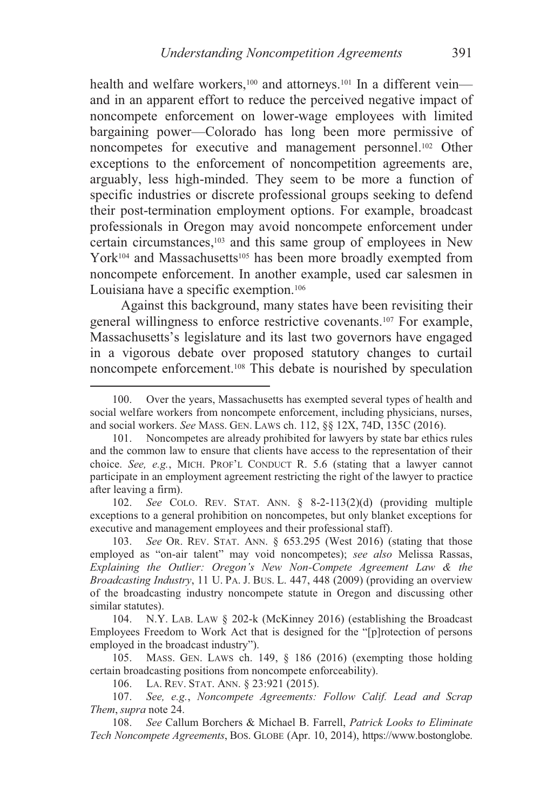health and welfare workers,<sup>100</sup> and attorneys.<sup>101</sup> In a different veinand in an apparent effort to reduce the perceived negative impact of noncompete enforcement on lower-wage employees with limited bargaining power—Colorado has long been more permissive of noncompetes for executive and management personnel.102 Other exceptions to the enforcement of noncompetition agreements are, arguably, less high-minded. They seem to be more a function of specific industries or discrete professional groups seeking to defend their post-termination employment options. For example, broadcast professionals in Oregon may avoid noncompete enforcement under certain circumstances,103 and this same group of employees in New York<sup>104</sup> and Massachusetts<sup>105</sup> has been more broadly exempted from noncompete enforcement. In another example, used car salesmen in Louisiana have a specific exemption.106

Against this background, many states have been revisiting their general willingness to enforce restrictive covenants.107 For example, Massachusetts's legislature and its last two governors have engaged in a vigorous debate over proposed statutory changes to curtail noncompete enforcement.108 This debate is nourished by speculation

102. *See* COLO. REV. STAT. ANN. § 8-2-113(2)(d) (providing multiple exceptions to a general prohibition on noncompetes, but only blanket exceptions for executive and management employees and their professional staff).

 103. *See* OR. REV. STAT. ANN. § 653.295 (West 2016) (stating that those employed as "on-air talent" may void noncompetes); *see also* Melissa Rassas, *Explaining the Outlier: Oregon's New Non-Compete Agreement Law & the Broadcasting Industry*, 11 U. PA. J. BUS. L. 447, 448 (2009) (providing an overview of the broadcasting industry noncompete statute in Oregon and discussing other similar statutes).

 104. N.Y. LAB. LAW § 202-k (McKinney 2016) (establishing the Broadcast Employees Freedom to Work Act that is designed for the "[p]rotection of persons employed in the broadcast industry").

 105. MASS. GEN. LAWS ch. 149, § 186 (2016) (exempting those holding certain broadcasting positions from noncompete enforceability).

106. LA. REV. STAT. ANN. § 23:921 (2015).

 $\overline{a}$ 

 107. *See, e.g.*, *Noncompete Agreements: Follow Calif. Lead and Scrap Them*, *supra* note 24.

108. *See* Callum Borchers & Michael B. Farrell, *Patrick Looks to Eliminate Tech Noncompete Agreements*, BOS. GLOBE (Apr. 10, 2014), https://www.bostonglobe.

 <sup>100.</sup> Over the years, Massachusetts has exempted several types of health and social welfare workers from noncompete enforcement, including physicians, nurses, and social workers. *See* MASS. GEN. LAWS ch. 112, §§ 12X, 74D, 135C (2016).

 <sup>101.</sup> Noncompetes are already prohibited for lawyers by state bar ethics rules and the common law to ensure that clients have access to the representation of their choice. *See, e.g.*, MICH. PROF'L CONDUCT R. 5.6 (stating that a lawyer cannot participate in an employment agreement restricting the right of the lawyer to practice after leaving a firm).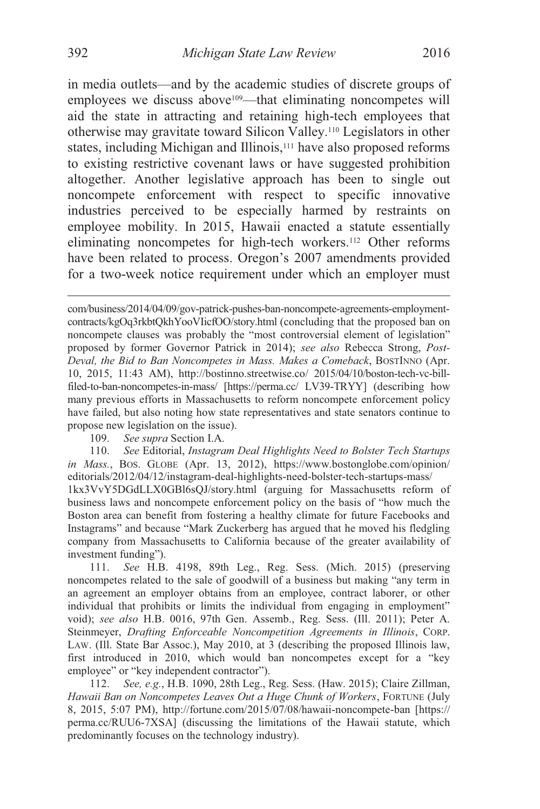in media outlets—and by the academic studies of discrete groups of employees we discuss above<sup>109</sup>—that eliminating noncompetes will aid the state in attracting and retaining high-tech employees that otherwise may gravitate toward Silicon Valley.110 Legislators in other states, including Michigan and Illinois,<sup>111</sup> have also proposed reforms to existing restrictive covenant laws or have suggested prohibition altogether. Another legislative approach has been to single out noncompete enforcement with respect to specific innovative industries perceived to be especially harmed by restraints on employee mobility. In 2015, Hawaii enacted a statute essentially eliminating noncompetes for high-tech workers.112 Other reforms have been related to process. Oregon's 2007 amendments provided for a two-week notice requirement under which an employer must

109. *See supra* Section I.A.

110. *See* Editorial, *Instagram Deal Highlights Need to Bolster Tech Startups in Mass.*, BOS. GLOBE (Apr. 13, 2012), https://www.bostonglobe.com/opinion/ editorials/2012/04/12/instagram-deal-highlights-need-bolster-tech-startups-mass/ 1kx3VvY5DGdLLX0GBl6sQJ/story.html (arguing for Massachusetts reform of business laws and noncompete enforcement policy on the basis of "how much the Boston area can benefit from fostering a healthy climate for future Facebooks and Instagrams" and because "Mark Zuckerberg has argued that he moved his fledgling company from Massachusetts to California because of the greater availability of investment funding").

111. *See* H.B. 4198, 89th Leg., Reg. Sess. (Mich. 2015) (preserving noncompetes related to the sale of goodwill of a business but making "any term in an agreement an employer obtains from an employee, contract laborer, or other individual that prohibits or limits the individual from engaging in employment" void); *see also* H.B. 0016, 97th Gen. Assemb., Reg. Sess. (Ill. 2011); Peter A. Steinmeyer, *Drafting Enforceable Noncompetition Agreements in Illinois*, CORP. LAW. (Ill. State Bar Assoc.), May 2010, at 3 (describing the proposed Illinois law, first introduced in 2010, which would ban noncompetes except for a "key employee" or "key independent contractor").

112. *See, e.g.*, H.B. 1090, 28th Leg., Reg. Sess. (Haw. 2015); Claire Zillman, *Hawaii Ban on Noncompetes Leaves Out a Huge Chunk of Workers*, FORTUNE (July 8, 2015, 5:07 PM), http://fortune.com/2015/07/08/hawaii-noncompete-ban [https:// perma.cc/RUU6-7XSA] (discussing the limitations of the Hawaii statute, which predominantly focuses on the technology industry).

com/business/2014/04/09/gov-patrick-pushes-ban-noncompete-agreements-employmentcontracts/kgOq3rkbtQkhYooVIicfOO/story.html (concluding that the proposed ban on noncompete clauses was probably the "most controversial element of legislation" proposed by former Governor Patrick in 2014); *see also* Rebecca Strong, *Post-Deval, the Bid to Ban Noncompetes in Mass. Makes a Comeback*, BOSTINNO (Apr. 10, 2015, 11:43 AM), http://bostinno.streetwise.co/ 2015/04/10/boston-tech-vc-billfiled-to-ban-noncompetes-in-mass/ [https://perma.cc/ LV39-TRYY] (describing how many previous efforts in Massachusetts to reform noncompete enforcement policy have failed, but also noting how state representatives and state senators continue to propose new legislation on the issue).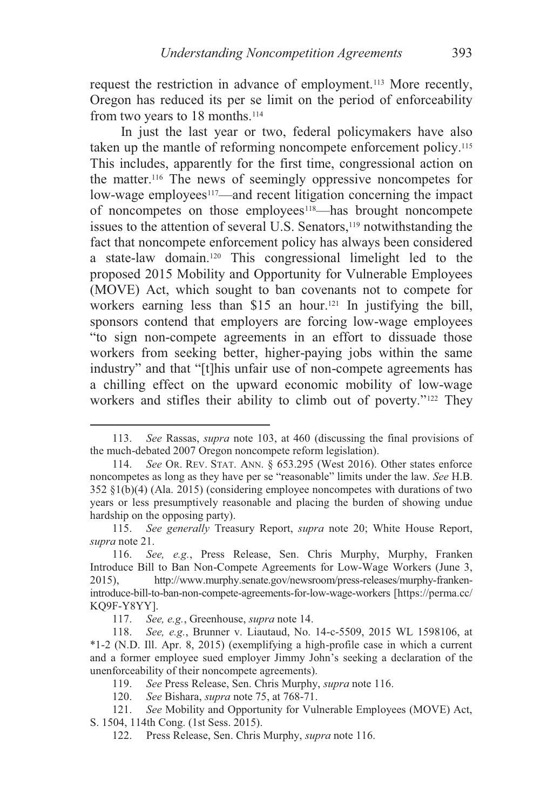request the restriction in advance of employment.113 More recently, Oregon has reduced its per se limit on the period of enforceability from two years to 18 months.114

In just the last year or two, federal policymakers have also taken up the mantle of reforming noncompete enforcement policy.<sup>115</sup> This includes, apparently for the first time, congressional action on the matter.116 The news of seemingly oppressive noncompetes for low-wage employees<sup>117</sup>—and recent litigation concerning the impact of noncompetes on those employees<sup>118</sup>—has brought noncompete issues to the attention of several U.S. Senators,<sup>119</sup> notwithstanding the fact that noncompete enforcement policy has always been considered a state-law domain.120 This congressional limelight led to the proposed 2015 Mobility and Opportunity for Vulnerable Employees (MOVE) Act, which sought to ban covenants not to compete for workers earning less than \$15 an hour.121 In justifying the bill, sponsors contend that employers are forcing low-wage employees "to sign non-compete agreements in an effort to dissuade those workers from seeking better, higher-paying jobs within the same industry" and that "[t]his unfair use of non-compete agreements has a chilling effect on the upward economic mobility of low-wage workers and stifles their ability to climb out of poverty."<sup>122</sup> They

 <sup>113.</sup> *See* Rassas, *supra* note 103, at 460 (discussing the final provisions of the much-debated 2007 Oregon noncompete reform legislation).

<sup>114.</sup> *See* OR. REV. STAT. ANN. § 653.295 (West 2016). Other states enforce noncompetes as long as they have per se "reasonable" limits under the law. *See* H.B. 352 §1(b)(4) (Ala. 2015) (considering employee noncompetes with durations of two years or less presumptively reasonable and placing the burden of showing undue hardship on the opposing party).

<sup>115.</sup> *See generally* Treasury Report, *supra* note 20; White House Report, *supra* note 21.

<sup>116.</sup> *See, e.g.*, Press Release, Sen. Chris Murphy, Murphy, Franken Introduce Bill to Ban Non-Compete Agreements for Low-Wage Workers (June 3, 2015), http://www.murphy.senate.gov/newsroom/press-releases/murphy-frankenintroduce-bill-to-ban-non-compete-agreements-for-low-wage-workers [https://perma.cc/ KQ9F-Y8YY].<br>117. See

<sup>117.</sup> *See, e.g.*, Greenhouse, *supra* note 14.

<sup>118.</sup> *See, e.g.*, Brunner v. Liautaud, No. 14-c-5509, 2015 WL 1598106, at \*1-2 (N.D. Ill. Apr. 8, 2015) (exemplifying a high-profile case in which a current and a former employee sued employer Jimmy John's seeking a declaration of the unenforceability of their noncompete agreements).

 <sup>119.</sup> *See* Press Release, Sen. Chris Murphy, *supra* note 116.

<sup>120.</sup> *See* Bishara, *supra* note 75, at 768-71.

<sup>121.</sup> *See* Mobility and Opportunity for Vulnerable Employees (MOVE) Act, S. 1504, 114th Cong. (1st Sess. 2015).

 <sup>122.</sup> Press Release, Sen. Chris Murphy, *supra* note 116.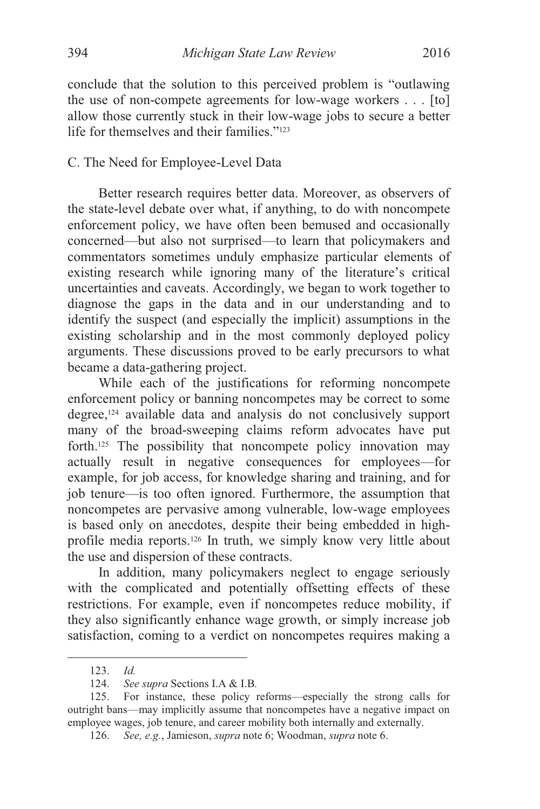conclude that the solution to this perceived problem is "outlawing the use of non-compete agreements for low-wage workers . . . [to] allow those currently stuck in their low-wage jobs to secure a better life for themselves and their families."123

#### C. The Need for Employee-Level Data

Better research requires better data. Moreover, as observers of the state-level debate over what, if anything, to do with noncompete enforcement policy, we have often been bemused and occasionally concerned—but also not surprised—to learn that policymakers and commentators sometimes unduly emphasize particular elements of existing research while ignoring many of the literature's critical uncertainties and caveats. Accordingly, we began to work together to diagnose the gaps in the data and in our understanding and to identify the suspect (and especially the implicit) assumptions in the existing scholarship and in the most commonly deployed policy arguments. These discussions proved to be early precursors to what became a data-gathering project.

While each of the justifications for reforming noncompete enforcement policy or banning noncompetes may be correct to some degree,124 available data and analysis do not conclusively support many of the broad-sweeping claims reform advocates have put forth.125 The possibility that noncompete policy innovation may actually result in negative consequences for employees—for example, for job access, for knowledge sharing and training, and for job tenure—is too often ignored. Furthermore, the assumption that noncompetes are pervasive among vulnerable, low-wage employees is based only on anecdotes, despite their being embedded in highprofile media reports.126 In truth, we simply know very little about the use and dispersion of these contracts.

In addition, many policymakers neglect to engage seriously with the complicated and potentially offsetting effects of these restrictions. For example, even if noncompetes reduce mobility, if they also significantly enhance wage growth, or simply increase job satisfaction, coming to a verdict on noncompetes requires making a

 <sup>123.</sup> *Id.*

<sup>124.</sup> *See supra* Sections I.A & I.B*.*

 <sup>125.</sup> For instance, these policy reforms—especially the strong calls for outright bans—may implicitly assume that noncompetes have a negative impact on employee wages, job tenure, and career mobility both internally and externally.

 <sup>126.</sup> *See, e.g.*, Jamieson, *supra* note 6; Woodman, *supra* note 6.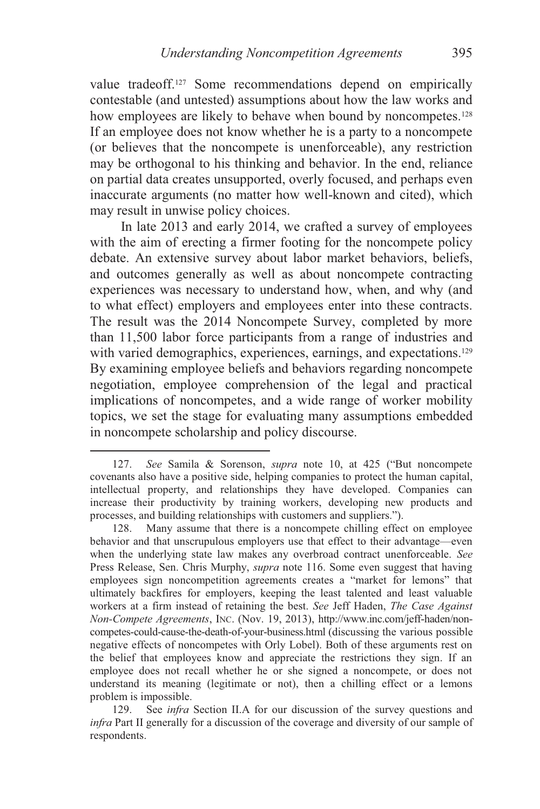value tradeoff.127 Some recommendations depend on empirically contestable (and untested) assumptions about how the law works and how employees are likely to behave when bound by noncompetes.<sup>128</sup> If an employee does not know whether he is a party to a noncompete (or believes that the noncompete is unenforceable), any restriction may be orthogonal to his thinking and behavior. In the end, reliance on partial data creates unsupported, overly focused, and perhaps even inaccurate arguments (no matter how well-known and cited), which may result in unwise policy choices.

In late 2013 and early 2014, we crafted a survey of employees with the aim of erecting a firmer footing for the noncompete policy debate. An extensive survey about labor market behaviors, beliefs, and outcomes generally as well as about noncompete contracting experiences was necessary to understand how, when, and why (and to what effect) employers and employees enter into these contracts. The result was the 2014 Noncompete Survey, completed by more than 11,500 labor force participants from a range of industries and with varied demographics, experiences, earnings, and expectations.<sup>129</sup> By examining employee beliefs and behaviors regarding noncompete negotiation, employee comprehension of the legal and practical implications of noncompetes, and a wide range of worker mobility topics, we set the stage for evaluating many assumptions embedded in noncompete scholarship and policy discourse.

 <sup>127.</sup> *See* Samila & Sorenson, *supra* note 10, at 425 ("But noncompete covenants also have a positive side, helping companies to protect the human capital, intellectual property, and relationships they have developed. Companies can increase their productivity by training workers, developing new products and processes, and building relationships with customers and suppliers.").

 <sup>128.</sup> Many assume that there is a noncompete chilling effect on employee behavior and that unscrupulous employers use that effect to their advantage—even when the underlying state law makes any overbroad contract unenforceable. *See* Press Release, Sen. Chris Murphy, *supra* note 116. Some even suggest that having employees sign noncompetition agreements creates a "market for lemons" that ultimately backfires for employers, keeping the least talented and least valuable workers at a firm instead of retaining the best. *See* Jeff Haden, *The Case Against Non-Compete Agreements*, INC. (Nov. 19, 2013), http://www.inc.com/jeff-haden/noncompetes-could-cause-the-death-of-your-business.html (discussing the various possible negative effects of noncompetes with Orly Lobel). Both of these arguments rest on the belief that employees know and appreciate the restrictions they sign. If an employee does not recall whether he or she signed a noncompete, or does not understand its meaning (legitimate or not), then a chilling effect or a lemons problem is impossible.

 <sup>129.</sup> See *infra* Section II.A for our discussion of the survey questions and *infra* Part II generally for a discussion of the coverage and diversity of our sample of respondents.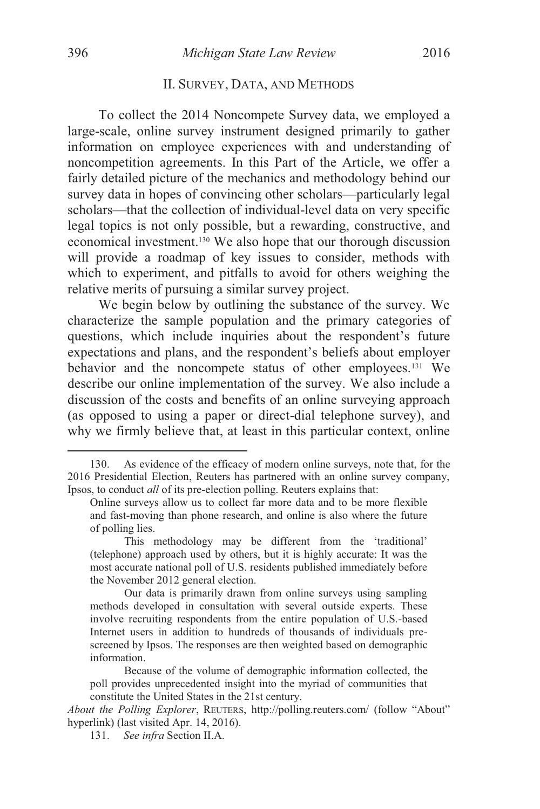#### II. SURVEY, DATA, AND METHODS

To collect the 2014 Noncompete Survey data, we employed a large-scale, online survey instrument designed primarily to gather information on employee experiences with and understanding of noncompetition agreements. In this Part of the Article, we offer a fairly detailed picture of the mechanics and methodology behind our survey data in hopes of convincing other scholars—particularly legal scholars—that the collection of individual-level data on very specific legal topics is not only possible, but a rewarding, constructive, and economical investment.130 We also hope that our thorough discussion will provide a roadmap of key issues to consider, methods with which to experiment, and pitfalls to avoid for others weighing the relative merits of pursuing a similar survey project.

We begin below by outlining the substance of the survey. We characterize the sample population and the primary categories of questions, which include inquiries about the respondent's future expectations and plans, and the respondent's beliefs about employer behavior and the noncompete status of other employees.131 We describe our online implementation of the survey. We also include a discussion of the costs and benefits of an online surveying approach (as opposed to using a paper or direct-dial telephone survey), and why we firmly believe that, at least in this particular context, online

 <sup>130.</sup> As evidence of the efficacy of modern online surveys, note that, for the 2016 Presidential Election, Reuters has partnered with an online survey company, Ipsos, to conduct *all* of its pre-election polling. Reuters explains that:

Online surveys allow us to collect far more data and to be more flexible and fast-moving than phone research, and online is also where the future of polling lies.

This methodology may be different from the 'traditional' (telephone) approach used by others, but it is highly accurate: It was the most accurate national poll of U.S. residents published immediately before the November 2012 general election.

Our data is primarily drawn from online surveys using sampling methods developed in consultation with several outside experts. These involve recruiting respondents from the entire population of U.S.-based Internet users in addition to hundreds of thousands of individuals prescreened by Ipsos. The responses are then weighted based on demographic information.

Because of the volume of demographic information collected, the poll provides unprecedented insight into the myriad of communities that constitute the United States in the 21st century.

*About the Polling Explorer*, REUTERS, http://polling.reuters.com/ (follow "About" hyperlink) (last visited Apr. 14, 2016).

<sup>131.</sup> *See infra* Section II.A.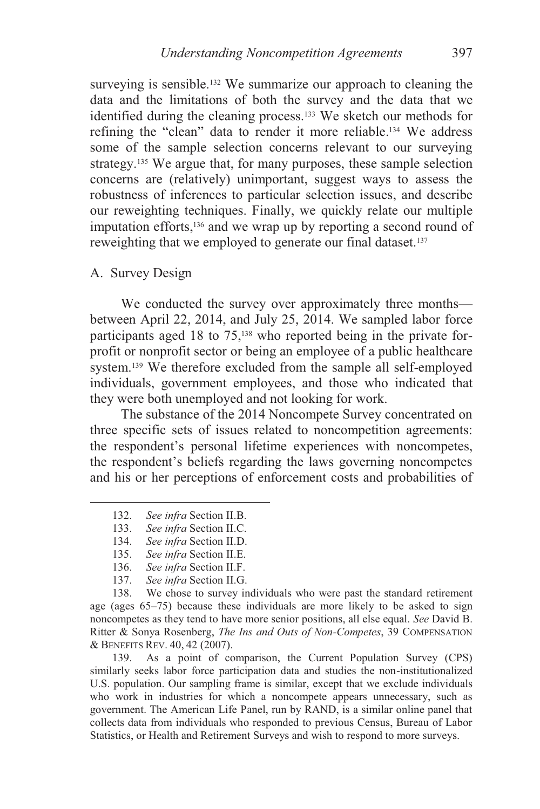surveying is sensible.<sup>132</sup> We summarize our approach to cleaning the data and the limitations of both the survey and the data that we identified during the cleaning process.133 We sketch our methods for refining the "clean" data to render it more reliable.134 We address some of the sample selection concerns relevant to our surveying strategy.135 We argue that, for many purposes, these sample selection concerns are (relatively) unimportant, suggest ways to assess the robustness of inferences to particular selection issues, and describe our reweighting techniques. Finally, we quickly relate our multiple imputation efforts,136 and we wrap up by reporting a second round of reweighting that we employed to generate our final dataset.<sup>137</sup>

A. Survey Design

We conducted the survey over approximately three months between April 22, 2014, and July 25, 2014. We sampled labor force participants aged 18 to 75,<sup>138</sup> who reported being in the private forprofit or nonprofit sector or being an employee of a public healthcare system.<sup>139</sup> We therefore excluded from the sample all self-employed individuals, government employees, and those who indicated that they were both unemployed and not looking for work.

The substance of the 2014 Noncompete Survey concentrated on three specific sets of issues related to noncompetition agreements: the respondent's personal lifetime experiences with noncompetes, the respondent's beliefs regarding the laws governing noncompetes and his or her perceptions of enforcement costs and probabilities of

- 132. *See infra* Section II.B.
- 133. *See infra* Section II.C.
- 134. *See infra* Section II.D.
- 135. *See infra* Section II.E.
- 136. *See infra* Section II.F.
- 137. *See infra* Section II.G.

 138. We chose to survey individuals who were past the standard retirement age (ages 65–75) because these individuals are more likely to be asked to sign noncompetes as they tend to have more senior positions, all else equal. *See* David B. Ritter & Sonya Rosenberg, *The Ins and Outs of Non-Competes*, 39 COMPENSATION & BENEFITS REV. 40, 42 (2007).

 139. As a point of comparison, the Current Population Survey (CPS) similarly seeks labor force participation data and studies the non-institutionalized U.S. population. Our sampling frame is similar, except that we exclude individuals who work in industries for which a noncompete appears unnecessary, such as government. The American Life Panel, run by RAND, is a similar online panel that collects data from individuals who responded to previous Census, Bureau of Labor Statistics, or Health and Retirement Surveys and wish to respond to more surveys.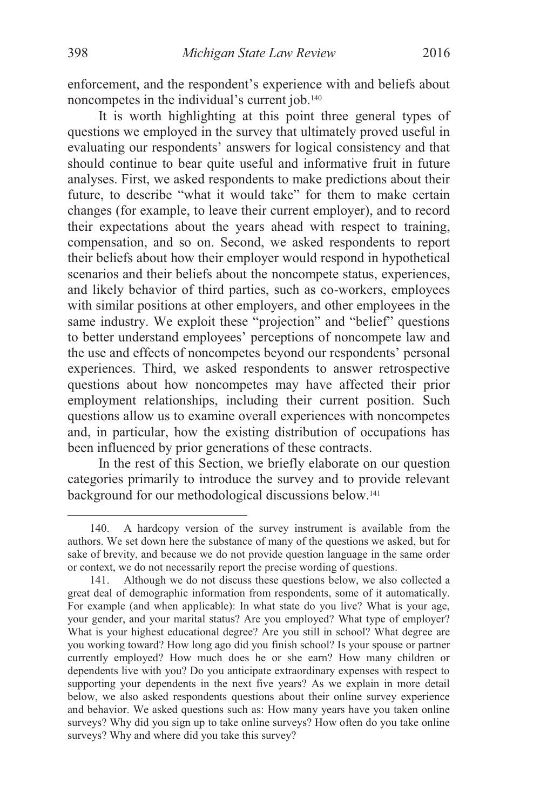enforcement, and the respondent's experience with and beliefs about noncompetes in the individual's current job.140

It is worth highlighting at this point three general types of questions we employed in the survey that ultimately proved useful in evaluating our respondents' answers for logical consistency and that should continue to bear quite useful and informative fruit in future analyses. First, we asked respondents to make predictions about their future, to describe "what it would take" for them to make certain changes (for example, to leave their current employer), and to record their expectations about the years ahead with respect to training, compensation, and so on. Second, we asked respondents to report their beliefs about how their employer would respond in hypothetical scenarios and their beliefs about the noncompete status, experiences, and likely behavior of third parties, such as co-workers, employees with similar positions at other employers, and other employees in the same industry. We exploit these "projection" and "belief" questions to better understand employees' perceptions of noncompete law and the use and effects of noncompetes beyond our respondents' personal experiences. Third, we asked respondents to answer retrospective questions about how noncompetes may have affected their prior employment relationships, including their current position. Such questions allow us to examine overall experiences with noncompetes and, in particular, how the existing distribution of occupations has been influenced by prior generations of these contracts.

In the rest of this Section, we briefly elaborate on our question categories primarily to introduce the survey and to provide relevant background for our methodological discussions below.141

 <sup>140.</sup> A hardcopy version of the survey instrument is available from the authors. We set down here the substance of many of the questions we asked, but for sake of brevity, and because we do not provide question language in the same order or context, we do not necessarily report the precise wording of questions.

 <sup>141.</sup> Although we do not discuss these questions below, we also collected a great deal of demographic information from respondents, some of it automatically. For example (and when applicable): In what state do you live? What is your age, your gender, and your marital status? Are you employed? What type of employer? What is your highest educational degree? Are you still in school? What degree are you working toward? How long ago did you finish school? Is your spouse or partner currently employed? How much does he or she earn? How many children or dependents live with you? Do you anticipate extraordinary expenses with respect to supporting your dependents in the next five years? As we explain in more detail below, we also asked respondents questions about their online survey experience and behavior. We asked questions such as: How many years have you taken online surveys? Why did you sign up to take online surveys? How often do you take online surveys? Why and where did you take this survey?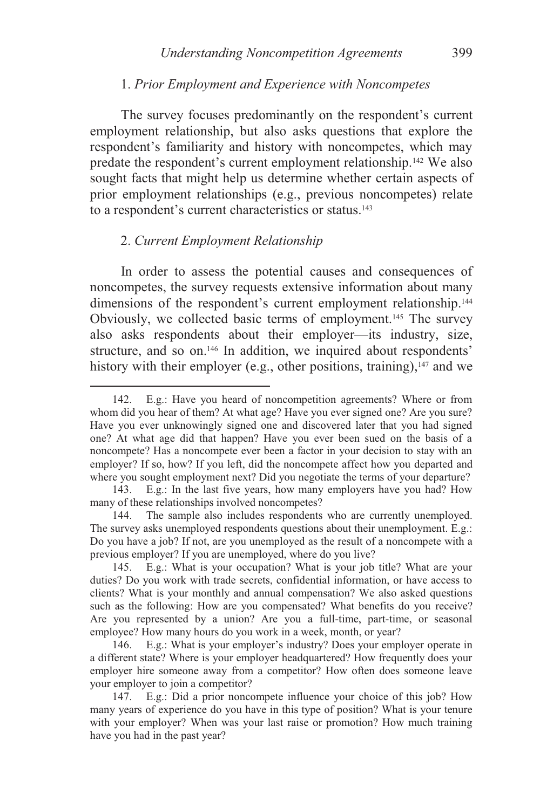#### 1. *Prior Employment and Experience with Noncompetes*

The survey focuses predominantly on the respondent's current employment relationship, but also asks questions that explore the respondent's familiarity and history with noncompetes, which may predate the respondent's current employment relationship.142 We also sought facts that might help us determine whether certain aspects of prior employment relationships (e.g., previous noncompetes) relate to a respondent's current characteristics or status.<sup>143</sup>

#### 2. *Current Employment Relationship*

 $\overline{a}$ 

In order to assess the potential causes and consequences of noncompetes, the survey requests extensive information about many dimensions of the respondent's current employment relationship.<sup>144</sup> Obviously, we collected basic terms of employment.145 The survey also asks respondents about their employer—its industry, size, structure, and so on.<sup>146</sup> In addition, we inquired about respondents' history with their employer (e.g., other positions, training), $147$  and we

 <sup>142.</sup> E.g.: Have you heard of noncompetition agreements? Where or from whom did you hear of them? At what age? Have you ever signed one? Are you sure? Have you ever unknowingly signed one and discovered later that you had signed one? At what age did that happen? Have you ever been sued on the basis of a noncompete? Has a noncompete ever been a factor in your decision to stay with an employer? If so, how? If you left, did the noncompete affect how you departed and where you sought employment next? Did you negotiate the terms of your departure?

 <sup>143.</sup> E.g.: In the last five years, how many employers have you had? How many of these relationships involved noncompetes?

 <sup>144.</sup> The sample also includes respondents who are currently unemployed. The survey asks unemployed respondents questions about their unemployment. E.g.: Do you have a job? If not, are you unemployed as the result of a noncompete with a previous employer? If you are unemployed, where do you live?

 <sup>145.</sup> E.g.: What is your occupation? What is your job title? What are your duties? Do you work with trade secrets, confidential information, or have access to clients? What is your monthly and annual compensation? We also asked questions such as the following: How are you compensated? What benefits do you receive? Are you represented by a union? Are you a full-time, part-time, or seasonal employee? How many hours do you work in a week, month, or year?

 <sup>146.</sup> E.g.: What is your employer's industry? Does your employer operate in a different state? Where is your employer headquartered? How frequently does your employer hire someone away from a competitor? How often does someone leave your employer to join a competitor?

 <sup>147.</sup> E.g.: Did a prior noncompete influence your choice of this job? How many years of experience do you have in this type of position? What is your tenure with your employer? When was your last raise or promotion? How much training have you had in the past year?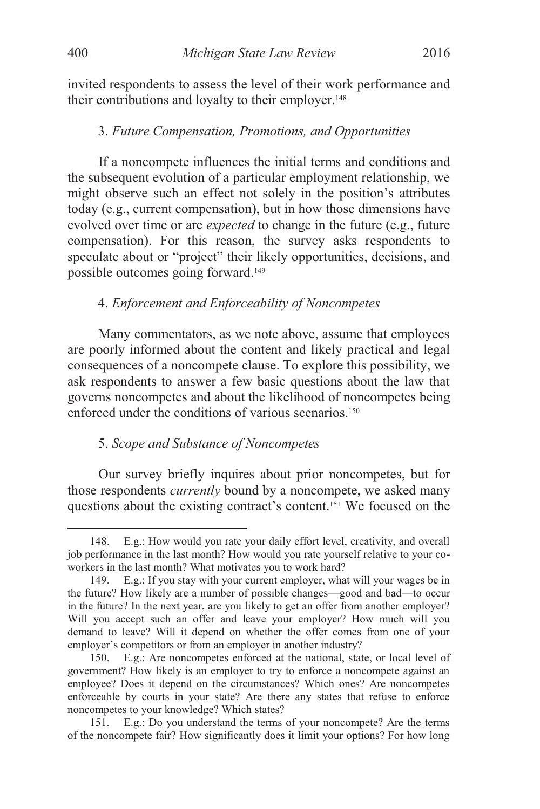invited respondents to assess the level of their work performance and their contributions and loyalty to their employer.<sup>148</sup>

#### 3. *Future Compensation, Promotions, and Opportunities*

If a noncompete influences the initial terms and conditions and the subsequent evolution of a particular employment relationship, we might observe such an effect not solely in the position's attributes today (e.g., current compensation), but in how those dimensions have evolved over time or are *expected* to change in the future (e.g., future compensation). For this reason, the survey asks respondents to speculate about or "project" their likely opportunities, decisions, and possible outcomes going forward.149

#### 4. *Enforcement and Enforceability of Noncompetes*

Many commentators, as we note above, assume that employees are poorly informed about the content and likely practical and legal consequences of a noncompete clause. To explore this possibility, we ask respondents to answer a few basic questions about the law that governs noncompetes and about the likelihood of noncompetes being enforced under the conditions of various scenarios.<sup>150</sup>

#### 5. *Scope and Substance of Noncompetes*

Our survey briefly inquires about prior noncompetes, but for those respondents *currently* bound by a noncompete, we asked many questions about the existing contract's content.151 We focused on the

 <sup>148.</sup> E.g.: How would you rate your daily effort level, creativity, and overall job performance in the last month? How would you rate yourself relative to your coworkers in the last month? What motivates you to work hard?

 <sup>149.</sup> E.g.: If you stay with your current employer, what will your wages be in the future? How likely are a number of possible changes—good and bad—to occur in the future? In the next year, are you likely to get an offer from another employer? Will you accept such an offer and leave your employer? How much will you demand to leave? Will it depend on whether the offer comes from one of your employer's competitors or from an employer in another industry?

 <sup>150.</sup> E.g.: Are noncompetes enforced at the national, state, or local level of government? How likely is an employer to try to enforce a noncompete against an employee? Does it depend on the circumstances? Which ones? Are noncompetes enforceable by courts in your state? Are there any states that refuse to enforce noncompetes to your knowledge? Which states?

 <sup>151.</sup> E.g.: Do you understand the terms of your noncompete? Are the terms of the noncompete fair? How significantly does it limit your options? For how long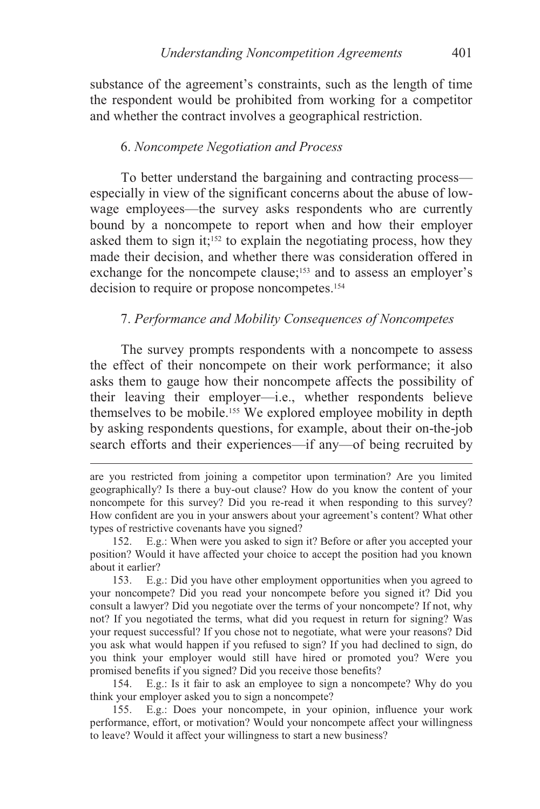substance of the agreement's constraints, such as the length of time the respondent would be prohibited from working for a competitor and whether the contract involves a geographical restriction.

#### 6. *Noncompete Negotiation and Process*

To better understand the bargaining and contracting process especially in view of the significant concerns about the abuse of lowwage employees—the survey asks respondents who are currently bound by a noncompete to report when and how their employer asked them to sign it;<sup>152</sup> to explain the negotiating process, how they made their decision, and whether there was consideration offered in exchange for the noncompete clause;<sup>153</sup> and to assess an employer's decision to require or propose noncompetes.<sup>154</sup>

#### 7. *Performance and Mobility Consequences of Noncompetes*

The survey prompts respondents with a noncompete to assess the effect of their noncompete on their work performance; it also asks them to gauge how their noncompete affects the possibility of their leaving their employer—i.e., whether respondents believe themselves to be mobile.155 We explored employee mobility in depth by asking respondents questions, for example, about their on-the-job search efforts and their experiences—if any—of being recruited by

 $\overline{a}$ 

 154. E.g.: Is it fair to ask an employee to sign a noncompete? Why do you think your employer asked you to sign a noncompete?

 155. E.g.: Does your noncompete, in your opinion, influence your work performance, effort, or motivation? Would your noncompete affect your willingness to leave? Would it affect your willingness to start a new business?

are you restricted from joining a competitor upon termination? Are you limited geographically? Is there a buy-out clause? How do you know the content of your noncompete for this survey? Did you re-read it when responding to this survey? How confident are you in your answers about your agreement's content? What other types of restrictive covenants have you signed?

 <sup>152.</sup> E.g.: When were you asked to sign it? Before or after you accepted your position? Would it have affected your choice to accept the position had you known about it earlier?

 <sup>153.</sup> E.g.: Did you have other employment opportunities when you agreed to your noncompete? Did you read your noncompete before you signed it? Did you consult a lawyer? Did you negotiate over the terms of your noncompete? If not, why not? If you negotiated the terms, what did you request in return for signing? Was your request successful? If you chose not to negotiate, what were your reasons? Did you ask what would happen if you refused to sign? If you had declined to sign, do you think your employer would still have hired or promoted you? Were you promised benefits if you signed? Did you receive those benefits?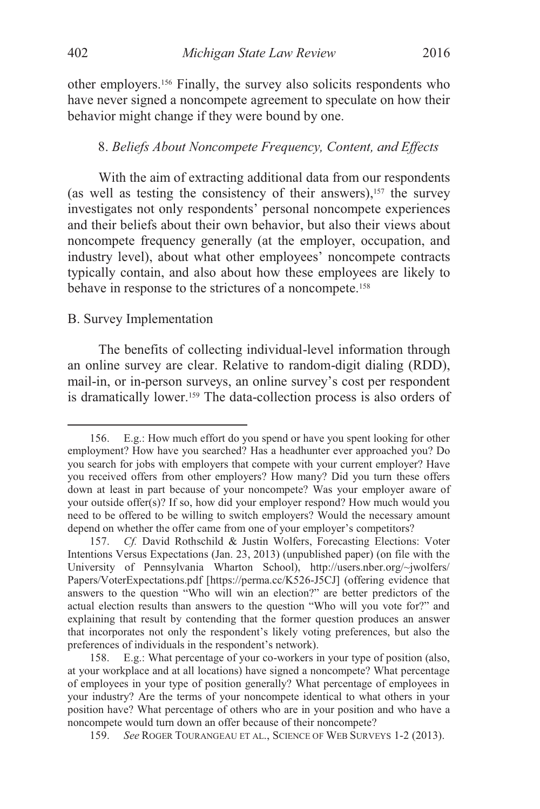other employers.156 Finally, the survey also solicits respondents who have never signed a noncompete agreement to speculate on how their behavior might change if they were bound by one.

#### 8. *Beliefs About Noncompete Frequency, Content, and Effects*

With the aim of extracting additional data from our respondents (as well as testing the consistency of their answers), $157$  the survey investigates not only respondents' personal noncompete experiences and their beliefs about their own behavior, but also their views about noncompete frequency generally (at the employer, occupation, and industry level), about what other employees' noncompete contracts typically contain, and also about how these employees are likely to behave in response to the strictures of a noncompete.158

#### B. Survey Implementation

The benefits of collecting individual-level information through an online survey are clear. Relative to random-digit dialing (RDD), mail-in, or in-person surveys, an online survey's cost per respondent is dramatically lower.159 The data-collection process is also orders of

 <sup>156.</sup> E.g.: How much effort do you spend or have you spent looking for other employment? How have you searched? Has a headhunter ever approached you? Do you search for jobs with employers that compete with your current employer? Have you received offers from other employers? How many? Did you turn these offers down at least in part because of your noncompete? Was your employer aware of your outside offer(s)? If so, how did your employer respond? How much would you need to be offered to be willing to switch employers? Would the necessary amount depend on whether the offer came from one of your employer's competitors?

<sup>157.</sup> *Cf.* David Rothschild & Justin Wolfers, Forecasting Elections: Voter Intentions Versus Expectations (Jan. 23, 2013) (unpublished paper) (on file with the University of Pennsylvania Wharton School), http://users.nber.org/~jwolfers/ Papers/VoterExpectations.pdf [https://perma.cc/K526-J5CJ] (offering evidence that answers to the question "Who will win an election?" are better predictors of the actual election results than answers to the question "Who will you vote for?" and explaining that result by contending that the former question produces an answer that incorporates not only the respondent's likely voting preferences, but also the preferences of individuals in the respondent's network).

 <sup>158.</sup> E.g.: What percentage of your co-workers in your type of position (also, at your workplace and at all locations) have signed a noncompete? What percentage of employees in your type of position generally? What percentage of employees in your industry? Are the terms of your noncompete identical to what others in your position have? What percentage of others who are in your position and who have a noncompete would turn down an offer because of their noncompete?

 <sup>159.</sup> *See* ROGER TOURANGEAU ET AL., SCIENCE OF WEB SURVEYS 1-2 (2013).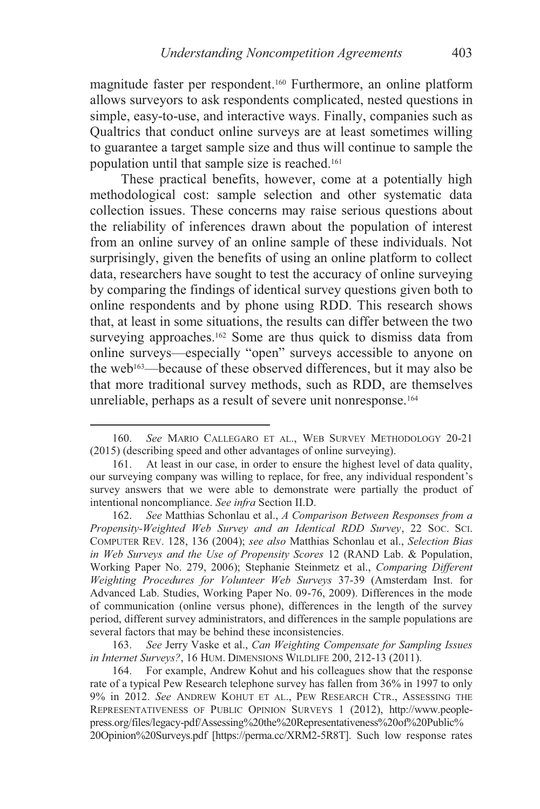magnitude faster per respondent.160 Furthermore, an online platform allows surveyors to ask respondents complicated, nested questions in simple, easy-to-use, and interactive ways. Finally, companies such as Qualtrics that conduct online surveys are at least sometimes willing to guarantee a target sample size and thus will continue to sample the population until that sample size is reached.161

These practical benefits, however, come at a potentially high methodological cost: sample selection and other systematic data collection issues. These concerns may raise serious questions about the reliability of inferences drawn about the population of interest from an online survey of an online sample of these individuals. Not surprisingly, given the benefits of using an online platform to collect data, researchers have sought to test the accuracy of online surveying by comparing the findings of identical survey questions given both to online respondents and by phone using RDD. This research shows that, at least in some situations, the results can differ between the two surveying approaches.<sup>162</sup> Some are thus quick to dismiss data from online surveys—especially "open" surveys accessible to anyone on the web163—because of these observed differences, but it may also be that more traditional survey methods, such as RDD, are themselves unreliable, perhaps as a result of severe unit nonresponse.<sup>164</sup>

 $\overline{a}$ 

 163. *See* Jerry Vaske et al., *Can Weighting Compensate for Sampling Issues in Internet Surveys?*, 16 HUM. DIMENSIONS WILDLIFE 200, 212-13 (2011).

 164. For example, Andrew Kohut and his colleagues show that the response rate of a typical Pew Research telephone survey has fallen from 36% in 1997 to only 9% in 2012. *See* ANDREW KOHUT ET AL., PEW RESEARCH CTR., ASSESSING THE REPRESENTATIVENESS OF PUBLIC OPINION SURVEYS 1 (2012), http://www.peoplepress.org/files/legacy-pdf/Assessing%20the%20Representativeness%20of%20Public% 20Opinion%20Surveys.pdf [https://perma.cc/XRM2-5R8T]. Such low response rates

 <sup>160.</sup> *See* MARIO CALLEGARO ET AL., WEB SURVEY METHODOLOGY 20-21 (2015) (describing speed and other advantages of online surveying).

 <sup>161.</sup> At least in our case, in order to ensure the highest level of data quality, our surveying company was willing to replace, for free, any individual respondent's survey answers that we were able to demonstrate were partially the product of intentional noncompliance. *See infra* Section II.D.

 <sup>162.</sup> *See* Matthias Schonlau et al., *A Comparison Between Responses from a Propensity-Weighted Web Survey and an Identical RDD Survey*, 22 SOC. SCI. COMPUTER REV. 128, 136 (2004); *see also* Matthias Schonlau et al., *Selection Bias in Web Surveys and the Use of Propensity Scores* 12 (RAND Lab. & Population, Working Paper No. 279, 2006); Stephanie Steinmetz et al., *Comparing Different Weighting Procedures for Volunteer Web Surveys* 37-39 (Amsterdam Inst. for Advanced Lab. Studies, Working Paper No. 09-76, 2009). Differences in the mode of communication (online versus phone), differences in the length of the survey period, different survey administrators, and differences in the sample populations are several factors that may be behind these inconsistencies.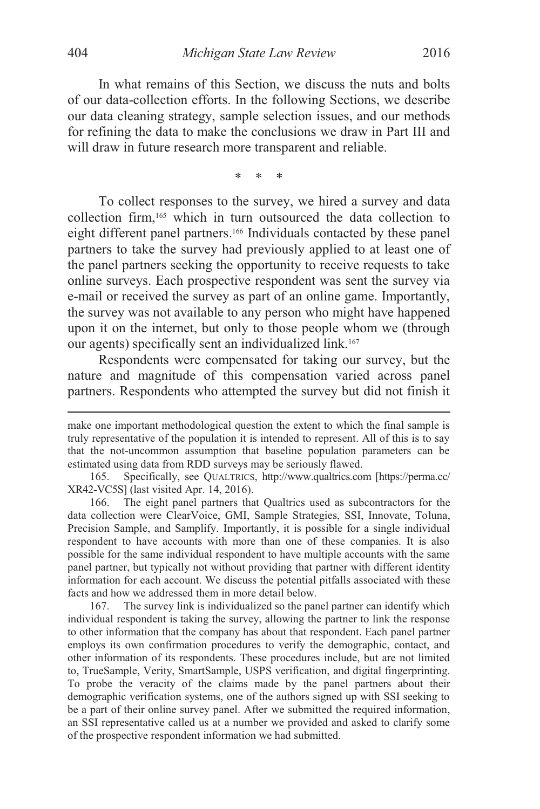In what remains of this Section, we discuss the nuts and bolts of our data-collection efforts. In the following Sections, we describe our data cleaning strategy, sample selection issues, and our methods for refining the data to make the conclusions we draw in Part III and will draw in future research more transparent and reliable.

\* \* \*

To collect responses to the survey, we hired a survey and data collection firm,165 which in turn outsourced the data collection to eight different panel partners.166 Individuals contacted by these panel partners to take the survey had previously applied to at least one of the panel partners seeking the opportunity to receive requests to take online surveys. Each prospective respondent was sent the survey via e-mail or received the survey as part of an online game. Importantly, the survey was not available to any person who might have happened upon it on the internet, but only to those people whom we (through our agents) specifically sent an individualized link.167

Respondents were compensated for taking our survey, but the nature and magnitude of this compensation varied across panel partners. Respondents who attempted the survey but did not finish it

make one important methodological question the extent to which the final sample is truly representative of the population it is intended to represent. All of this is to say that the not-uncommon assumption that baseline population parameters can be estimated using data from RDD surveys may be seriously flawed.

 <sup>165.</sup> Specifically, see QUALTRICS, http://www.qualtrics.com [https://perma.cc/ XR42-VC5S] (last visited Apr. 14, 2016).

 <sup>166.</sup> The eight panel partners that Qualtrics used as subcontractors for the data collection were ClearVoice, GMI, Sample Strategies, SSI, Innovate, Toluna, Precision Sample, and Samplify. Importantly, it is possible for a single individual respondent to have accounts with more than one of these companies. It is also possible for the same individual respondent to have multiple accounts with the same panel partner, but typically not without providing that partner with different identity information for each account. We discuss the potential pitfalls associated with these facts and how we addressed them in more detail below.

 <sup>167.</sup> The survey link is individualized so the panel partner can identify which individual respondent is taking the survey, allowing the partner to link the response to other information that the company has about that respondent. Each panel partner employs its own confirmation procedures to verify the demographic, contact, and other information of its respondents. These procedures include, but are not limited to, TrueSample, Verity, SmartSample, USPS verification, and digital fingerprinting. To probe the veracity of the claims made by the panel partners about their demographic verification systems, one of the authors signed up with SSI seeking to be a part of their online survey panel. After we submitted the required information, an SSI representative called us at a number we provided and asked to clarify some of the prospective respondent information we had submitted.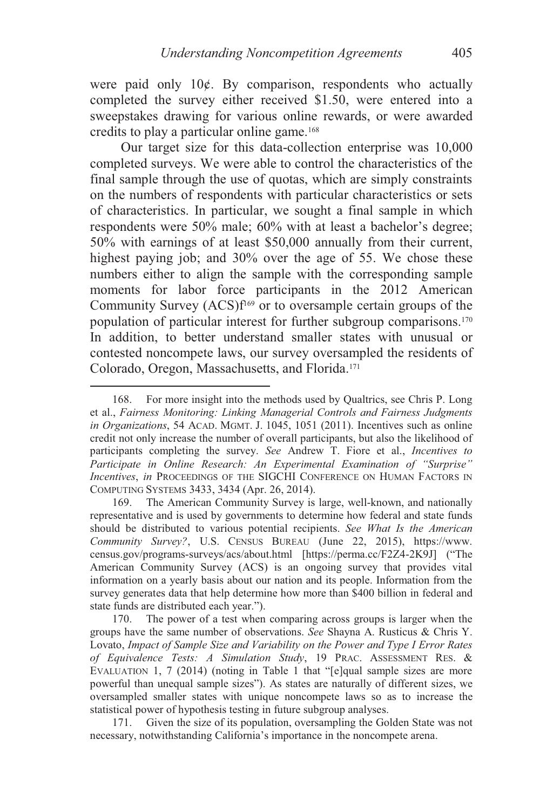were paid only 10¢. By comparison, respondents who actually completed the survey either received \$1.50, were entered into a sweepstakes drawing for various online rewards, or were awarded credits to play a particular online game.168

Our target size for this data-collection enterprise was 10,000 completed surveys. We were able to control the characteristics of the final sample through the use of quotas, which are simply constraints on the numbers of respondents with particular characteristics or sets of characteristics. In particular, we sought a final sample in which respondents were 50% male; 60% with at least a bachelor's degree; 50% with earnings of at least \$50,000 annually from their current, highest paying job; and 30% over the age of 55. We chose these numbers either to align the sample with the corresponding sample moments for labor force participants in the 2012 American Community Survey  $(ACS)f<sup>169</sup>$  or to oversample certain groups of the population of particular interest for further subgroup comparisons.170 In addition, to better understand smaller states with unusual or contested noncompete laws, our survey oversampled the residents of Colorado, Oregon, Massachusetts, and Florida.171

 <sup>168.</sup> For more insight into the methods used by Qualtrics, see Chris P. Long et al., *Fairness Monitoring: Linking Managerial Controls and Fairness Judgments in Organizations*, 54 ACAD. MGMT. J. 1045, 1051 (2011). Incentives such as online credit not only increase the number of overall participants, but also the likelihood of participants completing the survey. *See* Andrew T. Fiore et al., *Incentives to Participate in Online Research: An Experimental Examination of "Surprise" Incentives*, *in* PROCEEDINGS OF THE SIGCHI CONFERENCE ON HUMAN FACTORS IN COMPUTING SYSTEMS 3433, 3434 (Apr. 26, 2014).

 <sup>169.</sup> The American Community Survey is large, well-known, and nationally representative and is used by governments to determine how federal and state funds should be distributed to various potential recipients. *See What Is the American Community Survey?*, U.S. CENSUS BUREAU (June 22, 2015), https://www. census.gov/programs-surveys/acs/about.html [https://perma.cc/F2Z4-2K9J] ("The American Community Survey (ACS) is an ongoing survey that provides vital information on a yearly basis about our nation and its people. Information from the survey generates data that help determine how more than \$400 billion in federal and state funds are distributed each year.").

 <sup>170.</sup> The power of a test when comparing across groups is larger when the groups have the same number of observations. *See* Shayna A. Rusticus & Chris Y. Lovato, *Impact of Sample Size and Variability on the Power and Type I Error Rates of Equivalence Tests: A Simulation Study*, 19 PRAC. ASSESSMENT RES. & EVALUATION 1, 7 (2014) (noting in Table 1 that "[e]qual sample sizes are more powerful than unequal sample sizes"). As states are naturally of different sizes, we oversampled smaller states with unique noncompete laws so as to increase the statistical power of hypothesis testing in future subgroup analyses.

 <sup>171.</sup> Given the size of its population, oversampling the Golden State was not necessary, notwithstanding California's importance in the noncompete arena.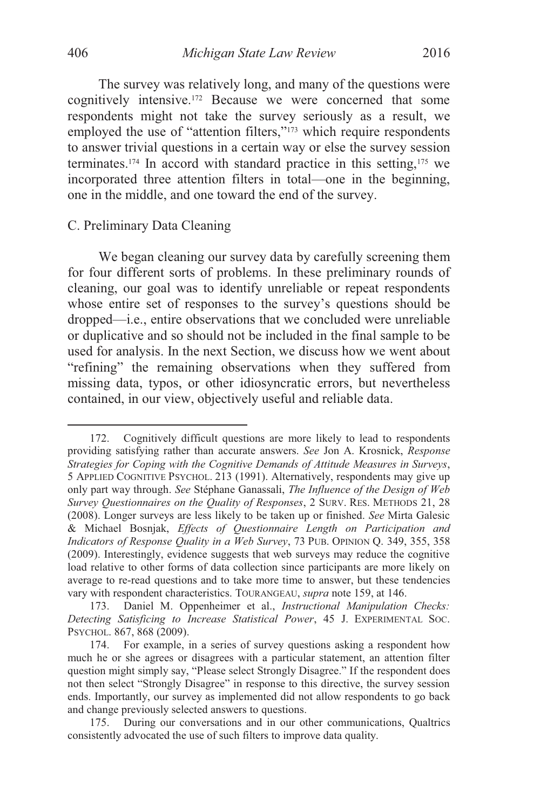The survey was relatively long, and many of the questions were cognitively intensive.172 Because we were concerned that some respondents might not take the survey seriously as a result, we employed the use of "attention filters,"<sup>173</sup> which require respondents to answer trivial questions in a certain way or else the survey session terminates.174 In accord with standard practice in this setting,175 we incorporated three attention filters in total—one in the beginning, one in the middle, and one toward the end of the survey.

### C. Preliminary Data Cleaning

We began cleaning our survey data by carefully screening them for four different sorts of problems. In these preliminary rounds of cleaning, our goal was to identify unreliable or repeat respondents whose entire set of responses to the survey's questions should be dropped—i.e., entire observations that we concluded were unreliable or duplicative and so should not be included in the final sample to be used for analysis. In the next Section, we discuss how we went about "refining" the remaining observations when they suffered from missing data, typos, or other idiosyncratic errors, but nevertheless contained, in our view, objectively useful and reliable data.

 <sup>172.</sup> Cognitively difficult questions are more likely to lead to respondents providing satisfying rather than accurate answers. *See* Jon A. Krosnick, *Response Strategies for Coping with the Cognitive Demands of Attitude Measures in Surveys*, 5 APPLIED COGNITIVE PSYCHOL. 213 (1991). Alternatively, respondents may give up only part way through. *See* Stéphane Ganassali, *The Influence of the Design of Web Survey Questionnaires on the Quality of Responses*, 2 SURV. RES. METHODS 21, 28 (2008). Longer surveys are less likely to be taken up or finished. *See* Mirta Galesic & Michael Bosnjak, *Effects of Questionnaire Length on Participation and Indicators of Response Quality in a Web Survey*, 73 PUB. OPINION Q. 349, 355, 358 (2009). Interestingly, evidence suggests that web surveys may reduce the cognitive load relative to other forms of data collection since participants are more likely on average to re-read questions and to take more time to answer, but these tendencies vary with respondent characteristics. TOURANGEAU, *supra* note 159, at 146.

 <sup>173.</sup> Daniel M. Oppenheimer et al., *Instructional Manipulation Checks: Detecting Satisficing to Increase Statistical Power*, 45 J. EXPERIMENTAL SOC. PSYCHOL. 867, 868 (2009).

 <sup>174.</sup> For example, in a series of survey questions asking a respondent how much he or she agrees or disagrees with a particular statement, an attention filter question might simply say, "Please select Strongly Disagree." If the respondent does not then select "Strongly Disagree" in response to this directive, the survey session ends. Importantly, our survey as implemented did not allow respondents to go back and change previously selected answers to questions.

 <sup>175.</sup> During our conversations and in our other communications, Qualtrics consistently advocated the use of such filters to improve data quality.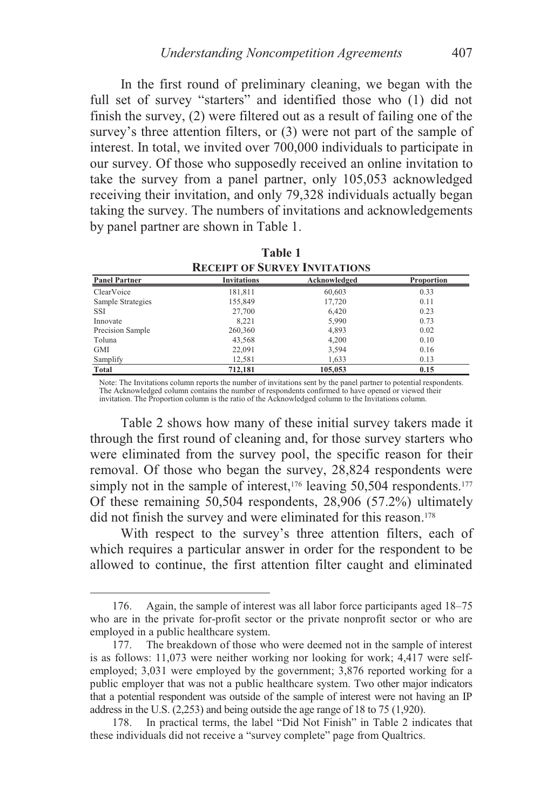In the first round of preliminary cleaning, we began with the full set of survey "starters" and identified those who (1) did not finish the survey, (2) were filtered out as a result of failing one of the survey's three attention filters, or (3) were not part of the sample of interest. In total, we invited over 700,000 individuals to participate in our survey. Of those who supposedly received an online invitation to take the survey from a panel partner, only 105,053 acknowledged receiving their invitation, and only 79,328 individuals actually began taking the survey. The numbers of invitations and acknowledgements by panel partner are shown in Table 1.

| <b>RECEIPT OF SURVEY INVITATIONS</b> |                    |              |            |  |
|--------------------------------------|--------------------|--------------|------------|--|
| <b>Panel Partner</b>                 | <b>Invitations</b> | Acknowledged | Proportion |  |
| ClearVoice                           | 181,811            | 60,603       | 0.33       |  |
| Sample Strategies                    | 155,849            | 17,720       | 0.11       |  |
| SSI                                  | 27,700             | 6,420        | 0.23       |  |
| Innovate                             | 8.221              | 5,990        | 0.73       |  |
| Precision Sample                     | 260,360            | 4,893        | 0.02       |  |
| Toluna                               | 43,568             | 4,200        | 0.10       |  |
| GMI                                  | 22,091             | 3,594        | 0.16       |  |
| Samplify                             | 12,581             | 1,633        | 0.13       |  |
| Total                                | 712,181            | 105,053      | 0.15       |  |

**Table 1 RECEIPT OF SURVEY INVITATIONS**

Note: The Invitations column reports the number of invitations sent by the panel partner to potential respondents. The Acknowledged column contains the number of respondents confirmed to have opened or viewed their invitation. The Proportion column is the ratio of the Acknowledged column to the Invitations column.

Table 2 shows how many of these initial survey takers made it through the first round of cleaning and, for those survey starters who were eliminated from the survey pool, the specific reason for their removal. Of those who began the survey, 28,824 respondents were simply not in the sample of interest,  $176$  leaving 50,504 respondents.<sup>177</sup> Of these remaining 50,504 respondents, 28,906 (57.2%) ultimately did not finish the survey and were eliminated for this reason.<sup>178</sup>

With respect to the survey's three attention filters, each of which requires a particular answer in order for the respondent to be allowed to continue, the first attention filter caught and eliminated

 <sup>176.</sup> Again, the sample of interest was all labor force participants aged 18–75 who are in the private for-profit sector or the private nonprofit sector or who are employed in a public healthcare system.

 <sup>177.</sup> The breakdown of those who were deemed not in the sample of interest is as follows: 11,073 were neither working nor looking for work; 4,417 were selfemployed; 3,031 were employed by the government; 3,876 reported working for a public employer that was not a public healthcare system. Two other major indicators that a potential respondent was outside of the sample of interest were not having an IP address in the U.S. (2,253) and being outside the age range of 18 to 75 (1,920).

 <sup>178.</sup> In practical terms, the label "Did Not Finish" in Table 2 indicates that these individuals did not receive a "survey complete" page from Qualtrics.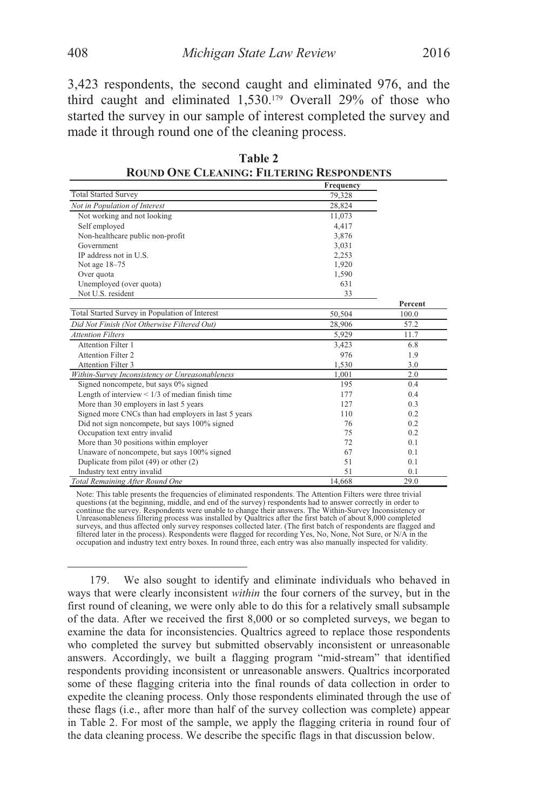3,423 respondents, the second caught and eliminated 976, and the third caught and eliminated 1,530.179 Overall 29% of those who started the survey in our sample of interest completed the survey and made it through round one of the cleaning process.

|                                                      | Frequency |         |
|------------------------------------------------------|-----------|---------|
| <b>Total Started Survey</b>                          | 79,328    |         |
| Not in Population of Interest                        | 28,824    |         |
| Not working and not looking                          | 11,073    |         |
| Self employed                                        | 4.417     |         |
| Non-healthcare public non-profit                     | 3,876     |         |
| Government                                           | 3,031     |         |
| IP address not in U.S.                               | 2,253     |         |
| Not age 18-75                                        | 1,920     |         |
| Over quota                                           | 1,590     |         |
| Unemployed (over quota)                              | 631       |         |
| Not U.S. resident                                    | 33        |         |
|                                                      |           | Percent |
| Total Started Survey in Population of Interest       | 50,504    | 100.0   |
| Did Not Finish (Not Otherwise Filtered Out)          | 28,906    | 57.2    |
| <b>Attention Filters</b>                             | 5,929     | 11.7    |
| Attention Filter 1                                   | 3,423     | 6.8     |
| Attention Filter 2                                   | 976       | 1.9     |
| <b>Attention Filter 3</b>                            | 1,530     | 3.0     |
| Within-Survey Inconsistency or Unreasonableness      | 1.001     | 2.0     |
| Signed noncompete, but says 0% signed                | 195       | 0.4     |
| Length of interview $\leq 1/3$ of median finish time | 177       | 0.4     |
| More than 30 employers in last 5 years               | 127       | 0.3     |
| Signed more CNCs than had employers in last 5 years  | 110       | 0.2     |
| Did not sign noncompete, but says 100% signed        | 76        | 0.2     |
| Occupation text entry invalid                        | 75        | 0.2     |
| More than 30 positions within employer               | 72        | 0.1     |
| Unaware of noncompete, but says 100% signed          | 67        | 0.1     |
| Duplicate from pilot $(49)$ or other $(2)$           | 51        | 0.1     |
| Industry text entry invalid                          | 51        | 0.1     |
| Total Remaining After Round One                      | 14.668    | 29.0    |

**Table 2 ROUND ONE CLEANING: FILTERING RESPONDENTS**

Note: This table presents the frequencies of eliminated respondents. The Attention Filters were three trivial<br>questions (at the beginning, middle, and end of the survey) respondents had to answer correctly in order to<br>cont Unreasonableness filtering process was installed by Qualtrics after the first batch of about 8,000 completed surveys, and thus affected only survey responses collected later. (The first batch of respondents are flagged and filtered later in the process). Respondents were flagged for recording Yes, No, None, Not Sure, or N/A in the occupation and industry text entry boxes. In round three, each entry was also manually inspected for validity.

 179. We also sought to identify and eliminate individuals who behaved in ways that were clearly inconsistent *within* the four corners of the survey, but in the first round of cleaning, we were only able to do this for a relatively small subsample of the data. After we received the first 8,000 or so completed surveys, we began to examine the data for inconsistencies. Qualtrics agreed to replace those respondents who completed the survey but submitted observably inconsistent or unreasonable answers. Accordingly, we built a flagging program "mid-stream" that identified respondents providing inconsistent or unreasonable answers. Qualtrics incorporated some of these flagging criteria into the final rounds of data collection in order to expedite the cleaning process. Only those respondents eliminated through the use of these flags (i.e., after more than half of the survey collection was complete) appear in Table 2. For most of the sample, we apply the flagging criteria in round four of the data cleaning process. We describe the specific flags in that discussion below.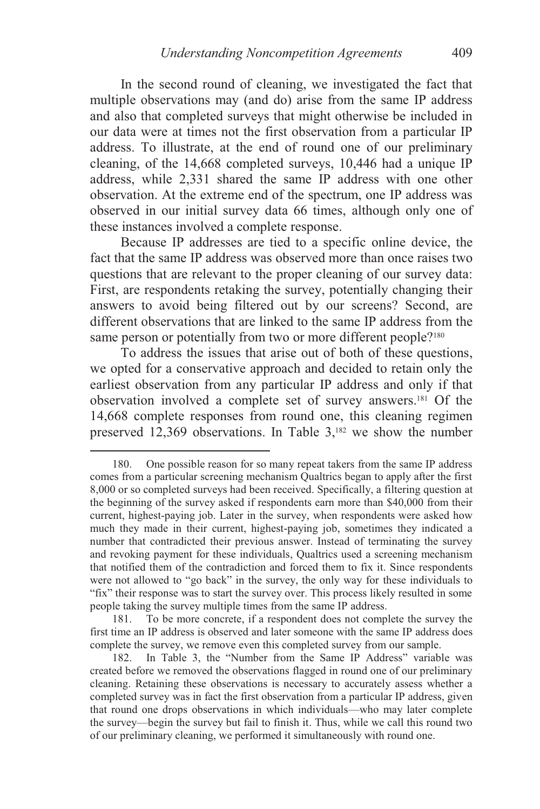In the second round of cleaning, we investigated the fact that multiple observations may (and do) arise from the same IP address and also that completed surveys that might otherwise be included in our data were at times not the first observation from a particular IP address. To illustrate, at the end of round one of our preliminary cleaning, of the 14,668 completed surveys, 10,446 had a unique IP address, while 2,331 shared the same IP address with one other observation. At the extreme end of the spectrum, one IP address was observed in our initial survey data 66 times, although only one of these instances involved a complete response.

Because IP addresses are tied to a specific online device, the fact that the same IP address was observed more than once raises two questions that are relevant to the proper cleaning of our survey data: First, are respondents retaking the survey, potentially changing their answers to avoid being filtered out by our screens? Second, are different observations that are linked to the same IP address from the same person or potentially from two or more different people?<sup>180</sup>

To address the issues that arise out of both of these questions, we opted for a conservative approach and decided to retain only the earliest observation from any particular IP address and only if that observation involved a complete set of survey answers.181 Of the 14,668 complete responses from round one, this cleaning regimen preserved 12,369 observations. In Table  $3,182$  we show the number

 <sup>180.</sup> One possible reason for so many repeat takers from the same IP address comes from a particular screening mechanism Qualtrics began to apply after the first 8,000 or so completed surveys had been received. Specifically, a filtering question at the beginning of the survey asked if respondents earn more than \$40,000 from their current, highest-paying job. Later in the survey, when respondents were asked how much they made in their current, highest-paying job, sometimes they indicated a number that contradicted their previous answer. Instead of terminating the survey and revoking payment for these individuals, Qualtrics used a screening mechanism that notified them of the contradiction and forced them to fix it. Since respondents were not allowed to "go back" in the survey, the only way for these individuals to "fix" their response was to start the survey over. This process likely resulted in some people taking the survey multiple times from the same IP address.

 <sup>181.</sup> To be more concrete, if a respondent does not complete the survey the first time an IP address is observed and later someone with the same IP address does complete the survey, we remove even this completed survey from our sample.

 <sup>182.</sup> In Table 3, the "Number from the Same IP Address" variable was created before we removed the observations flagged in round one of our preliminary cleaning. Retaining these observations is necessary to accurately assess whether a completed survey was in fact the first observation from a particular IP address, given that round one drops observations in which individuals—who may later complete the survey—begin the survey but fail to finish it. Thus, while we call this round two of our preliminary cleaning, we performed it simultaneously with round one.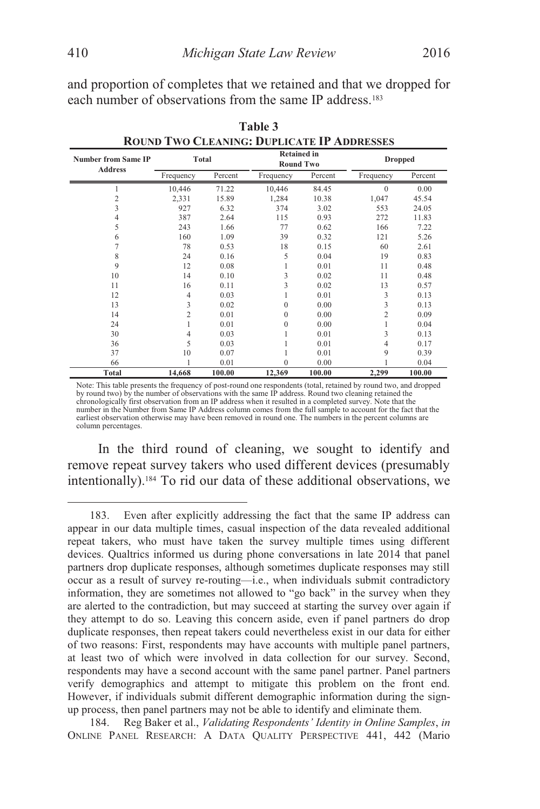and proportion of completes that we retained and that we dropped for each number of observations from the same IP address.<sup>183</sup>

| <b>Number from Same IP</b><br><b>Address</b> | Total          |         | <b>Retained in</b><br><b>Round Two</b> |         | <b>Dropped</b> |         |
|----------------------------------------------|----------------|---------|----------------------------------------|---------|----------------|---------|
|                                              | Frequency      | Percent | Frequency                              | Percent | Frequency      | Percent |
|                                              | 10,446         | 71.22   | 10,446                                 | 84.45   | $\theta$       | 0.00    |
| 2                                            | 2,331          | 15.89   | 1,284                                  | 10.38   | 1,047          | 45.54   |
| 3                                            | 927            | 6.32    | 374                                    | 3.02    | 553            | 24.05   |
| 4                                            | 387            | 2.64    | 115                                    | 0.93    | 272            | 11.83   |
| 5                                            | 243            | 1.66    | 77                                     | 0.62    | 166            | 7.22    |
| 6                                            | 160            | 1.09    | 39                                     | 0.32    | 121            | 5.26    |
|                                              | 78             | 0.53    | 18                                     | 0.15    | 60             | 2.61    |
| 8                                            | 24             | 0.16    | 5                                      | 0.04    | 19             | 0.83    |
| 9                                            | 12             | 0.08    |                                        | 0.01    | 11             | 0.48    |
| 10                                           | 14             | 0.10    | 3                                      | 0.02    | 11             | 0.48    |
| 11                                           | 16             | 0.11    | 3                                      | 0.02    | 13             | 0.57    |
| 12                                           | 4              | 0.03    |                                        | 0.01    | 3              | 0.13    |
| 13                                           | 3              | 0.02    | $\theta$                               | 0.00    | 3              | 0.13    |
| 14                                           | $\overline{c}$ | 0.01    | 0                                      | 0.00    | $\overline{2}$ | 0.09    |
| 24                                           |                | 0.01    | 0                                      | 0.00    |                | 0.04    |
| 30                                           | 4              | 0.03    |                                        | 0.01    | 3              | 0.13    |
| 36                                           | 5              | 0.03    |                                        | 0.01    | 4              | 0.17    |
| 37                                           | 10             | 0.07    |                                        | 0.01    | 9              | 0.39    |
| 66                                           |                | 0.01    | $\Omega$                               | 0.00    |                | 0.04    |
| Total                                        | 14,668         | 100.00  | 12,369                                 | 100.00  | 2,299          | 100.00  |

**Table 3** 

**ROUND TWO CLEANING: DUPLICATE IP ADDRESSES**

Note: This table presents the frequency of post-round one respondents (total, retained by round two, and dropped by round two) by the number of observations with the same IP address. Round two cleaning retained the chronologically first observation from an IP address when it resulted in a completed survey. Note that the number in the Number from Same IP Address column comes from the full sample to account for the fact that the earliest observation otherwise may have been removed in round one. The numbers in the percent columns are column percentages.

In the third round of cleaning, we sought to identify and remove repeat survey takers who used different devices (presumably intentionally).184 To rid our data of these additional observations, we

 <sup>183.</sup> Even after explicitly addressing the fact that the same IP address can appear in our data multiple times, casual inspection of the data revealed additional repeat takers, who must have taken the survey multiple times using different devices. Qualtrics informed us during phone conversations in late 2014 that panel partners drop duplicate responses, although sometimes duplicate responses may still occur as a result of survey re-routing—i.e., when individuals submit contradictory information, they are sometimes not allowed to "go back" in the survey when they are alerted to the contradiction, but may succeed at starting the survey over again if they attempt to do so. Leaving this concern aside, even if panel partners do drop duplicate responses, then repeat takers could nevertheless exist in our data for either of two reasons: First, respondents may have accounts with multiple panel partners, at least two of which were involved in data collection for our survey. Second, respondents may have a second account with the same panel partner. Panel partners verify demographics and attempt to mitigate this problem on the front end. However, if individuals submit different demographic information during the signup process, then panel partners may not be able to identify and eliminate them.

 <sup>184.</sup> Reg Baker et al., *Validating Respondents' Identity in Online Samples*, *in* ONLINE PANEL RESEARCH: A DATA QUALITY PERSPECTIVE 441, 442 (Mario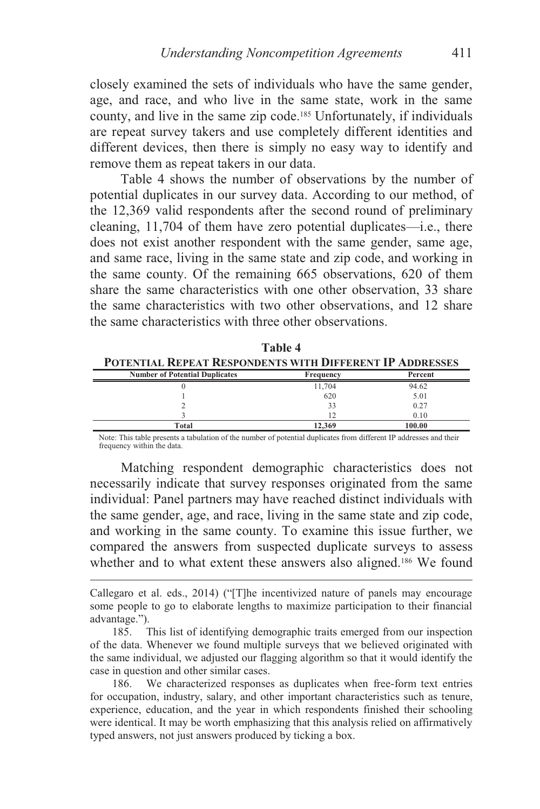closely examined the sets of individuals who have the same gender, age, and race, and who live in the same state, work in the same county, and live in the same zip code.185 Unfortunately, if individuals are repeat survey takers and use completely different identities and different devices, then there is simply no easy way to identify and remove them as repeat takers in our data.

Table 4 shows the number of observations by the number of potential duplicates in our survey data. According to our method, of the 12,369 valid respondents after the second round of preliminary cleaning, 11,704 of them have zero potential duplicates—i.e., there does not exist another respondent with the same gender, same age, and same race, living in the same state and zip code, and working in the same county. Of the remaining 665 observations, 620 of them share the same characteristics with one other observation, 33 share the same characteristics with two other observations, and 12 share the same characteristics with three other observations.

| .                                                               |                |         |  |
|-----------------------------------------------------------------|----------------|---------|--|
| <b>POTENTIAL REPEAT RESPONDENTS WITH DIFFERENT IP ADDRESSES</b> |                |         |  |
| <b>Number of Potential Duplicates</b>                           | Frequency      | Percent |  |
|                                                                 | 11.704         | 94.62   |  |
|                                                                 | 620            | 5.01    |  |
|                                                                 |                | 0.27    |  |
|                                                                 | $\overline{1}$ | 0.10    |  |
| Total                                                           | 12.369         | 100.00  |  |

**Table 4** 

Note: This table presents a tabulation of the number of potential duplicates from different IP addresses and their frequency within the data.

Matching respondent demographic characteristics does not necessarily indicate that survey responses originated from the same individual: Panel partners may have reached distinct individuals with the same gender, age, and race, living in the same state and zip code, and working in the same county. To examine this issue further, we compared the answers from suspected duplicate surveys to assess whether and to what extent these answers also aligned.<sup>186</sup> We found

 $\overline{a}$ 

 186. We characterized responses as duplicates when free-form text entries for occupation, industry, salary, and other important characteristics such as tenure, experience, education, and the year in which respondents finished their schooling were identical. It may be worth emphasizing that this analysis relied on affirmatively typed answers, not just answers produced by ticking a box.

Callegaro et al. eds., 2014) ("[T]he incentivized nature of panels may encourage some people to go to elaborate lengths to maximize participation to their financial advantage.").

 <sup>185.</sup> This list of identifying demographic traits emerged from our inspection of the data. Whenever we found multiple surveys that we believed originated with the same individual, we adjusted our flagging algorithm so that it would identify the case in question and other similar cases.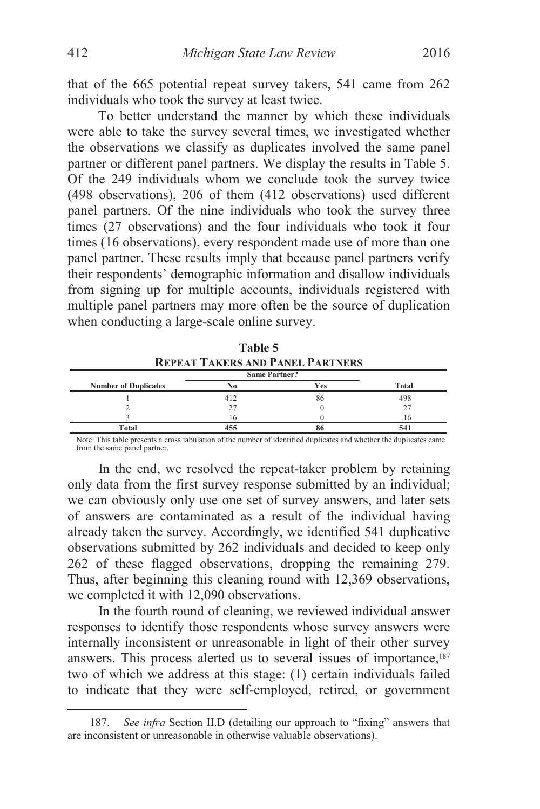that of the 665 potential repeat survey takers, 541 came from 262 individuals who took the survey at least twice.

To better understand the manner by which these individuals were able to take the survey several times, we investigated whether the observations we classify as duplicates involved the same panel partner or different panel partners. We display the results in Table 5. Of the 249 individuals whom we conclude took the survey twice (498 observations), 206 of them (412 observations) used different panel partners. Of the nine individuals who took the survey three times (27 observations) and the four individuals who took it four times (16 observations), every respondent made use of more than one panel partner. These results imply that because panel partners verify their respondents' demographic information and disallow individuals from signing up for multiple accounts, individuals registered with multiple panel partners may more often be the source of duplication when conducting a large-scale online survey.

| Table 5                                                         |     |            |       |  |
|-----------------------------------------------------------------|-----|------------|-------|--|
| <b>REPEAT TAKERS AND PANEL PARTNERS</b><br><b>Same Partner?</b> |     |            |       |  |
| <b>Number of Duplicates</b>                                     | No  | <b>Yes</b> | Total |  |
|                                                                 | 412 | 86         | 498   |  |
|                                                                 | 27  |            |       |  |
|                                                                 | 16  |            | 16    |  |
| Total                                                           | 455 |            | 541   |  |

Note: This table presents a cross tabulation of the number of identified duplicates and whether the duplicates came from the same panel partner.

In the end, we resolved the repeat-taker problem by retaining only data from the first survey response submitted by an individual; we can obviously only use one set of survey answers, and later sets of answers are contaminated as a result of the individual having already taken the survey. Accordingly, we identified 541 duplicative observations submitted by 262 individuals and decided to keep only 262 of these flagged observations, dropping the remaining 279. Thus, after beginning this cleaning round with 12,369 observations, we completed it with 12,090 observations.

In the fourth round of cleaning, we reviewed individual answer responses to identify those respondents whose survey answers were internally inconsistent or unreasonable in light of their other survey answers. This process alerted us to several issues of importance,<sup>187</sup> two of which we address at this stage: (1) certain individuals failed to indicate that they were self-employed, retired, or government

 <sup>187.</sup> *See infra* Section II.D (detailing our approach to "fixing" answers that are inconsistent or unreasonable in otherwise valuable observations).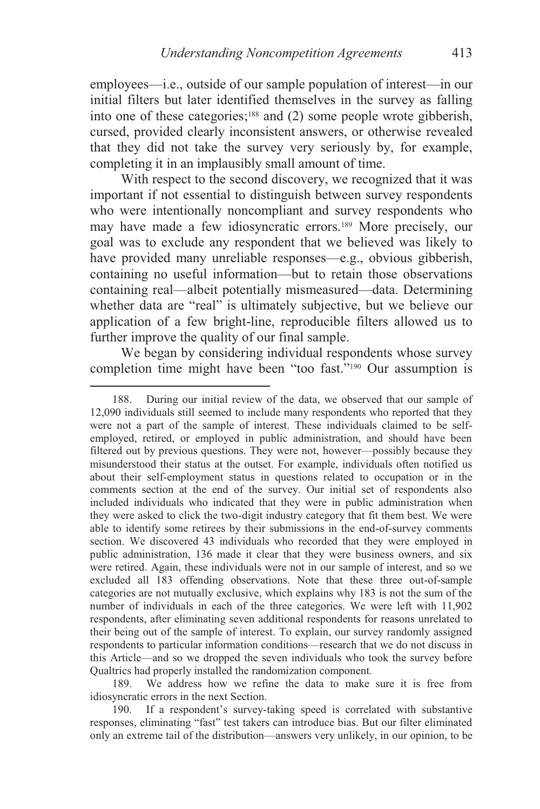employees—i.e., outside of our sample population of interest—in our initial filters but later identified themselves in the survey as falling into one of these categories;<sup>188</sup> and (2) some people wrote gibberish, cursed, provided clearly inconsistent answers, or otherwise revealed that they did not take the survey very seriously by, for example, completing it in an implausibly small amount of time.

With respect to the second discovery, we recognized that it was important if not essential to distinguish between survey respondents who were intentionally noncompliant and survey respondents who may have made a few idiosyncratic errors.189 More precisely, our goal was to exclude any respondent that we believed was likely to have provided many unreliable responses—e.g., obvious gibberish, containing no useful information—but to retain those observations containing real—albeit potentially mismeasured—data. Determining whether data are "real" is ultimately subjective, but we believe our application of a few bright-line, reproducible filters allowed us to further improve the quality of our final sample.

We began by considering individual respondents whose survey completion time might have been "too fast."<sup>190</sup> Our assumption is

 $\overline{a}$ 

 189. We address how we refine the data to make sure it is free from idiosyncratic errors in the next Section.

 190. If a respondent's survey-taking speed is correlated with substantive responses, eliminating "fast" test takers can introduce bias. But our filter eliminated only an extreme tail of the distribution—answers very unlikely, in our opinion, to be

 <sup>188.</sup> During our initial review of the data, we observed that our sample of 12,090 individuals still seemed to include many respondents who reported that they were not a part of the sample of interest. These individuals claimed to be selfemployed, retired, or employed in public administration, and should have been filtered out by previous questions. They were not, however—possibly because they misunderstood their status at the outset. For example, individuals often notified us about their self-employment status in questions related to occupation or in the comments section at the end of the survey. Our initial set of respondents also included individuals who indicated that they were in public administration when they were asked to click the two-digit industry category that fit them best. We were able to identify some retirees by their submissions in the end-of-survey comments section. We discovered 43 individuals who recorded that they were employed in public administration, 136 made it clear that they were business owners, and six were retired. Again, these individuals were not in our sample of interest, and so we excluded all 183 offending observations. Note that these three out-of-sample categories are not mutually exclusive, which explains why 183 is not the sum of the number of individuals in each of the three categories. We were left with 11,902 respondents, after eliminating seven additional respondents for reasons unrelated to their being out of the sample of interest. To explain, our survey randomly assigned respondents to particular information conditions—research that we do not discuss in this Article—and so we dropped the seven individuals who took the survey before Qualtrics had properly installed the randomization component.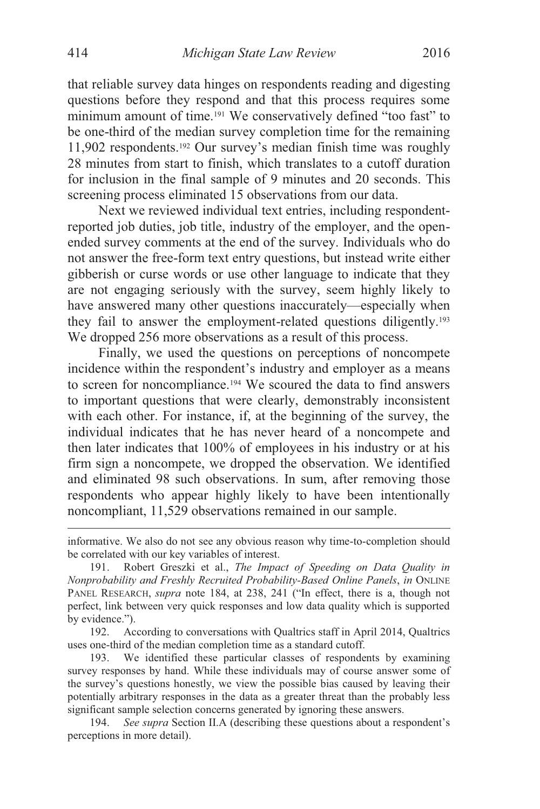that reliable survey data hinges on respondents reading and digesting questions before they respond and that this process requires some minimum amount of time.191 We conservatively defined "too fast" to be one-third of the median survey completion time for the remaining 11,902 respondents.192 Our survey's median finish time was roughly 28 minutes from start to finish, which translates to a cutoff duration for inclusion in the final sample of 9 minutes and 20 seconds. This screening process eliminated 15 observations from our data.

Next we reviewed individual text entries, including respondentreported job duties, job title, industry of the employer, and the openended survey comments at the end of the survey. Individuals who do not answer the free-form text entry questions, but instead write either gibberish or curse words or use other language to indicate that they are not engaging seriously with the survey, seem highly likely to have answered many other questions inaccurately—especially when they fail to answer the employment-related questions diligently.193 We dropped 256 more observations as a result of this process.

Finally, we used the questions on perceptions of noncompete incidence within the respondent's industry and employer as a means to screen for noncompliance.194 We scoured the data to find answers to important questions that were clearly, demonstrably inconsistent with each other. For instance, if, at the beginning of the survey, the individual indicates that he has never heard of a noncompete and then later indicates that 100% of employees in his industry or at his firm sign a noncompete, we dropped the observation. We identified and eliminated 98 such observations. In sum, after removing those respondents who appear highly likely to have been intentionally noncompliant, 11,529 observations remained in our sample.

informative. We also do not see any obvious reason why time-to-completion should be correlated with our key variables of interest.

 <sup>191.</sup> Robert Greszki et al., *The Impact of Speeding on Data Quality in Nonprobability and Freshly Recruited Probability-Based Online Panels*, *in* ONLINE PANEL RESEARCH, *supra* note 184, at 238, 241 ("In effect, there is a, though not perfect, link between very quick responses and low data quality which is supported by evidence.").

 <sup>192.</sup> According to conversations with Qualtrics staff in April 2014, Qualtrics uses one-third of the median completion time as a standard cutoff.

 <sup>193.</sup> We identified these particular classes of respondents by examining survey responses by hand. While these individuals may of course answer some of the survey's questions honestly, we view the possible bias caused by leaving their potentially arbitrary responses in the data as a greater threat than the probably less significant sample selection concerns generated by ignoring these answers.

<sup>194.</sup> *See supra* Section II.A (describing these questions about a respondent's perceptions in more detail).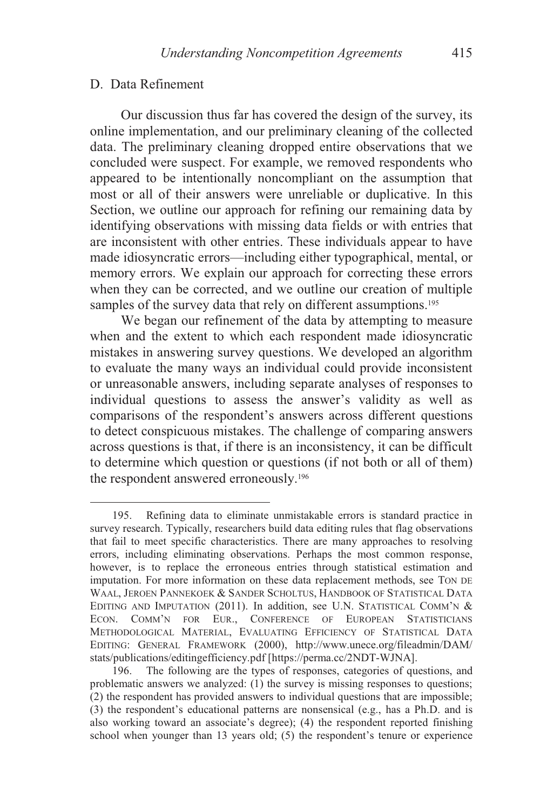#### D. Data Refinement

 $\overline{a}$ 

Our discussion thus far has covered the design of the survey, its online implementation, and our preliminary cleaning of the collected data. The preliminary cleaning dropped entire observations that we concluded were suspect. For example, we removed respondents who appeared to be intentionally noncompliant on the assumption that most or all of their answers were unreliable or duplicative. In this Section, we outline our approach for refining our remaining data by identifying observations with missing data fields or with entries that are inconsistent with other entries. These individuals appear to have made idiosyncratic errors—including either typographical, mental, or memory errors. We explain our approach for correcting these errors when they can be corrected, and we outline our creation of multiple samples of the survey data that rely on different assumptions.<sup>195</sup>

We began our refinement of the data by attempting to measure when and the extent to which each respondent made idiosyncratic mistakes in answering survey questions. We developed an algorithm to evaluate the many ways an individual could provide inconsistent or unreasonable answers, including separate analyses of responses to individual questions to assess the answer's validity as well as comparisons of the respondent's answers across different questions to detect conspicuous mistakes. The challenge of comparing answers across questions is that, if there is an inconsistency, it can be difficult to determine which question or questions (if not both or all of them) the respondent answered erroneously.196

 <sup>195.</sup> Refining data to eliminate unmistakable errors is standard practice in survey research. Typically, researchers build data editing rules that flag observations that fail to meet specific characteristics. There are many approaches to resolving errors, including eliminating observations. Perhaps the most common response, however, is to replace the erroneous entries through statistical estimation and imputation. For more information on these data replacement methods, see TON DE WAAL, JEROEN PANNEKOEK & SANDER SCHOLTUS, HANDBOOK OF STATISTICAL DATA EDITING AND IMPUTATION (2011). In addition, see U.N. STATISTICAL COMM'N & ECON. COMM'N FOR EUR., CONFERENCE OF EUROPEAN STATISTICIANS METHODOLOGICAL MATERIAL, EVALUATING EFFICIENCY OF STATISTICAL DATA EDITING: GENERAL FRAMEWORK (2000), http://www.unece.org/fileadmin/DAM/ stats/publications/editingefficiency.pdf [https://perma.cc/2NDT-WJNA].

 <sup>196.</sup> The following are the types of responses, categories of questions, and problematic answers we analyzed:  $(1)$  the survey is missing responses to questions; (2) the respondent has provided answers to individual questions that are impossible; (3) the respondent's educational patterns are nonsensical (e.g., has a Ph.D. and is also working toward an associate's degree); (4) the respondent reported finishing school when younger than 13 years old; (5) the respondent's tenure or experience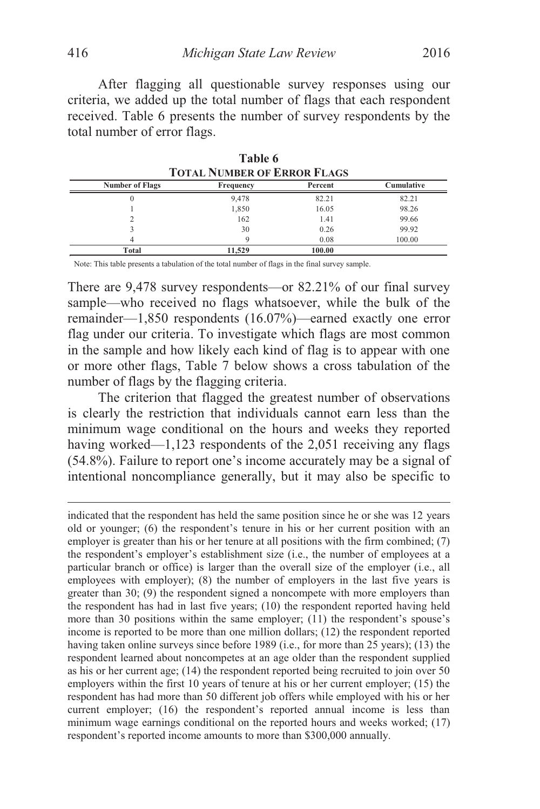After flagging all questionable survey responses using our criteria, we added up the total number of flags that each respondent received. Table 6 presents the number of survey respondents by the total number of error flags.

| TOTAL I VIMBER OF ERROR FLAGS |           |         |            |  |
|-------------------------------|-----------|---------|------------|--|
| <b>Number of Flags</b>        | Frequency | Percent | Cumulative |  |
|                               | 9,478     | 82.21   | 82.21      |  |
|                               | 1,850     | 16.05   | 98.26      |  |
|                               | 162       | 1.41    | 99.66      |  |
|                               | 30        | 0.26    | 99.92      |  |
|                               |           | 0.08    | 100.00     |  |
| Total                         | 11.529    | 100.00  |            |  |

**Table 6 TOTAL NUMBER OF FREQUE ELACS** 

Note: This table presents a tabulation of the total number of flags in the final survey sample.

There are 9,478 survey respondents—or 82.21% of our final survey sample—who received no flags whatsoever, while the bulk of the remainder—1,850 respondents (16.07%)—earned exactly one error flag under our criteria. To investigate which flags are most common in the sample and how likely each kind of flag is to appear with one or more other flags, Table 7 below shows a cross tabulation of the number of flags by the flagging criteria.

The criterion that flagged the greatest number of observations is clearly the restriction that individuals cannot earn less than the minimum wage conditional on the hours and weeks they reported having worked—1,123 respondents of the 2,051 receiving any flags (54.8%). Failure to report one's income accurately may be a signal of intentional noncompliance generally, but it may also be specific to

indicated that the respondent has held the same position since he or she was 12 years old or younger; (6) the respondent's tenure in his or her current position with an employer is greater than his or her tenure at all positions with the firm combined; (7) the respondent's employer's establishment size (i.e., the number of employees at a particular branch or office) is larger than the overall size of the employer (i.e., all employees with employer); (8) the number of employers in the last five years is greater than 30; (9) the respondent signed a noncompete with more employers than the respondent has had in last five years; (10) the respondent reported having held more than 30 positions within the same employer; (11) the respondent's spouse's income is reported to be more than one million dollars; (12) the respondent reported having taken online surveys since before 1989 (i.e., for more than 25 years); (13) the respondent learned about noncompetes at an age older than the respondent supplied as his or her current age; (14) the respondent reported being recruited to join over 50 employers within the first 10 years of tenure at his or her current employer; (15) the respondent has had more than 50 different job offers while employed with his or her current employer; (16) the respondent's reported annual income is less than minimum wage earnings conditional on the reported hours and weeks worked; (17) respondent's reported income amounts to more than \$300,000 annually.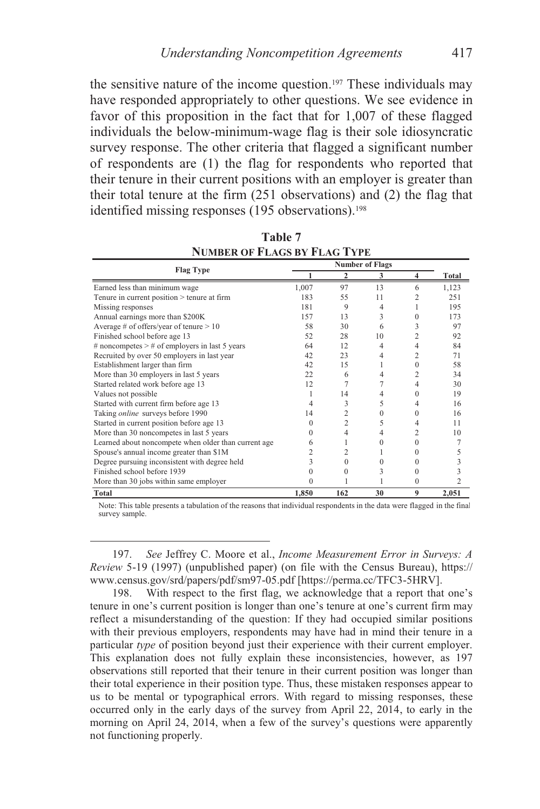the sensitive nature of the income question.197 These individuals may have responded appropriately to other questions. We see evidence in favor of this proposition in the fact that for 1,007 of these flagged individuals the below-minimum-wage flag is their sole idiosyncratic survey response. The other criteria that flagged a significant number of respondents are (1) the flag for respondents who reported that their tenure in their current positions with an employer is greater than their total tenure at the firm (251 observations) and (2) the flag that identified missing responses (195 observations).<sup>198</sup>

|                                                      | <b>Number of Flags</b> |                |    |          |                |
|------------------------------------------------------|------------------------|----------------|----|----------|----------------|
| <b>Flag Type</b>                                     |                        | 2              | 3  | 4        | Total          |
| Earned less than minimum wage                        | 1,007                  | 97             | 13 | 6        | 1,123          |
| Tenure in current position > tenure at firm          | 183                    | 55             | 11 |          | 251            |
| Missing responses                                    | 181                    | 9              | 4  |          | 195            |
| Annual earnings more than \$200K                     | 157                    | 13             | 3  | 0        | 173            |
| Average # of offers/year of tenure $> 10$            | 58                     | 30             | 6  | 3        | 97             |
| Finished school before age 13                        | 52                     | 28             | 10 | 2        | 92             |
| # noncompetes $>$ # of employers in last 5 years     | 64                     | 12             | 4  | 4        | 84             |
| Recruited by over 50 employers in last year          | 42                     | 23             | 4  | 2        | 71             |
| Establishment larger than firm                       | 42                     | 15             |    | 0        | 58             |
| More than 30 employers in last 5 years               | 22                     | 6              | 4  | 2        | 34             |
| Started related work before age 13                   | 12                     |                |    | 4        | 30             |
| Values not possible                                  |                        | 14             |    | 0        | 19             |
| Started with current firm before age 13              |                        | 3              | 5  | 4        | 16             |
| Taking online surveys before 1990                    | 14                     | 2              | 0  | $^{(1)}$ | 16             |
| Started in current position before age 13            |                        | $\overline{c}$ | 5  | 4        | 11             |
| More than 30 noncompetes in last 5 years             |                        | 4              | 4  | 2        | 10             |
| Learned about noncompete when older than current age | 6                      |                | 0  | 0        |                |
| Spouse's annual income greater than \$1M             |                        |                |    | 0        |                |
| Degree pursuing inconsistent with degree held        |                        | $^{(1)}$       |    | 0        |                |
| Finished school before 1939                          |                        | 0              | 3  | $^{(1)}$ |                |
| More than 30 jobs within same employer               | 0                      |                |    | $\Omega$ | $\overline{c}$ |
| <b>Total</b>                                         | 1,850                  | 162            | 30 | 9        | 2,051          |

**Table 7 NUMBER OF FLAGS BY FLAG TYPE**

Note: This table presents a tabulation of the reasons that individual respondents in the data were flagged in the final survey sample.

 197. *See* Jeffrey C. Moore et al., *Income Measurement Error in Surveys: A Review* 5-19 (1997) (unpublished paper) (on file with the Census Bureau), https:// www.census.gov/srd/papers/pdf/sm97-05.pdf [https://perma.cc/TFC3-5HRV].

 198. With respect to the first flag, we acknowledge that a report that one's tenure in one's current position is longer than one's tenure at one's current firm may reflect a misunderstanding of the question: If they had occupied similar positions with their previous employers, respondents may have had in mind their tenure in a particular *type* of position beyond just their experience with their current employer. This explanation does not fully explain these inconsistencies, however, as 197 observations still reported that their tenure in their current position was longer than their total experience in their position type. Thus, these mistaken responses appear to us to be mental or typographical errors. With regard to missing responses, these occurred only in the early days of the survey from April 22, 2014, to early in the morning on April 24, 2014, when a few of the survey's questions were apparently not functioning properly.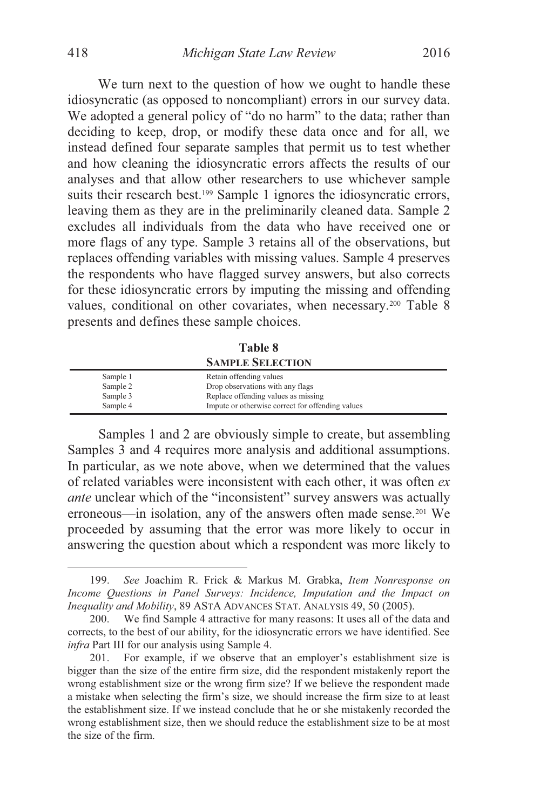We turn next to the question of how we ought to handle these idiosyncratic (as opposed to noncompliant) errors in our survey data. We adopted a general policy of "do no harm" to the data; rather than deciding to keep, drop, or modify these data once and for all, we instead defined four separate samples that permit us to test whether and how cleaning the idiosyncratic errors affects the results of our analyses and that allow other researchers to use whichever sample suits their research best.<sup>199</sup> Sample 1 ignores the idiosyncratic errors, leaving them as they are in the preliminarily cleaned data. Sample 2 excludes all individuals from the data who have received one or more flags of any type. Sample 3 retains all of the observations, but replaces offending variables with missing values. Sample 4 preserves the respondents who have flagged survey answers, but also corrects for these idiosyncratic errors by imputing the missing and offending values, conditional on other covariates, when necessary.<sup>200</sup> Table 8 presents and defines these sample choices.

**Table 8 SAMPLE SELECTION**

| Sample 1 | Retain offending values                          |
|----------|--------------------------------------------------|
| Sample 2 | Drop observations with any flags                 |
| Sample 3 | Replace offending values as missing              |
| Sample 4 | Impute or otherwise correct for offending values |

Samples 1 and 2 are obviously simple to create, but assembling Samples 3 and 4 requires more analysis and additional assumptions. In particular, as we note above, when we determined that the values of related variables were inconsistent with each other, it was often *ex ante* unclear which of the "inconsistent" survey answers was actually erroneous—in isolation, any of the answers often made sense.201 We proceeded by assuming that the error was more likely to occur in answering the question about which a respondent was more likely to

 <sup>199.</sup> *See* Joachim R. Frick & Markus M. Grabka, *Item Nonresponse on Income Questions in Panel Surveys: Incidence, Imputation and the Impact on Inequality and Mobility*, 89 ASTA ADVANCES STAT. ANALYSIS 49, 50 (2005).

 <sup>200.</sup> We find Sample 4 attractive for many reasons: It uses all of the data and corrects, to the best of our ability, for the idiosyncratic errors we have identified. See *infra* Part III for our analysis using Sample 4.

 <sup>201.</sup> For example, if we observe that an employer's establishment size is bigger than the size of the entire firm size, did the respondent mistakenly report the wrong establishment size or the wrong firm size? If we believe the respondent made a mistake when selecting the firm's size, we should increase the firm size to at least the establishment size. If we instead conclude that he or she mistakenly recorded the wrong establishment size, then we should reduce the establishment size to be at most the size of the firm.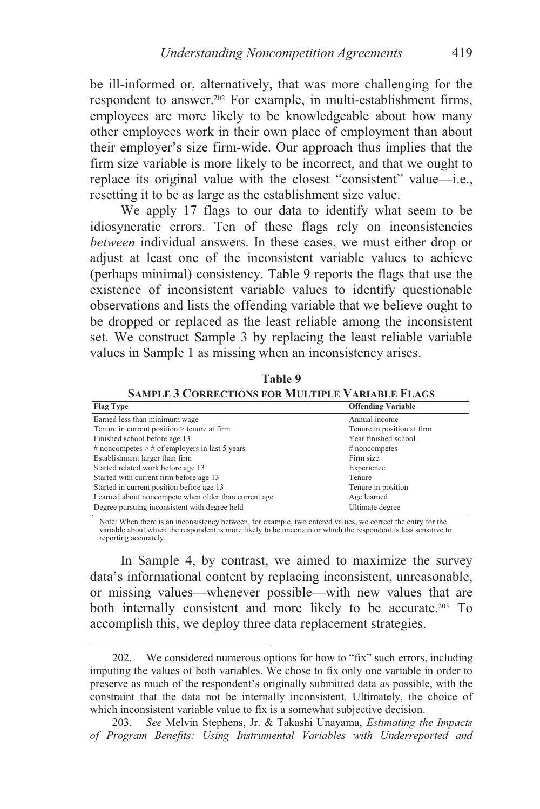be ill-informed or, alternatively, that was more challenging for the respondent to answer.<sup>202</sup> For example, in multi-establishment firms, employees are more likely to be knowledgeable about how many other employees work in their own place of employment than about their employer's size firm-wide. Our approach thus implies that the firm size variable is more likely to be incorrect, and that we ought to replace its original value with the closest "consistent" value—i.e., resetting it to be as large as the establishment size value.

We apply 17 flags to our data to identify what seem to be idiosyncratic errors. Ten of these flags rely on inconsistencies *between* individual answers. In these cases, we must either drop or adjust at least one of the inconsistent variable values to achieve (perhaps minimal) consistency. Table 9 reports the flags that use the existence of inconsistent variable values to identify questionable observations and lists the offending variable that we believe ought to be dropped or replaced as the least reliable among the inconsistent set. We construct Sample 3 by replacing the least reliable variable values in Sample 1 as missing when an inconsistency arises.

**Table 9 SAMPLE 3 CORRECTIONS FOR MULTIPLE VARIABLE FLAGS**

| <b>Flag Type</b>                                     | <b>Offending Variable</b>  |
|------------------------------------------------------|----------------------------|
| Earned less than minimum wage                        | Annual income              |
| Tenure in current position > tenure at firm          | Tenure in position at firm |
| Finished school before age 13                        | Year finished school       |
| # noncompetes $>$ # of employers in last 5 years     | $#$ noncompetes            |
| Establishment larger than firm                       | Firm size                  |
| Started related work before age 13                   | Experience                 |
| Started with current firm before age 13              | Tenure                     |
| Started in current position before age 13            | Tenure in position         |
| Learned about noncompete when older than current age | Age learned                |
| Degree pursuing inconsistent with degree held        | Ultimate degree            |

Note: When there is an inconsistency between, for example, two entered values, we correct the entry for the variable about which the respondent is more likely to be uncertain or which the respondent is less sensitive to reporting accurately.

In Sample 4, by contrast, we aimed to maximize the survey data's informational content by replacing inconsistent, unreasonable, or missing values—whenever possible—with new values that are both internally consistent and more likely to be accurate.203 To accomplish this, we deploy three data replacement strategies.

 <sup>202.</sup> We considered numerous options for how to "fix" such errors, including imputing the values of both variables. We chose to fix only one variable in order to preserve as much of the respondent's originally submitted data as possible, with the constraint that the data not be internally inconsistent. Ultimately, the choice of which inconsistent variable value to fix is a somewhat subjective decision.

<sup>203.</sup> *See* Melvin Stephens, Jr. & Takashi Unayama, *Estimating the Impacts of Program Benefits: Using Instrumental Variables with Underreported and*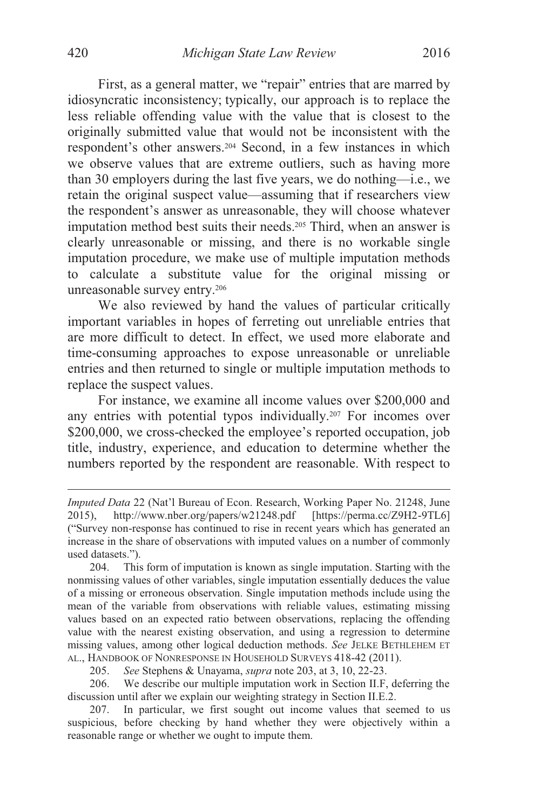First, as a general matter, we "repair" entries that are marred by idiosyncratic inconsistency; typically, our approach is to replace the less reliable offending value with the value that is closest to the originally submitted value that would not be inconsistent with the respondent's other answers.204 Second, in a few instances in which we observe values that are extreme outliers, such as having more than 30 employers during the last five years, we do nothing—i.e., we retain the original suspect value—assuming that if researchers view the respondent's answer as unreasonable, they will choose whatever imputation method best suits their needs.205 Third, when an answer is clearly unreasonable or missing, and there is no workable single imputation procedure, we make use of multiple imputation methods to calculate a substitute value for the original missing or unreasonable survey entry.206

We also reviewed by hand the values of particular critically important variables in hopes of ferreting out unreliable entries that are more difficult to detect. In effect, we used more elaborate and time-consuming approaches to expose unreasonable or unreliable entries and then returned to single or multiple imputation methods to replace the suspect values.

For instance, we examine all income values over \$200,000 and any entries with potential typos individually.207 For incomes over \$200,000, we cross-checked the employee's reported occupation, job title, industry, experience, and education to determine whether the numbers reported by the respondent are reasonable. With respect to

205. *See* Stephens & Unayama, *supra* note 203, at 3, 10, 22-23.

 206. We describe our multiple imputation work in Section II.F, deferring the discussion until after we explain our weighting strategy in Section II.E.2.

*Imputed Data* 22 (Nat'l Bureau of Econ. Research, Working Paper No. 21248, June 2015), http://www.nber.org/papers/w21248.pdf [https://perma.cc/Z9H2-9TL6] ("Survey non-response has continued to rise in recent years which has generated an increase in the share of observations with imputed values on a number of commonly used datasets.").

 <sup>204.</sup> This form of imputation is known as single imputation. Starting with the nonmissing values of other variables, single imputation essentially deduces the value of a missing or erroneous observation. Single imputation methods include using the mean of the variable from observations with reliable values, estimating missing values based on an expected ratio between observations, replacing the offending value with the nearest existing observation, and using a regression to determine missing values, among other logical deduction methods. *See* JELKE BETHLEHEM ET AL., HANDBOOK OF NONRESPONSE IN HOUSEHOLD SURVEYS 418-42 (2011).

 <sup>207.</sup> In particular, we first sought out income values that seemed to us suspicious, before checking by hand whether they were objectively within a reasonable range or whether we ought to impute them.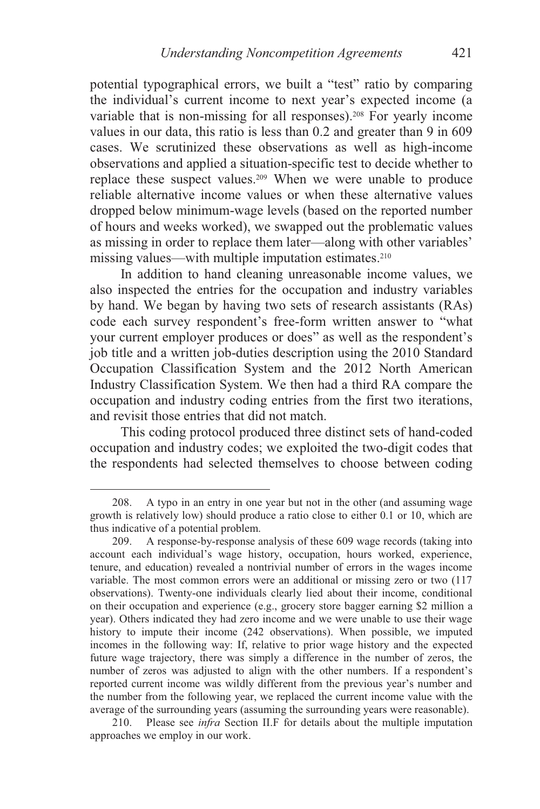potential typographical errors, we built a "test" ratio by comparing the individual's current income to next year's expected income (a variable that is non-missing for all responses).<sup>208</sup> For yearly income values in our data, this ratio is less than 0.2 and greater than 9 in 609 cases. We scrutinized these observations as well as high-income observations and applied a situation-specific test to decide whether to replace these suspect values.209 When we were unable to produce reliable alternative income values or when these alternative values dropped below minimum-wage levels (based on the reported number of hours and weeks worked), we swapped out the problematic values as missing in order to replace them later—along with other variables' missing values—with multiple imputation estimates.<sup>210</sup>

In addition to hand cleaning unreasonable income values, we also inspected the entries for the occupation and industry variables by hand. We began by having two sets of research assistants (RAs) code each survey respondent's free-form written answer to "what your current employer produces or does" as well as the respondent's job title and a written job-duties description using the 2010 Standard Occupation Classification System and the 2012 North American Industry Classification System. We then had a third RA compare the occupation and industry coding entries from the first two iterations, and revisit those entries that did not match.

This coding protocol produced three distinct sets of hand-coded occupation and industry codes; we exploited the two-digit codes that the respondents had selected themselves to choose between coding

 $\overline{a}$ 

 210. Please see *infra* Section II.F for details about the multiple imputation approaches we employ in our work.

 <sup>208.</sup> A typo in an entry in one year but not in the other (and assuming wage growth is relatively low) should produce a ratio close to either 0.1 or 10, which are thus indicative of a potential problem.

 <sup>209.</sup> A response-by-response analysis of these 609 wage records (taking into account each individual's wage history, occupation, hours worked, experience, tenure, and education) revealed a nontrivial number of errors in the wages income variable. The most common errors were an additional or missing zero or two (117 observations). Twenty-one individuals clearly lied about their income, conditional on their occupation and experience (e.g., grocery store bagger earning \$2 million a year). Others indicated they had zero income and we were unable to use their wage history to impute their income (242 observations). When possible, we imputed incomes in the following way: If, relative to prior wage history and the expected future wage trajectory, there was simply a difference in the number of zeros, the number of zeros was adjusted to align with the other numbers. If a respondent's reported current income was wildly different from the previous year's number and the number from the following year, we replaced the current income value with the average of the surrounding years (assuming the surrounding years were reasonable).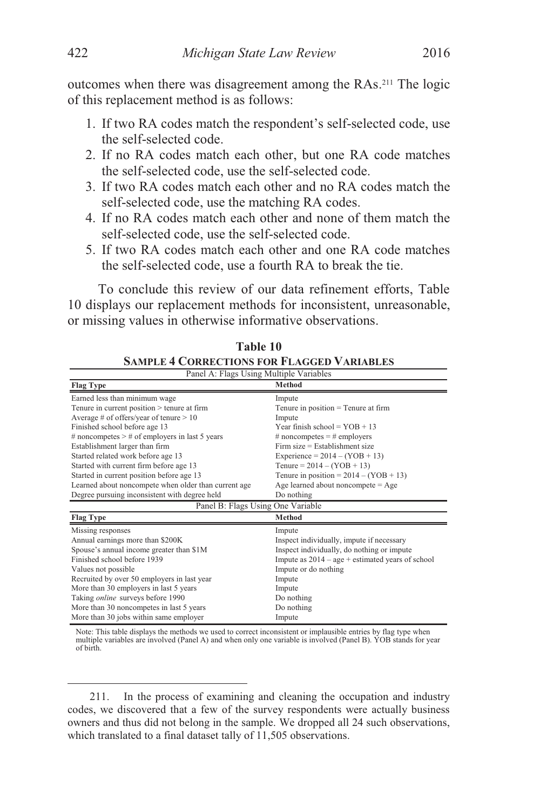outcomes when there was disagreement among the RAs.211 The logic of this replacement method is as follows:

- 1. If two RA codes match the respondent's self-selected code, use the self-selected code.
- 2. If no RA codes match each other, but one RA code matches the self-selected code, use the self-selected code.
- 3. If two RA codes match each other and no RA codes match the self-selected code, use the matching RA codes.
- 4. If no RA codes match each other and none of them match the self-selected code, use the self-selected code.
- 5. If two RA codes match each other and one RA code matches the self-selected code, use a fourth RA to break the tie.

To conclude this review of our data refinement efforts, Table 10 displays our replacement methods for inconsistent, unreasonable, or missing values in otherwise informative observations.

| DAMI LE 7 CONNECTIONS FON I LAGGED V ANIABLES      |  |  |  |  |
|----------------------------------------------------|--|--|--|--|
| Panel A: Flags Using Multiple Variables            |  |  |  |  |
| <b>Method</b>                                      |  |  |  |  |
| Impute                                             |  |  |  |  |
| Tenure in position $=$ Tenure at firm              |  |  |  |  |
| Impute                                             |  |  |  |  |
| Year finish school = $YOB + 13$                    |  |  |  |  |
| # noncompetes $=$ # employers                      |  |  |  |  |
| $Firm size = Establishment size$                   |  |  |  |  |
| Experience = $2014 - (YOB + 13)$                   |  |  |  |  |
| Tenure = $2014 - (YOB + 13)$                       |  |  |  |  |
| Tenure in position = $2014 - (YOB + 13)$           |  |  |  |  |
| Age learned about noncompete $=$ Age               |  |  |  |  |
| Do nothing                                         |  |  |  |  |
| Panel B: Flags Using One Variable                  |  |  |  |  |
| <b>Method</b>                                      |  |  |  |  |
| Impute                                             |  |  |  |  |
| Inspect individually, impute if necessary          |  |  |  |  |
| Inspect individually, do nothing or impute         |  |  |  |  |
| Impute as $2014 - age + estimated$ years of school |  |  |  |  |
| Impute or do nothing                               |  |  |  |  |
| Impute                                             |  |  |  |  |
| Impute                                             |  |  |  |  |
| Do nothing                                         |  |  |  |  |
| Do nothing                                         |  |  |  |  |
| Impute                                             |  |  |  |  |
|                                                    |  |  |  |  |

| Table 10                                          |  |
|---------------------------------------------------|--|
| <b>SAMPLE 4 CORRECTIONS FOR FLAGGED VARIABLES</b> |  |

Note: This table displays the methods we used to correct inconsistent or implausible entries by flag type when multiple variables are involved (Panel A) and when only one variable is involved (Panel B). YOB stands for year of birth.

 <sup>211.</sup> In the process of examining and cleaning the occupation and industry codes, we discovered that a few of the survey respondents were actually business owners and thus did not belong in the sample. We dropped all 24 such observations, which translated to a final dataset tally of 11,505 observations.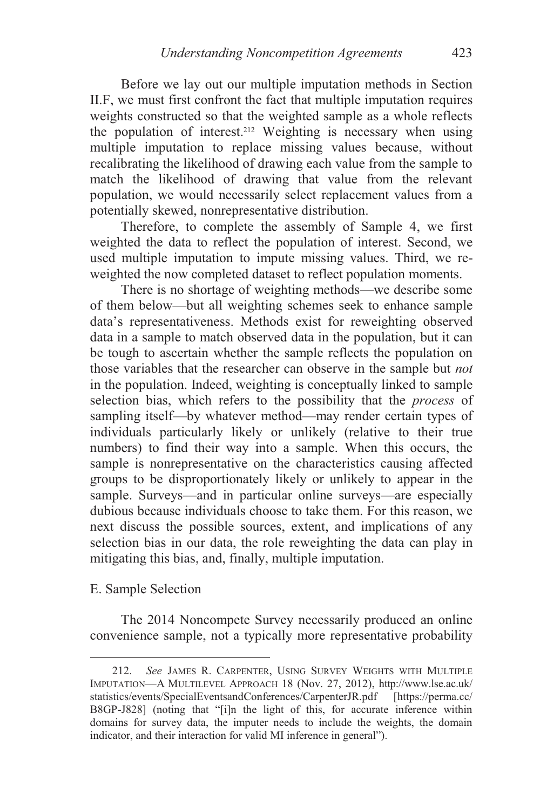Before we lay out our multiple imputation methods in Section II.F, we must first confront the fact that multiple imputation requires weights constructed so that the weighted sample as a whole reflects the population of interest.212 Weighting is necessary when using multiple imputation to replace missing values because, without recalibrating the likelihood of drawing each value from the sample to match the likelihood of drawing that value from the relevant population, we would necessarily select replacement values from a potentially skewed, nonrepresentative distribution.

Therefore, to complete the assembly of Sample 4, we first weighted the data to reflect the population of interest. Second, we used multiple imputation to impute missing values. Third, we reweighted the now completed dataset to reflect population moments.

There is no shortage of weighting methods—we describe some of them below—but all weighting schemes seek to enhance sample data's representativeness. Methods exist for reweighting observed data in a sample to match observed data in the population, but it can be tough to ascertain whether the sample reflects the population on those variables that the researcher can observe in the sample but *not* in the population. Indeed, weighting is conceptually linked to sample selection bias, which refers to the possibility that the *process* of sampling itself—by whatever method—may render certain types of individuals particularly likely or unlikely (relative to their true numbers) to find their way into a sample. When this occurs, the sample is nonrepresentative on the characteristics causing affected groups to be disproportionately likely or unlikely to appear in the sample. Surveys—and in particular online surveys—are especially dubious because individuals choose to take them. For this reason, we next discuss the possible sources, extent, and implications of any selection bias in our data, the role reweighting the data can play in mitigating this bias, and, finally, multiple imputation.

# E. Sample Selection

 $\overline{a}$ 

The 2014 Noncompete Survey necessarily produced an online convenience sample, not a typically more representative probability

 <sup>212.</sup> *See* JAMES R. CARPENTER, USING SURVEY WEIGHTS WITH MULTIPLE IMPUTATION—A MULTILEVEL APPROACH 18 (Nov. 27, 2012), http://www.lse.ac.uk/ statistics/events/SpecialEventsandConferences/CarpenterJR.pdf [https://perma.cc/ B8GP-J828] (noting that "[i]n the light of this, for accurate inference within domains for survey data, the imputer needs to include the weights, the domain indicator, and their interaction for valid MI inference in general").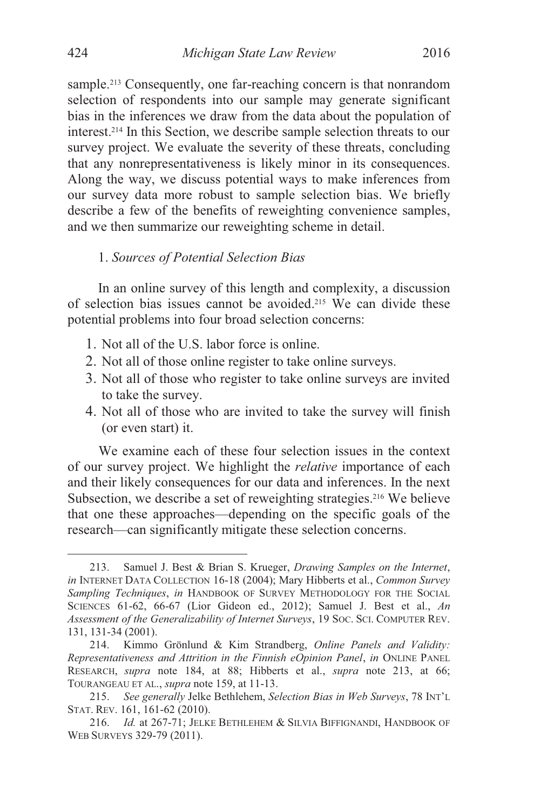sample.<sup>213</sup> Consequently, one far-reaching concern is that nonrandom selection of respondents into our sample may generate significant bias in the inferences we draw from the data about the population of interest.214 In this Section, we describe sample selection threats to our survey project. We evaluate the severity of these threats, concluding that any nonrepresentativeness is likely minor in its consequences. Along the way, we discuss potential ways to make inferences from our survey data more robust to sample selection bias. We briefly describe a few of the benefits of reweighting convenience samples, and we then summarize our reweighting scheme in detail.

#### 1. *Sources of Potential Selection Bias*

In an online survey of this length and complexity, a discussion of selection bias issues cannot be avoided.215 We can divide these potential problems into four broad selection concerns:

- 1. Not all of the U.S. labor force is online.
- 2. Not all of those online register to take online surveys.
- 3. Not all of those who register to take online surveys are invited to take the survey.
- 4. Not all of those who are invited to take the survey will finish (or even start) it.

We examine each of these four selection issues in the context of our survey project. We highlight the *relative* importance of each and their likely consequences for our data and inferences. In the next Subsection, we describe a set of reweighting strategies.<sup>216</sup> We believe that one these approaches—depending on the specific goals of the research—can significantly mitigate these selection concerns.

 <sup>213.</sup> Samuel J. Best & Brian S. Krueger, *Drawing Samples on the Internet*, *in* INTERNET DATA COLLECTION 16-18 (2004); Mary Hibberts et al., *Common Survey Sampling Techniques*, *in* HANDBOOK OF SURVEY METHODOLOGY FOR THE SOCIAL SCIENCES 61-62, 66-67 (Lior Gideon ed., 2012); Samuel J. Best et al., *An Assessment of the Generalizability of Internet Surveys*, 19 SOC. SCI. COMPUTER REV. 131, 131-34 (2001).

 <sup>214.</sup> Kimmo Grönlund & Kim Strandberg, *Online Panels and Validity: Representativeness and Attrition in the Finnish eOpinion Panel*, *in* ONLINE PANEL RESEARCH, *supra* note 184, at 88; Hibberts et al., *supra* note 213, at 66; TOURANGEAU ET AL., *supra* note 159, at 11-13.

 <sup>215.</sup> *See generally* Jelke Bethlehem, *Selection Bias in Web Surveys*, 78 INT'L STAT. REV. 161, 161-62 (2010).

<sup>216.</sup> *Id.* at 267-71; JELKE BETHLEHEM & SILVIA BIFFIGNANDI, HANDBOOK OF WEB SURVEYS 329-79 (2011).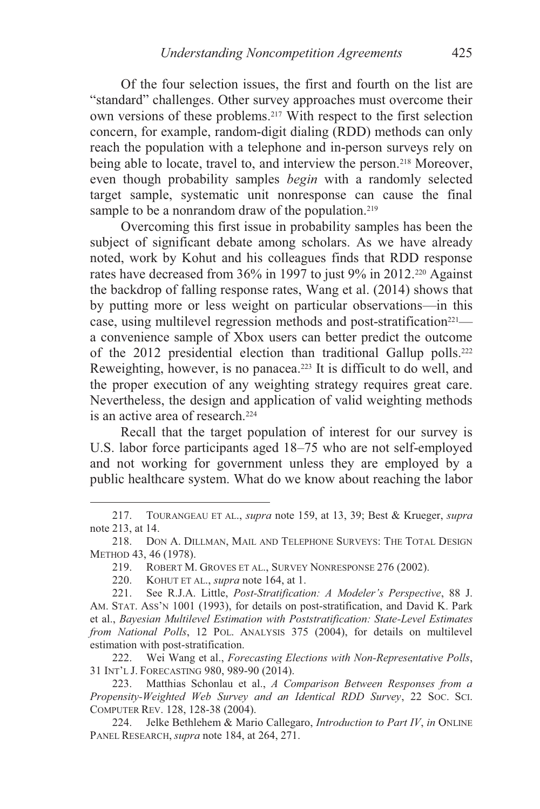Of the four selection issues, the first and fourth on the list are "standard" challenges. Other survey approaches must overcome their own versions of these problems.217 With respect to the first selection concern, for example, random-digit dialing (RDD) methods can only reach the population with a telephone and in-person surveys rely on being able to locate, travel to, and interview the person.<sup>218</sup> Moreover, even though probability samples *begin* with a randomly selected target sample, systematic unit nonresponse can cause the final sample to be a nonrandom draw of the population.<sup>219</sup>

Overcoming this first issue in probability samples has been the subject of significant debate among scholars. As we have already noted, work by Kohut and his colleagues finds that RDD response rates have decreased from  $36\%$  in 1997 to just 9% in 2012.<sup>220</sup> Against the backdrop of falling response rates, Wang et al. (2014) shows that by putting more or less weight on particular observations—in this case, using multilevel regression methods and post-stratification<sup>221</sup> a convenience sample of Xbox users can better predict the outcome of the 2012 presidential election than traditional Gallup polls.222 Reweighting, however, is no panacea.<sup>223</sup> It is difficult to do well, and the proper execution of any weighting strategy requires great care. Nevertheless, the design and application of valid weighting methods is an active area of research.<sup>224</sup>

Recall that the target population of interest for our survey is U.S. labor force participants aged 18–75 who are not self-employed and not working for government unless they are employed by a public healthcare system. What do we know about reaching the labor

 $\overline{a}$ 

 222. Wei Wang et al., *Forecasting Elections with Non-Representative Polls*, 31 INT'L J. FORECASTING 980, 989-90 (2014).

 223. Matthias Schonlau et al., *A Comparison Between Responses from a Propensity-Weighted Web Survey and an Identical RDD Survey*, 22 SOC. SCI. COMPUTER REV. 128, 128-38 (2004).

 224. Jelke Bethlehem & Mario Callegaro, *Introduction to Part IV*, *in* ONLINE PANEL RESEARCH, *supra* note 184, at 264, 271.

 <sup>217.</sup> TOURANGEAU ET AL., *supra* note 159, at 13, 39; Best & Krueger, *supra* note 213, at 14.

 <sup>218.</sup> DON A. DILLMAN, MAIL AND TELEPHONE SURVEYS: THE TOTAL DESIGN METHOD 43, 46 (1978).

 <sup>219.</sup> ROBERT M. GROVES ET AL., SURVEY NONRESPONSE 276 (2002).

 <sup>220.</sup> KOHUT ET AL., *supra* note 164, at 1.

 <sup>221.</sup> See R.J.A. Little, *Post-Stratification: A Modeler's Perspective*, 88 J. AM. STAT. ASS'N 1001 (1993), for details on post-stratification, and David K. Park et al., *Bayesian Multilevel Estimation with Poststratification: State-Level Estimates from National Polls*, 12 POL. ANALYSIS 375 (2004), for details on multilevel estimation with post-stratification.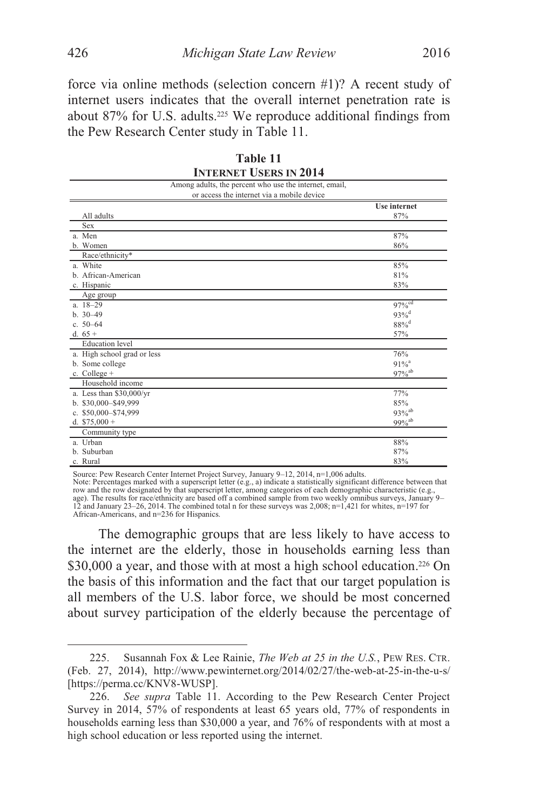force via online methods (selection concern #1)? A recent study of internet users indicates that the overall internet penetration rate is about 87% for U.S. adults.<sup>225</sup> We reproduce additional findings from the Pew Research Center study in Table 11.

| INTERNET USERS IN 2014                                 |                      |
|--------------------------------------------------------|----------------------|
| Among adults, the percent who use the internet, email, |                      |
| or access the internet via a mobile device             |                      |
|                                                        | Use internet         |
| All adults                                             | 87%                  |
| Sex                                                    |                      |
| a. Men                                                 | 87%                  |
| b. Women                                               | 86%                  |
| Race/ethnicity*                                        |                      |
| a. White                                               | 85%                  |
| b. African-American                                    | 81%                  |
| c. Hispanic                                            | 83%                  |
| Age group                                              |                      |
| $a. 18 - 29$                                           | $97%^{cd}$           |
| $h. 30 - 49$                                           | $93%^{d}$            |
| c. $50-64$                                             | $88\%$ <sup>d</sup>  |
| d. $65+$                                               | 57%                  |
| <b>Education</b> level                                 |                      |
| a. High school grad or less                            | 76%                  |
| b. Some college                                        | $91%$ <sup>a</sup>   |
| c. College $+$                                         | $97\%$ <sup>ab</sup> |
| Household income                                       |                      |
| a. Less than \$30,000/yr                               | 77%                  |
| b. \$30,000-\$49,999                                   | 85%                  |
| c. \$50,000-\$74,999                                   | $93\%^{ab}$          |
| d. $$75,000 +$                                         | $99%^{ab}$           |
| Community type                                         |                      |
| a. Urban                                               | 88%                  |
| b. Suburban                                            | 87%                  |
| c. Rural                                               | 83%                  |

| Table 11                      |  |  |  |  |
|-------------------------------|--|--|--|--|
| <b>INTERNET USERS IN 2014</b> |  |  |  |  |

Source: Pew Research Center Internet Project Survey, January 9–12, 2014, n=1,006 adults.

Note: Percentages marked with a superscript letter (e.g., a) indicate a statistically significant difference between that row and the row designated by that superscript letter, among categories of each demographic characteristic (e.g., age). The results for race/ethnicity are based off a combined sample from two weekly omnibus surveys, January 9– 12 and January 23–26, 2014. The combined total n for these surveys was 2,008; n=1,421 for whites, n=197 for African-Americans, and n=236 for Hispanics.

The demographic groups that are less likely to have access to the internet are the elderly, those in households earning less than \$30,000 a year, and those with at most a high school education.<sup>226</sup> On the basis of this information and the fact that our target population is all members of the U.S. labor force, we should be most concerned about survey participation of the elderly because the percentage of

 <sup>225.</sup> Susannah Fox & Lee Rainie, *The Web at 25 in the U.S.*, PEW RES. CTR. (Feb. 27, 2014), http://www.pewinternet.org/2014/02/27/the-web-at-25-in-the-u-s/ [https://perma.cc/KNV8-WUSP].

<sup>226.</sup> *See supra* Table 11. According to the Pew Research Center Project Survey in 2014, 57% of respondents at least 65 years old, 77% of respondents in households earning less than \$30,000 a year, and 76% of respondents with at most a high school education or less reported using the internet.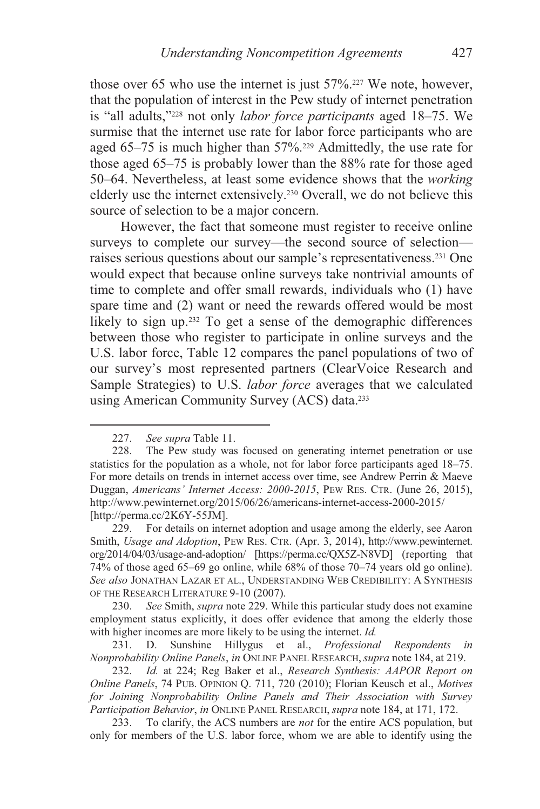those over 65 who use the internet is just 57%.227 We note, however, that the population of interest in the Pew study of internet penetration is "all adults,"228 not only *labor force participants* aged 18–75. We surmise that the internet use rate for labor force participants who are aged  $65-75$  is much higher than  $57\%$ <sup>229</sup> Admittedly, the use rate for those aged 65–75 is probably lower than the 88% rate for those aged 50–64. Nevertheless, at least some evidence shows that the *working* elderly use the internet extensively.230 Overall, we do not believe this source of selection to be a major concern.

However, the fact that someone must register to receive online surveys to complete our survey—the second source of selection raises serious questions about our sample's representativeness.231 One would expect that because online surveys take nontrivial amounts of time to complete and offer small rewards, individuals who (1) have spare time and (2) want or need the rewards offered would be most likely to sign up.<sup>232</sup> To get a sense of the demographic differences between those who register to participate in online surveys and the U.S. labor force, Table 12 compares the panel populations of two of our survey's most represented partners (ClearVoice Research and Sample Strategies) to U.S. *labor force* averages that we calculated using American Community Survey (ACS) data.233

 <sup>227.</sup> *See supra* Table 11.

 <sup>228.</sup> The Pew study was focused on generating internet penetration or use statistics for the population as a whole, not for labor force participants aged 18–75. For more details on trends in internet access over time, see Andrew Perrin & Maeve Duggan, *Americans' Internet Access: 2000-2015*, PEW RES. CTR. (June 26, 2015), http://www.pewinternet.org/2015/06/26/americans-internet-access-2000-2015/ [http://perma.cc/2K6Y-55JM].

 <sup>229.</sup> For details on internet adoption and usage among the elderly, see Aaron Smith, *Usage and Adoption*, PEW RES. CTR. (Apr. 3, 2014), http://www.pewinternet. org/2014/04/03/usage-and-adoption/ [https://perma.cc/QX5Z-N8VD] (reporting that 74% of those aged 65–69 go online, while 68% of those 70–74 years old go online). *See also* JONATHAN LAZAR ET AL., UNDERSTANDING WEB CREDIBILITY: A SYNTHESIS OF THE RESEARCH LITERATURE 9-10 (2007).

<sup>230.</sup> *See* Smith, *supra* note 229. While this particular study does not examine employment status explicitly, it does offer evidence that among the elderly those with higher incomes are more likely to be using the internet. *Id.* 

 <sup>231.</sup> D. Sunshine Hillygus et al., *Professional Respondents in Nonprobability Online Panels*, *in* ONLINE PANEL RESEARCH, *supra* note 184, at 219.

<sup>232.</sup> *Id.* at 224; Reg Baker et al., *Research Synthesis: AAPOR Report on Online Panels*, 74 PUB. OPINION Q. 711, 720 (2010); Florian Keusch et al., *Motives for Joining Nonprobability Online Panels and Their Association with Survey Participation Behavior*, *in* ONLINE PANEL RESEARCH, *supra* note 184, at 171, 172.

 <sup>233.</sup> To clarify, the ACS numbers are *not* for the entire ACS population, but only for members of the U.S. labor force, whom we are able to identify using the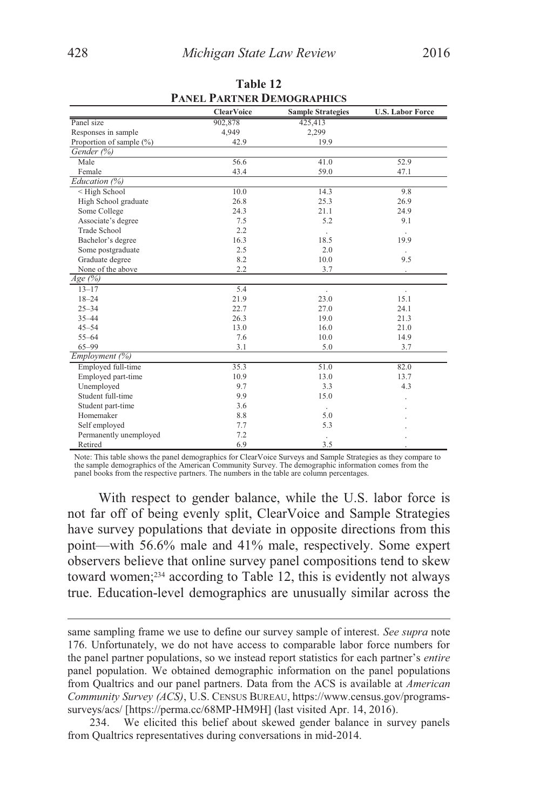|                                                                      | <b>ClearVoice</b> | <b>Sample Strategies</b> | <b>U.S. Labor Force</b> |
|----------------------------------------------------------------------|-------------------|--------------------------|-------------------------|
| Panel size                                                           | 902,878           | 425,413                  |                         |
| Responses in sample                                                  | 4,949             | 2,299                    |                         |
| Proportion of sample (%)                                             | 42.9              | 19.9                     |                         |
| Gender (%)                                                           |                   |                          |                         |
| Male                                                                 | 56.6              | 41.0                     | 52.9                    |
| Female                                                               | 43.4              | 59.0                     | 47.1                    |
| Education (%)                                                        |                   |                          |                         |
| <high school<="" td=""><td>10.0</td><td>14.3</td><td>9.8</td></high> | 10.0              | 14.3                     | 9.8                     |
| High School graduate                                                 | 26.8              | 25.3                     | 26.9                    |
| Some College                                                         | 24.3              | 21.1                     | 24.9                    |
| Associate's degree                                                   | 7.5               | 5.2                      | 9.1                     |
| <b>Trade School</b>                                                  | 2.2               |                          |                         |
| Bachelor's degree                                                    | 16.3              | 18.5                     | 19.9                    |
| Some postgraduate                                                    | 2.5               | 2.0                      |                         |
| Graduate degree                                                      | 8.2               | 10.0                     | 9.5                     |
| None of the above                                                    | 2.2               | 3.7                      |                         |
| $Age\ (\%)$                                                          |                   |                          |                         |
| $13 - 17$                                                            | 5.4               | ×.                       | $\ddot{\phantom{0}}$    |
| $18 - 24$                                                            | 21.9              | 23.0                     | 15.1                    |
| $25 - 34$                                                            | 22.7              | 27.0                     | 24.1                    |
| $35 - 44$                                                            | 26.3              | 19.0                     | 21.3                    |
| $45 - 54$                                                            | 13.0              | 16.0                     | 21.0                    |
| $55 - 64$                                                            | 7.6               | 10.0                     | 14.9                    |
| $65 - 99$                                                            | 3.1               | 5.0                      | 3.7                     |
| <i>Employment</i> $(\%)$                                             |                   |                          |                         |
| Employed full-time                                                   | 35.3              | 51.0                     | 82.0                    |
| Employed part-time                                                   | 10.9              | 13.0                     | 13.7                    |
| Unemployed                                                           | 9.7               | 3.3                      | 4.3                     |
| Student full-time                                                    | 9.9               | 15.0                     |                         |
| Student part-time                                                    | 3.6               |                          |                         |
| Homemaker                                                            | 8.8               | 5.0                      |                         |
| Self employed                                                        | 7.7               | 5.3                      |                         |
| Permanently unemployed                                               | 7.2               |                          |                         |
| Retired                                                              | 6.9               | 3.5                      |                         |

**Table 12 PANEL PARTNER DEMOGRAPHICS**

Note: This table shows the panel demographics for ClearVoice Surveys and Sample Strategies as they compare to the sample demographics of the American Community Survey. The demographic information comes from the panel books from the respective partners. The numbers in the table are column percentages.

With respect to gender balance, while the U.S. labor force is not far off of being evenly split, ClearVoice and Sample Strategies have survey populations that deviate in opposite directions from this point—with 56.6% male and 41% male, respectively. Some expert observers believe that online survey panel compositions tend to skew toward women;234 according to Table 12, this is evidently not always true. Education-level demographics are unusually similar across the

same sampling frame we use to define our survey sample of interest. *See supra* note 176. Unfortunately, we do not have access to comparable labor force numbers for the panel partner populations, so we instead report statistics for each partner's *entire* panel population. We obtained demographic information on the panel populations from Qualtrics and our panel partners. Data from the ACS is available at *American Community Survey (ACS)*, U.S. CENSUS BUREAU, https://www.census.gov/programssurveys/acs/ [https://perma.cc/68MP-HM9H] (last visited Apr. 14, 2016).

 <sup>234.</sup> We elicited this belief about skewed gender balance in survey panels from Qualtrics representatives during conversations in mid-2014.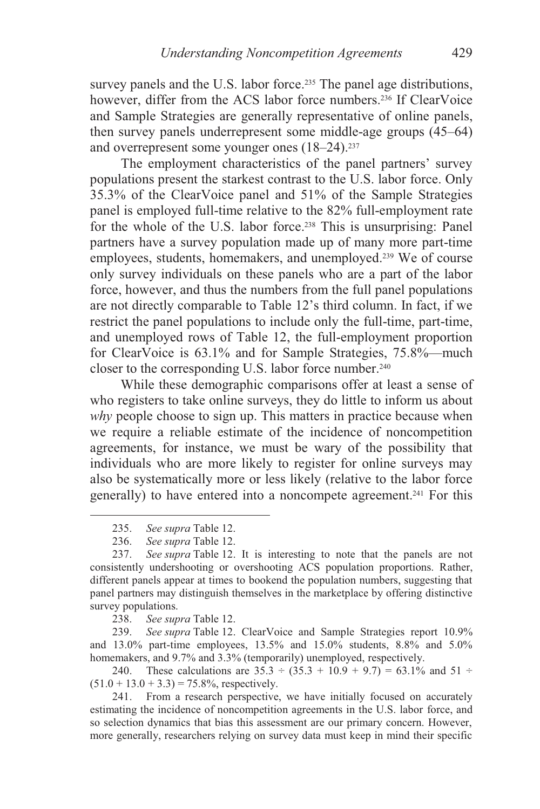survey panels and the U.S. labor force.<sup>235</sup> The panel age distributions, however, differ from the ACS labor force numbers.<sup>236</sup> If ClearVoice and Sample Strategies are generally representative of online panels, then survey panels underrepresent some middle-age groups (45–64) and overrepresent some younger ones (18–24).237

The employment characteristics of the panel partners' survey populations present the starkest contrast to the U.S. labor force. Only 35.3% of the ClearVoice panel and 51% of the Sample Strategies panel is employed full-time relative to the 82% full-employment rate for the whole of the U.S. labor force.<sup>238</sup> This is unsurprising: Panel partners have a survey population made up of many more part-time employees, students, homemakers, and unemployed.239 We of course only survey individuals on these panels who are a part of the labor force, however, and thus the numbers from the full panel populations are not directly comparable to Table 12's third column. In fact, if we restrict the panel populations to include only the full-time, part-time, and unemployed rows of Table 12, the full-employment proportion for ClearVoice is 63.1% and for Sample Strategies, 75.8%—much closer to the corresponding U.S. labor force number.<sup>240</sup>

While these demographic comparisons offer at least a sense of who registers to take online surveys, they do little to inform us about *why* people choose to sign up. This matters in practice because when we require a reliable estimate of the incidence of noncompetition agreements, for instance, we must be wary of the possibility that individuals who are more likely to register for online surveys may also be systematically more or less likely (relative to the labor force generally) to have entered into a noncompete agreement.241 For this

 $\overline{a}$ 

238. *See supra* Table 12.

239. *See supra* Table 12. ClearVoice and Sample Strategies report 10.9% and 13.0% part-time employees, 13.5% and 15.0% students, 8.8% and 5.0% homemakers, and 9.7% and 3.3% (temporarily) unemployed, respectively.

240. These calculations are  $35.3 \div (35.3 + 10.9 + 9.7) = 63.1\%$  and  $51 \div$  $(51.0 + 13.0 + 3.3) = 75.8\%$ , respectively.

 241. From a research perspective, we have initially focused on accurately estimating the incidence of noncompetition agreements in the U.S. labor force, and so selection dynamics that bias this assessment are our primary concern. However, more generally, researchers relying on survey data must keep in mind their specific

 <sup>235.</sup> *See supra* Table 12.

 <sup>236.</sup> *See supra* Table 12.

See supra Table 12. It is interesting to note that the panels are not consistently undershooting or overshooting ACS population proportions. Rather, different panels appear at times to bookend the population numbers, suggesting that panel partners may distinguish themselves in the marketplace by offering distinctive survey populations.<br>238. See sup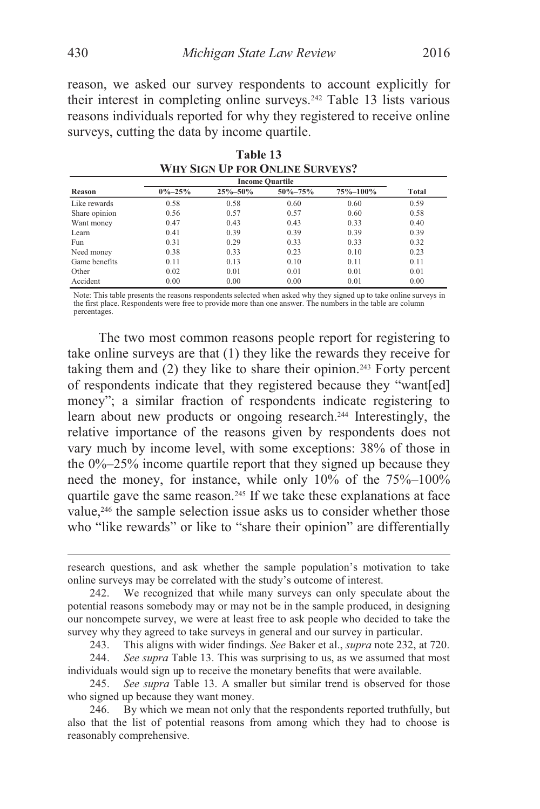reason, we asked our survey respondents to account explicitly for their interest in completing online surveys.242 Table 13 lists various reasons individuals reported for why they registered to receive online surveys, cutting the data by income quartile.

| <b>Income Quartile</b> |              |               |               |          |       |
|------------------------|--------------|---------------|---------------|----------|-------|
| Reason                 | $0\% - 25\%$ | $25\% - 50\%$ | $50\% - 75\%$ | 75%-100% | Total |
| Like rewards           | 0.58         | 0.58          | 0.60          | 0.60     | 0.59  |
| Share opinion          | 0.56         | 0.57          | 0.57          | 0.60     | 0.58  |
| Want money             | 0.47         | 0.43          | 0.43          | 0.33     | 0.40  |
| Learn                  | 0.41         | 0.39          | 0.39          | 0.39     | 0.39  |
| Fun                    | 0.31         | 0.29          | 0.33          | 0.33     | 0.32  |
| Need money             | 0.38         | 0.33          | 0.23          | 0.10     | 0.23  |
| Game benefits          | 0.11         | 0.13          | 0.10          | 0.11     | 0.11  |
| Other                  | 0.02         | 0.01          | 0.01          | 0.01     | 0.01  |
| Accident               | 0.00         | 0.00          | 0.00          | 0.01     | 0.00  |

**Table 13 WHY SIGN UP FOR ONLINE SURVEYS?** 

Note: This table presents the reasons respondents selected when asked why they signed up to take online surveys in the first place. Respondents were free to provide more than one answer. The numbers in the table are column percentages.

The two most common reasons people report for registering to take online surveys are that (1) they like the rewards they receive for taking them and  $(2)$  they like to share their opinion.<sup>243</sup> Forty percent of respondents indicate that they registered because they "want[ed] money"; a similar fraction of respondents indicate registering to learn about new products or ongoing research.244 Interestingly, the relative importance of the reasons given by respondents does not vary much by income level, with some exceptions: 38% of those in the  $0\% - 25\%$  income quartile report that they signed up because they need the money, for instance, while only 10% of the 75%–100% quartile gave the same reason.<sup>245</sup> If we take these explanations at face value,246 the sample selection issue asks us to consider whether those who "like rewards" or like to "share their opinion" are differentially

243. This aligns with wider findings. *See* Baker et al., *supra* note 232, at 720.

research questions, and ask whether the sample population's motivation to take online surveys may be correlated with the study's outcome of interest.

 <sup>242.</sup> We recognized that while many surveys can only speculate about the potential reasons somebody may or may not be in the sample produced, in designing our noncompete survey, we were at least free to ask people who decided to take the survey why they agreed to take surveys in general and our survey in particular.

 <sup>244.</sup> *See supra* Table 13. This was surprising to us, as we assumed that most individuals would sign up to receive the monetary benefits that were available.

 <sup>245.</sup> *See supra* Table 13. A smaller but similar trend is observed for those who signed up because they want money.

 <sup>246.</sup> By which we mean not only that the respondents reported truthfully, but also that the list of potential reasons from among which they had to choose is reasonably comprehensive.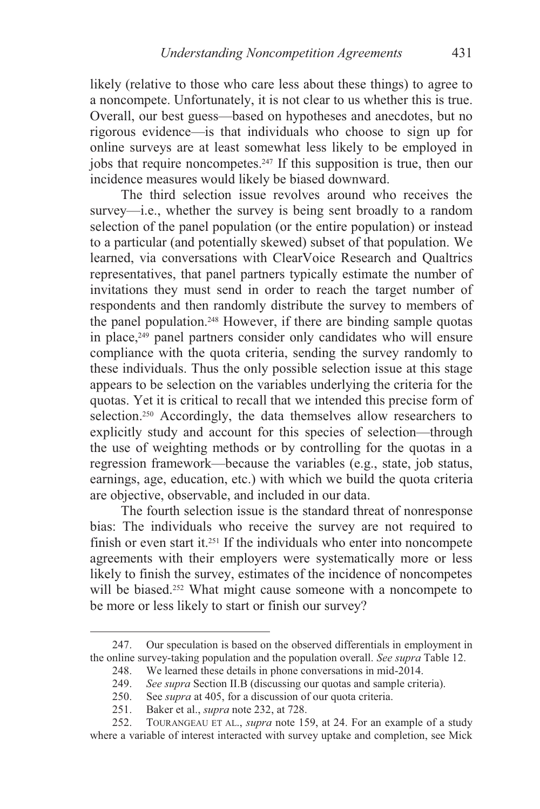likely (relative to those who care less about these things) to agree to a noncompete. Unfortunately, it is not clear to us whether this is true. Overall, our best guess—based on hypotheses and anecdotes, but no rigorous evidence—is that individuals who choose to sign up for online surveys are at least somewhat less likely to be employed in jobs that require noncompetes.247 If this supposition is true, then our incidence measures would likely be biased downward.

The third selection issue revolves around who receives the survey—i.e., whether the survey is being sent broadly to a random selection of the panel population (or the entire population) or instead to a particular (and potentially skewed) subset of that population. We learned, via conversations with ClearVoice Research and Qualtrics representatives, that panel partners typically estimate the number of invitations they must send in order to reach the target number of respondents and then randomly distribute the survey to members of the panel population.<sup>248</sup> However, if there are binding sample quotas in place,249 panel partners consider only candidates who will ensure compliance with the quota criteria, sending the survey randomly to these individuals. Thus the only possible selection issue at this stage appears to be selection on the variables underlying the criteria for the quotas. Yet it is critical to recall that we intended this precise form of selection.<sup>250</sup> Accordingly, the data themselves allow researchers to explicitly study and account for this species of selection—through the use of weighting methods or by controlling for the quotas in a regression framework—because the variables (e.g., state, job status, earnings, age, education, etc.) with which we build the quota criteria are objective, observable, and included in our data.

The fourth selection issue is the standard threat of nonresponse bias: The individuals who receive the survey are not required to finish or even start it.251 If the individuals who enter into noncompete agreements with their employers were systematically more or less likely to finish the survey, estimates of the incidence of noncompetes will be biased.<sup>252</sup> What might cause someone with a noncompete to be more or less likely to start or finish our survey?

 <sup>247.</sup> Our speculation is based on the observed differentials in employment in the online survey-taking population and the population overall. *See supra* Table 12.

 <sup>248.</sup> We learned these details in phone conversations in mid-2014.

<sup>249.</sup> *See supra* Section II.B (discussing our quotas and sample criteria).

 <sup>250.</sup> See *supra* at 405, for a discussion of our quota criteria.

 <sup>251.</sup> Baker et al., *supra* note 232, at 728.

 <sup>252.</sup> TOURANGEAU ET AL., *supra* note 159, at 24. For an example of a study where a variable of interest interacted with survey uptake and completion, see Mick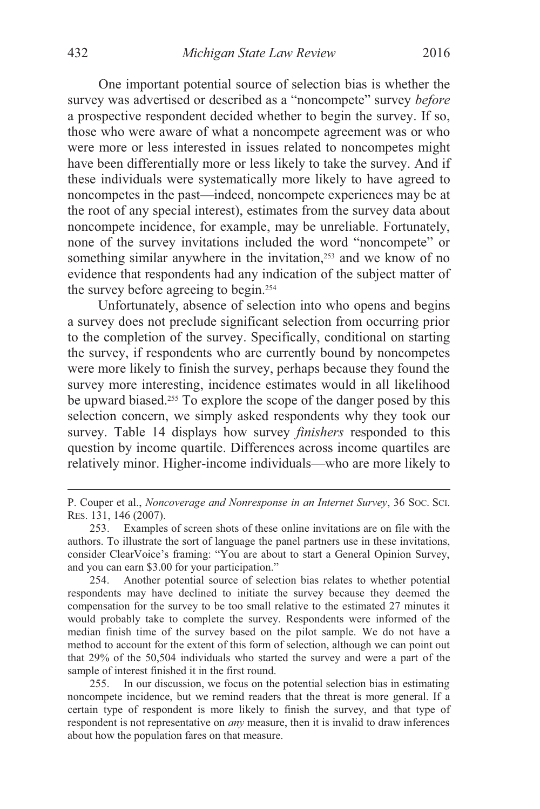One important potential source of selection bias is whether the survey was advertised or described as a "noncompete" survey *before* a prospective respondent decided whether to begin the survey. If so, those who were aware of what a noncompete agreement was or who were more or less interested in issues related to noncompetes might have been differentially more or less likely to take the survey. And if these individuals were systematically more likely to have agreed to noncompetes in the past—indeed, noncompete experiences may be at the root of any special interest), estimates from the survey data about noncompete incidence, for example, may be unreliable. Fortunately, none of the survey invitations included the word "noncompete" or something similar anywhere in the invitation,<sup>253</sup> and we know of no evidence that respondents had any indication of the subject matter of the survey before agreeing to begin.254

Unfortunately, absence of selection into who opens and begins a survey does not preclude significant selection from occurring prior to the completion of the survey. Specifically, conditional on starting the survey, if respondents who are currently bound by noncompetes were more likely to finish the survey, perhaps because they found the survey more interesting, incidence estimates would in all likelihood be upward biased.255 To explore the scope of the danger posed by this selection concern, we simply asked respondents why they took our survey. Table 14 displays how survey *finishers* responded to this question by income quartile. Differences across income quartiles are relatively minor. Higher-income individuals—who are more likely to

 255. In our discussion, we focus on the potential selection bias in estimating noncompete incidence, but we remind readers that the threat is more general. If a certain type of respondent is more likely to finish the survey, and that type of respondent is not representative on *any* measure, then it is invalid to draw inferences about how the population fares on that measure.

P. Couper et al., *Noncoverage and Nonresponse in an Internet Survey*, 36 SOC. SCI. RES. 131, 146 (2007).

 <sup>253.</sup> Examples of screen shots of these online invitations are on file with the authors. To illustrate the sort of language the panel partners use in these invitations, consider ClearVoice's framing: "You are about to start a General Opinion Survey, and you can earn \$3.00 for your participation."

 <sup>254.</sup> Another potential source of selection bias relates to whether potential respondents may have declined to initiate the survey because they deemed the compensation for the survey to be too small relative to the estimated 27 minutes it would probably take to complete the survey. Respondents were informed of the median finish time of the survey based on the pilot sample. We do not have a method to account for the extent of this form of selection, although we can point out that 29% of the 50,504 individuals who started the survey and were a part of the sample of interest finished it in the first round.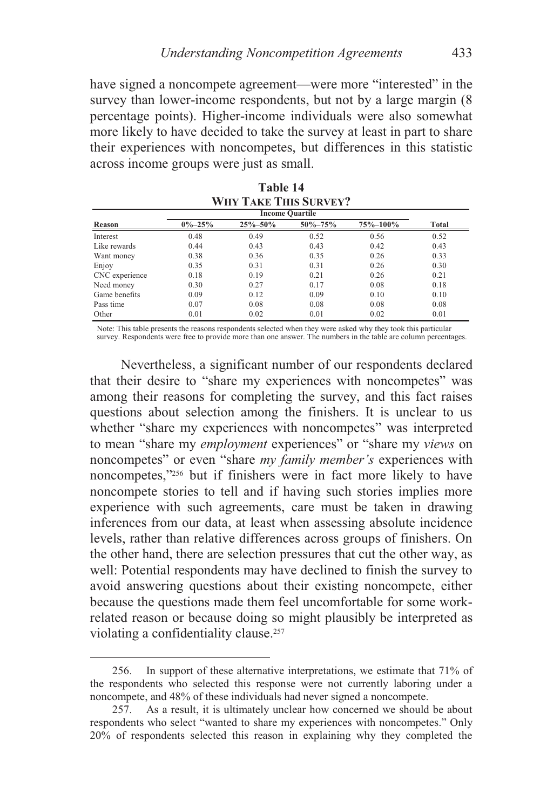have signed a noncompete agreement—were more "interested" in the survey than lower-income respondents, but not by a large margin (8 percentage points). Higher-income individuals were also somewhat more likely to have decided to take the survey at least in part to share their experiences with noncompetes, but differences in this statistic across income groups were just as small.

**Table 14** 

| <b>WHY TAKE THIS SURVEY?</b> |              |         |               |          |       |
|------------------------------|--------------|---------|---------------|----------|-------|
|                              |              |         |               |          |       |
| Reason                       | $0\% - 25\%$ | 25%-50% | $50\% - 75\%$ | 75%-100% | Total |
| Interest                     | 0.48         | 0.49    | 0.52          | 0.56     | 0.52  |
| Like rewards                 | 0.44         | 0.43    | 0.43          | 0.42     | 0.43  |
| Want money                   | 0.38         | 0.36    | 0.35          | 0.26     | 0.33  |
| Enjoy                        | 0.35         | 0.31    | 0.31          | 0.26     | 0.30  |
| CNC experience               | 0.18         | 0.19    | 0.21          | 0.26     | 0.21  |
| Need money                   | 0.30         | 0.27    | 0.17          | 0.08     | 0.18  |
| Game benefits                | 0.09         | 0.12    | 0.09          | 0.10     | 0.10  |
| Pass time                    | 0.07         | 0.08    | 0.08          | 0.08     | 0.08  |
| Other                        | 0.01         | 0.02    | 0.01          | 0.02     | 0.01  |

Note: This table presents the reasons respondents selected when they were asked why they took this particular survey. Respondents were free to provide more than one answer. The numbers in the table are column percentages.

Nevertheless, a significant number of our respondents declared that their desire to "share my experiences with noncompetes" was among their reasons for completing the survey, and this fact raises questions about selection among the finishers. It is unclear to us whether "share my experiences with noncompetes" was interpreted to mean "share my *employment* experiences" or "share my *views* on noncompetes" or even "share *my family member's* experiences with noncompetes,"256 but if finishers were in fact more likely to have noncompete stories to tell and if having such stories implies more experience with such agreements, care must be taken in drawing inferences from our data, at least when assessing absolute incidence levels, rather than relative differences across groups of finishers. On the other hand, there are selection pressures that cut the other way, as well: Potential respondents may have declined to finish the survey to avoid answering questions about their existing noncompete, either because the questions made them feel uncomfortable for some workrelated reason or because doing so might plausibly be interpreted as violating a confidentiality clause.<sup>257</sup>

 <sup>256.</sup> In support of these alternative interpretations, we estimate that 71% of the respondents who selected this response were not currently laboring under a noncompete, and 48% of these individuals had never signed a noncompete.

 <sup>257.</sup> As a result, it is ultimately unclear how concerned we should be about respondents who select "wanted to share my experiences with noncompetes." Only 20% of respondents selected this reason in explaining why they completed the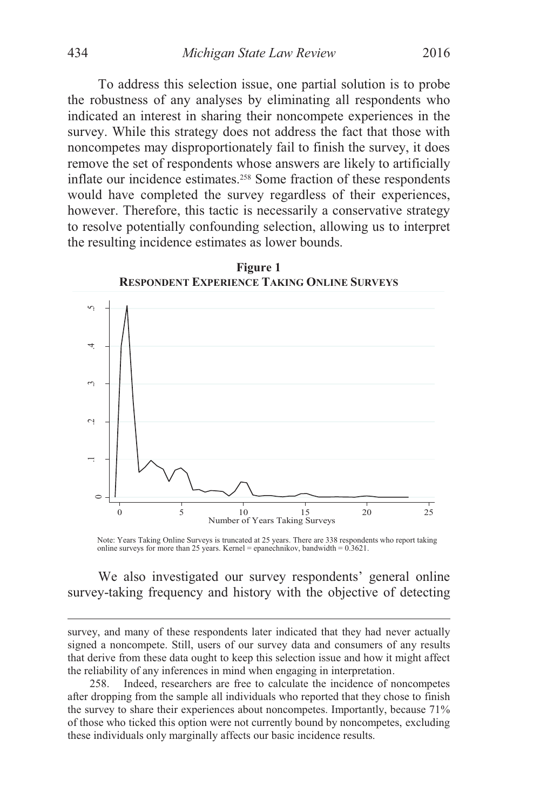To address this selection issue, one partial solution is to probe the robustness of any analyses by eliminating all respondents who indicated an interest in sharing their noncompete experiences in the survey. While this strategy does not address the fact that those with noncompetes may disproportionately fail to finish the survey, it does remove the set of respondents whose answers are likely to artificially inflate our incidence estimates.258 Some fraction of these respondents would have completed the survey regardless of their experiences, however. Therefore, this tactic is necessarily a conservative strategy to resolve potentially confounding selection, allowing us to interpret the resulting incidence estimates as lower bounds.



**Figure 1 RESPONDENT EXPERIENCE TAKING ONLINE SURVEYS**

Note: Years Taking Online Surveys is truncated at 25 years. There are 338 respondents who report taking online surveys for more than 25 years. Kernel = epanechnikov, bandwidth = 0.3621.

We also investigated our survey respondents' general online survey-taking frequency and history with the objective of detecting

survey, and many of these respondents later indicated that they had never actually signed a noncompete. Still, users of our survey data and consumers of any results that derive from these data ought to keep this selection issue and how it might affect the reliability of any inferences in mind when engaging in interpretation.

 <sup>258.</sup> Indeed, researchers are free to calculate the incidence of noncompetes after dropping from the sample all individuals who reported that they chose to finish the survey to share their experiences about noncompetes. Importantly, because 71% of those who ticked this option were not currently bound by noncompetes, excluding these individuals only marginally affects our basic incidence results.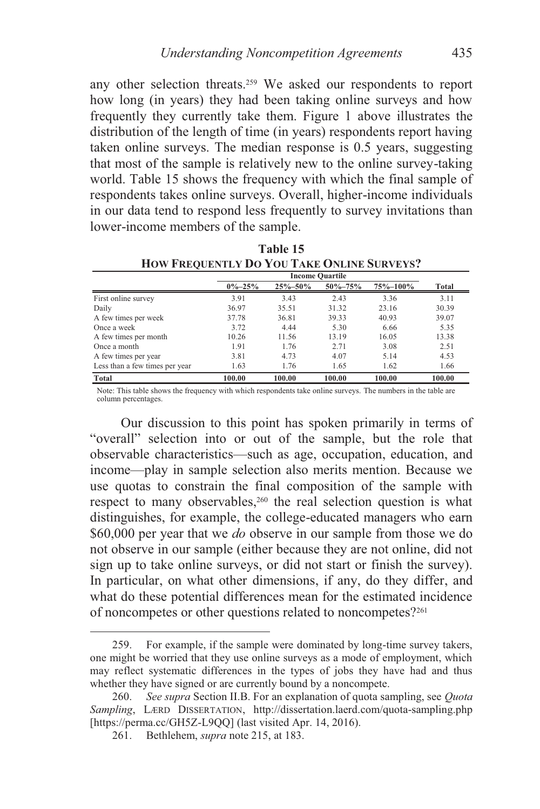any other selection threats.259 We asked our respondents to report how long (in years) they had been taking online surveys and how frequently they currently take them. Figure 1 above illustrates the distribution of the length of time (in years) respondents report having taken online surveys. The median response is 0.5 years, suggesting that most of the sample is relatively new to the online survey-taking world. Table 15 shows the frequency with which the final sample of respondents takes online surveys. Overall, higher-income individuals in our data tend to respond less frequently to survey invitations than lower-income members of the sample.

|                                | <b>Income Quartile</b> |               |               |          |        |
|--------------------------------|------------------------|---------------|---------------|----------|--------|
|                                | $0\% - 25\%$           | $25\% - 50\%$ | $50\% - 75\%$ | 75%-100% | Total  |
| First online survey            | 3.91                   | 3.43          | 2.43          | 3.36     | 3.11   |
| Daily                          | 36.97                  | 35.51         | 31.32         | 23.16    | 30.39  |
| A few times per week           | 37.78                  | 36.81         | 39.33         | 40.93    | 39.07  |
| Once a week                    | 3.72                   | 4.44          | 5.30          | 6.66     | 5.35   |
| A few times per month          | 10.26                  | 11.56         | 13.19         | 16.05    | 13.38  |
| Once a month                   | 1.91                   | 1.76          | 2.71          | 3.08     | 2.51   |
| A few times per year           | 3.81                   | 4.73          | 4.07          | 5.14     | 4.53   |
| Less than a few times per year | 1.63                   | 1.76          | 1.65          | 1.62     | 1.66   |
| Total                          | 100.00                 | 100.00        | 100.00        | 100.00   | 100.00 |

**Table 15 HOW FREQUENTLY DO YOU TAKE ONLINE SURVEYS?** 

Note: This table shows the frequency with which respondents take online surveys. The numbers in the table are column percentages.

Our discussion to this point has spoken primarily in terms of "overall" selection into or out of the sample, but the role that observable characteristics—such as age, occupation, education, and income—play in sample selection also merits mention. Because we use quotas to constrain the final composition of the sample with respect to many observables,260 the real selection question is what distinguishes, for example, the college-educated managers who earn \$60,000 per year that we *do* observe in our sample from those we do not observe in our sample (either because they are not online, did not sign up to take online surveys, or did not start or finish the survey). In particular, on what other dimensions, if any, do they differ, and what do these potential differences mean for the estimated incidence of noncompetes or other questions related to noncompetes?261

 <sup>259.</sup> For example, if the sample were dominated by long-time survey takers, one might be worried that they use online surveys as a mode of employment, which may reflect systematic differences in the types of jobs they have had and thus whether they have signed or are currently bound by a noncompete.

<sup>260.</sup> *See supra* Section II.B. For an explanation of quota sampling, see *Quota Sampling*, LÆRD DISSERTATION, http://dissertation.laerd.com/quota-sampling.php [https://perma.cc/GH5Z-L9QQ] (last visited Apr. 14, 2016).

 <sup>261.</sup> Bethlehem, *supra* note 215, at 183.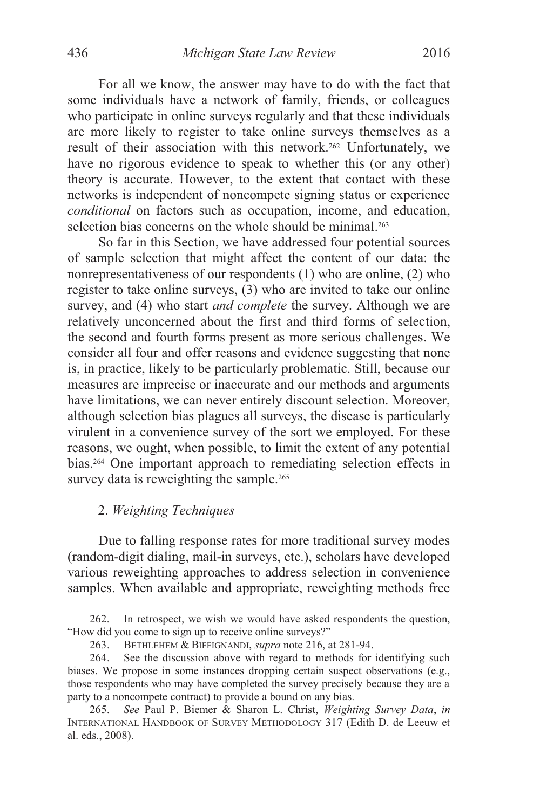For all we know, the answer may have to do with the fact that some individuals have a network of family, friends, or colleagues who participate in online surveys regularly and that these individuals are more likely to register to take online surveys themselves as a result of their association with this network.262 Unfortunately, we have no rigorous evidence to speak to whether this (or any other) theory is accurate. However, to the extent that contact with these networks is independent of noncompete signing status or experience *conditional* on factors such as occupation, income, and education, selection bias concerns on the whole should be minimal.<sup>263</sup>

So far in this Section, we have addressed four potential sources of sample selection that might affect the content of our data: the nonrepresentativeness of our respondents (1) who are online, (2) who register to take online surveys, (3) who are invited to take our online survey, and (4) who start *and complete* the survey. Although we are relatively unconcerned about the first and third forms of selection, the second and fourth forms present as more serious challenges. We consider all four and offer reasons and evidence suggesting that none is, in practice, likely to be particularly problematic. Still, because our measures are imprecise or inaccurate and our methods and arguments have limitations, we can never entirely discount selection. Moreover, although selection bias plagues all surveys, the disease is particularly virulent in a convenience survey of the sort we employed. For these reasons, we ought, when possible, to limit the extent of any potential bias.264 One important approach to remediating selection effects in survey data is reweighting the sample.<sup>265</sup>

# 2. *Weighting Techniques*

 $\overline{a}$ 

Due to falling response rates for more traditional survey modes (random-digit dialing, mail-in surveys, etc.), scholars have developed various reweighting approaches to address selection in convenience samples. When available and appropriate, reweighting methods free

 <sup>262.</sup> In retrospect, we wish we would have asked respondents the question, "How did you come to sign up to receive online surveys?"

 <sup>263.</sup> BETHLEHEM & BIFFIGNANDI, *supra* note 216, at 281-94.

 <sup>264.</sup> See the discussion above with regard to methods for identifying such biases. We propose in some instances dropping certain suspect observations (e.g., those respondents who may have completed the survey precisely because they are a party to a noncompete contract) to provide a bound on any bias.

<sup>265.</sup> *See* Paul P. Biemer & Sharon L. Christ, *Weighting Survey Data*, *in* INTERNATIONAL HANDBOOK OF SURVEY METHODOLOGY 317 (Edith D. de Leeuw et al. eds., 2008).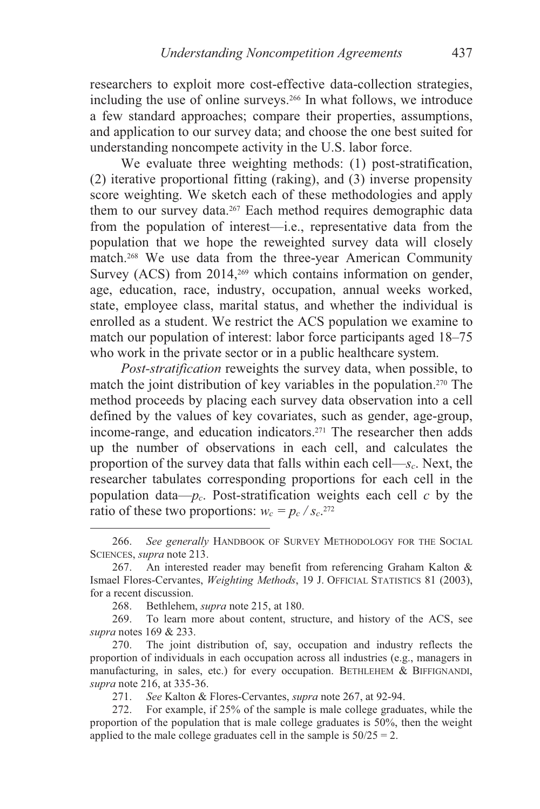researchers to exploit more cost-effective data-collection strategies, including the use of online surveys.266 In what follows, we introduce a few standard approaches; compare their properties, assumptions, and application to our survey data; and choose the one best suited for understanding noncompete activity in the U.S. labor force.

We evaluate three weighting methods: (1) post-stratification, (2) iterative proportional fitting (raking), and (3) inverse propensity score weighting. We sketch each of these methodologies and apply them to our survey data.<sup>267</sup> Each method requires demographic data from the population of interest—i.e., representative data from the population that we hope the reweighted survey data will closely match.268 We use data from the three-year American Community Survey (ACS) from 2014,<sup>269</sup> which contains information on gender, age, education, race, industry, occupation, annual weeks worked, state, employee class, marital status, and whether the individual is enrolled as a student. We restrict the ACS population we examine to match our population of interest: labor force participants aged 18–75 who work in the private sector or in a public healthcare system.

*Post-stratification* reweights the survey data, when possible, to match the joint distribution of key variables in the population.270 The method proceeds by placing each survey data observation into a cell defined by the values of key covariates, such as gender, age-group, income-range, and education indicators.271 The researcher then adds up the number of observations in each cell, and calculates the proportion of the survey data that falls within each cell—*sc*. Next, the researcher tabulates corresponding proportions for each cell in the population data— $p_c$ . Post-stratification weights each cell *c* by the ratio of these two proportions:  $w_c = p_c / s_c$ <sup>272</sup>

271. *See* Kalton & Flores-Cervantes, *supra* note 267, at 92-94.

 <sup>266.</sup> *See generally* HANDBOOK OF SURVEY METHODOLOGY FOR THE SOCIAL SCIENCES, *supra* note 213.

 <sup>267.</sup> An interested reader may benefit from referencing Graham Kalton & Ismael Flores-Cervantes, *Weighting Methods*, 19 J. OFFICIAL STATISTICS 81 (2003), for a recent discussion.

 <sup>268.</sup> Bethlehem, *supra* note 215, at 180.

 <sup>269.</sup> To learn more about content, structure, and history of the ACS, see *supra* notes 169 & 233.

 <sup>270.</sup> The joint distribution of, say, occupation and industry reflects the proportion of individuals in each occupation across all industries (e.g., managers in manufacturing, in sales, etc.) for every occupation. BETHLEHEM & BIFFIGNANDI, *supra* note 216, at 335-36.

 <sup>272.</sup> For example, if 25% of the sample is male college graduates, while the proportion of the population that is male college graduates is 50%, then the weight applied to the male college graduates cell in the sample is  $50/25 = 2$ .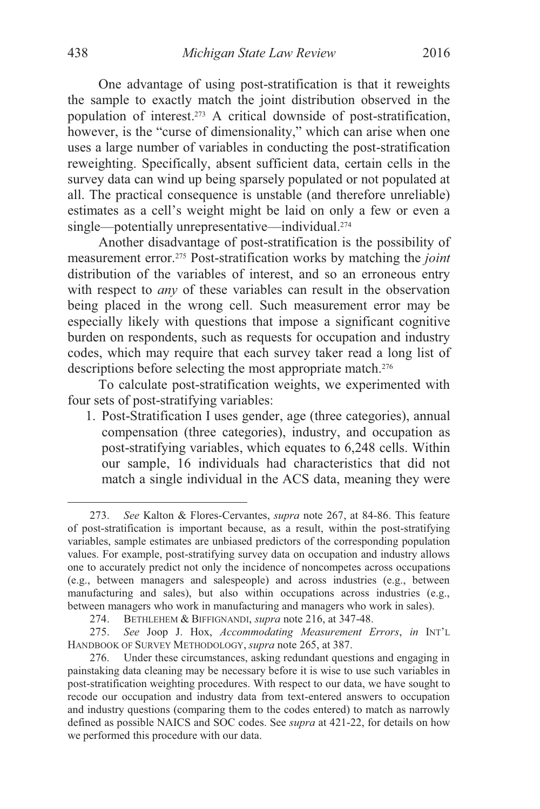One advantage of using post-stratification is that it reweights the sample to exactly match the joint distribution observed in the population of interest.273 A critical downside of post-stratification, however, is the "curse of dimensionality," which can arise when one uses a large number of variables in conducting the post-stratification

reweighting. Specifically, absent sufficient data, certain cells in the survey data can wind up being sparsely populated or not populated at all. The practical consequence is unstable (and therefore unreliable) estimates as a cell's weight might be laid on only a few or even a single—potentially unrepresentative—individual.<sup>274</sup>

Another disadvantage of post-stratification is the possibility of measurement error.275 Post-stratification works by matching the *joint* distribution of the variables of interest, and so an erroneous entry with respect to *any* of these variables can result in the observation being placed in the wrong cell. Such measurement error may be especially likely with questions that impose a significant cognitive burden on respondents, such as requests for occupation and industry codes, which may require that each survey taker read a long list of descriptions before selecting the most appropriate match.<sup>276</sup>

To calculate post-stratification weights, we experimented with four sets of post-stratifying variables:

1. Post-Stratification I uses gender, age (three categories), annual compensation (three categories), industry, and occupation as post-stratifying variables, which equates to 6,248 cells. Within our sample, 16 individuals had characteristics that did not match a single individual in the ACS data, meaning they were

 <sup>273.</sup> *See* Kalton & Flores-Cervantes, *supra* note 267, at 84-86. This feature of post-stratification is important because, as a result, within the post-stratifying variables, sample estimates are unbiased predictors of the corresponding population values. For example, post-stratifying survey data on occupation and industry allows one to accurately predict not only the incidence of noncompetes across occupations (e.g., between managers and salespeople) and across industries (e.g., between manufacturing and sales), but also within occupations across industries (e.g., between managers who work in manufacturing and managers who work in sales).

 <sup>274.</sup> BETHLEHEM & BIFFIGNANDI, *supra* note 216, at 347-48.

<sup>275.</sup> *See* Joop J. Hox, *Accommodating Measurement Errors*, *in* INT'L HANDBOOK OF SURVEY METHODOLOGY, *supra* note 265, at 387.

 <sup>276.</sup> Under these circumstances, asking redundant questions and engaging in painstaking data cleaning may be necessary before it is wise to use such variables in post-stratification weighting procedures. With respect to our data, we have sought to recode our occupation and industry data from text-entered answers to occupation and industry questions (comparing them to the codes entered) to match as narrowly defined as possible NAICS and SOC codes. See *supra* at 421-22, for details on how we performed this procedure with our data.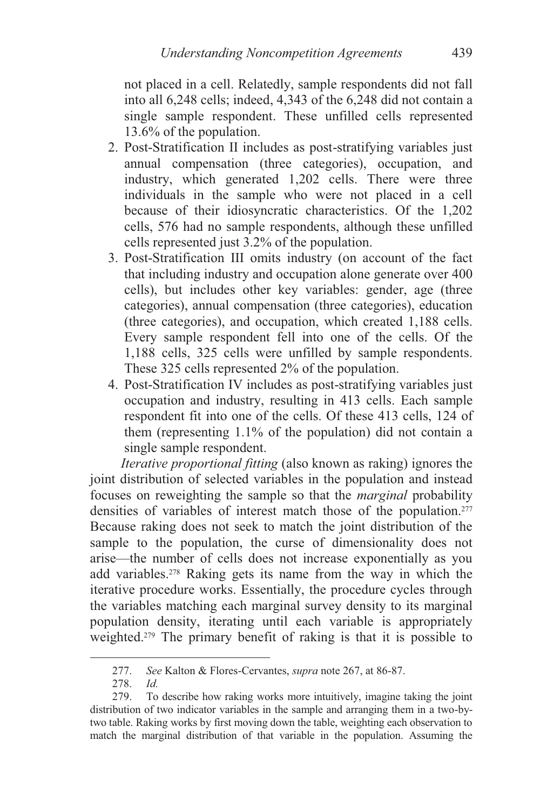not placed in a cell. Relatedly, sample respondents did not fall into all 6,248 cells; indeed, 4,343 of the 6,248 did not contain a single sample respondent. These unfilled cells represented 13.6% of the population.

- 2. Post-Stratification II includes as post-stratifying variables just annual compensation (three categories), occupation, and industry, which generated 1,202 cells. There were three individuals in the sample who were not placed in a cell because of their idiosyncratic characteristics. Of the 1,202 cells, 576 had no sample respondents, although these unfilled cells represented just 3.2% of the population.
- 3. Post-Stratification III omits industry (on account of the fact that including industry and occupation alone generate over 400 cells), but includes other key variables: gender, age (three categories), annual compensation (three categories), education (three categories), and occupation, which created 1,188 cells. Every sample respondent fell into one of the cells. Of the 1,188 cells, 325 cells were unfilled by sample respondents. These 325 cells represented 2% of the population.
- 4. Post-Stratification IV includes as post-stratifying variables just occupation and industry, resulting in 413 cells. Each sample respondent fit into one of the cells. Of these 413 cells, 124 of them (representing 1.1% of the population) did not contain a single sample respondent.

*Iterative proportional fitting* (also known as raking) ignores the joint distribution of selected variables in the population and instead focuses on reweighting the sample so that the *marginal* probability densities of variables of interest match those of the population.<sup>277</sup> Because raking does not seek to match the joint distribution of the sample to the population, the curse of dimensionality does not arise—the number of cells does not increase exponentially as you add variables.278 Raking gets its name from the way in which the iterative procedure works. Essentially, the procedure cycles through the variables matching each marginal survey density to its marginal population density, iterating until each variable is appropriately weighted.<sup>279</sup> The primary benefit of raking is that it is possible to

 <sup>277.</sup> *See* Kalton & Flores-Cervantes, *supra* note 267, at 86-87.

<sup>278.</sup> *Id.*

 <sup>279.</sup> To describe how raking works more intuitively, imagine taking the joint distribution of two indicator variables in the sample and arranging them in a two-bytwo table. Raking works by first moving down the table, weighting each observation to match the marginal distribution of that variable in the population. Assuming the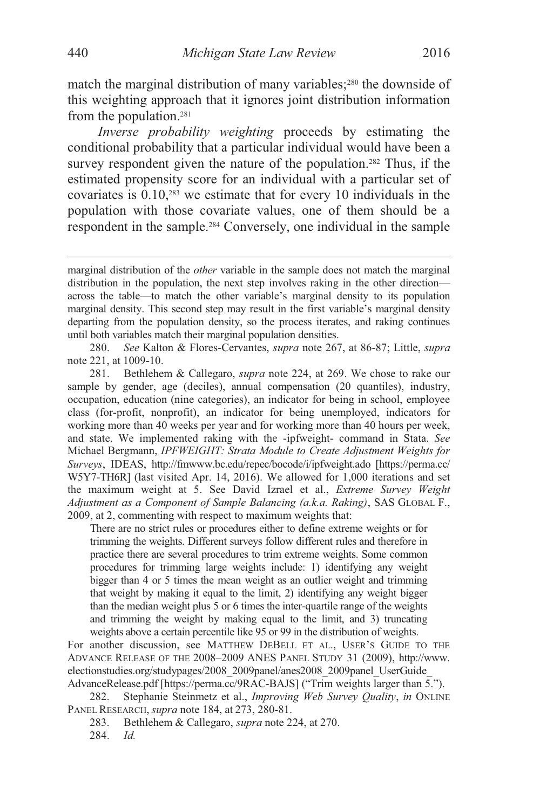match the marginal distribution of many variables;<sup>280</sup> the downside of this weighting approach that it ignores joint distribution information from the population.281

*Inverse probability weighting* proceeds by estimating the conditional probability that a particular individual would have been a survey respondent given the nature of the population.<sup>282</sup> Thus, if the estimated propensity score for an individual with a particular set of covariates is 0.10,283 we estimate that for every 10 individuals in the population with those covariate values, one of them should be a respondent in the sample.284 Conversely, one individual in the sample

280. *See* Kalton & Flores-Cervantes, *supra* note 267, at 86-87; Little, *supra* note 221, at 1009-10.

 281. Bethlehem & Callegaro, *supra* note 224, at 269. We chose to rake our sample by gender, age (deciles), annual compensation (20 quantiles), industry, occupation, education (nine categories), an indicator for being in school, employee class (for-profit, nonprofit), an indicator for being unemployed, indicators for working more than 40 weeks per year and for working more than 40 hours per week, and state. We implemented raking with the -ipfweight- command in Stata. *See* Michael Bergmann, *IPFWEIGHT: Strata Module to Create Adjustment Weights for Surveys*, IDEAS, http://fmwww.bc.edu/repec/bocode/i/ipfweight.ado [https://perma.cc/ W5Y7-TH6R] (last visited Apr. 14, 2016). We allowed for 1,000 iterations and set the maximum weight at 5. See David Izrael et al., *Extreme Survey Weight Adjustment as a Component of Sample Balancing (a.k.a. Raking)*, SAS GLOBAL F., 2009, at 2, commenting with respect to maximum weights that:

There are no strict rules or procedures either to define extreme weights or for trimming the weights. Different surveys follow different rules and therefore in practice there are several procedures to trim extreme weights. Some common procedures for trimming large weights include: 1) identifying any weight bigger than 4 or 5 times the mean weight as an outlier weight and trimming that weight by making it equal to the limit, 2) identifying any weight bigger than the median weight plus 5 or 6 times the inter-quartile range of the weights and trimming the weight by making equal to the limit, and 3) truncating weights above a certain percentile like 95 or 99 in the distribution of weights.

For another discussion, see MATTHEW DEBELL ET AL., USER'S GUIDE TO THE ADVANCE RELEASE OF THE 2008–2009 ANES PANEL STUDY 31 (2009), http://www. electionstudies.org/studypages/2008\_2009panel/anes2008\_2009panel\_UserGuide\_ AdvanceRelease.pdf [https://perma.cc/9RAC-BAJS] ("Trim weights larger than 5.").

 282. Stephanie Steinmetz et al., *Improving Web Survey Quality*, *in* ONLINE PANEL RESEARCH, *supra* note 184, at 273, 280-81.

283. Bethlehem & Callegaro, *supra* note 224, at 270.

284. *Id.*

marginal distribution of the *other* variable in the sample does not match the marginal distribution in the population, the next step involves raking in the other direction across the table—to match the other variable's marginal density to its population marginal density. This second step may result in the first variable's marginal density departing from the population density, so the process iterates, and raking continues until both variables match their marginal population densities.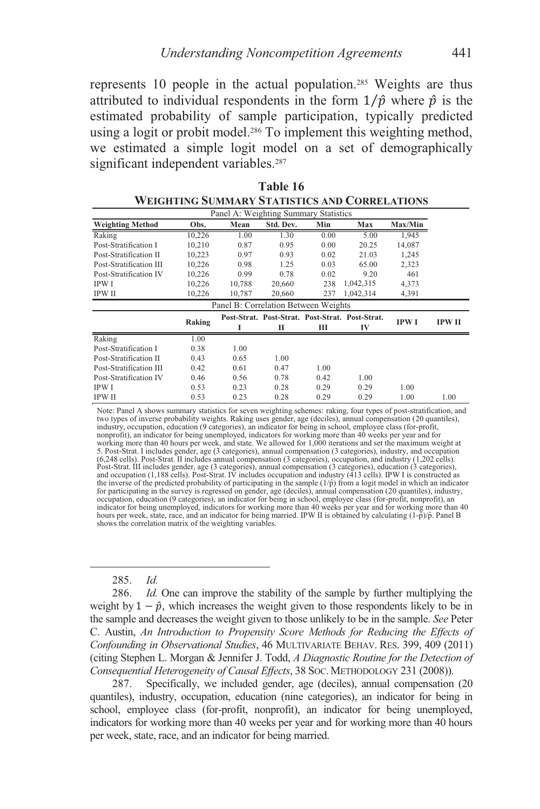represents 10 people in the actual population.285 Weights are thus attributed to individual respondents in the form  $1/\hat{p}$  where  $\hat{p}$  is the estimated probability of sample participation, typically predicted using a logit or probit model.<sup>286</sup> To implement this weighting method, we estimated a simple logit model on a set of demographically significant independent variables.<sup>287</sup>

**Table 16** 

|                         |        |                                       |           |                                                 | WEIGHTING SUMMARY STATISTICS AND CORRELATIONS |             |               |
|-------------------------|--------|---------------------------------------|-----------|-------------------------------------------------|-----------------------------------------------|-------------|---------------|
|                         |        | Panel A: Weighting Summary Statistics |           |                                                 |                                               |             |               |
| <b>Weighting Method</b> | Obs.   | Mean                                  | Std. Dev. | Min                                             | Max                                           | Max/Min     |               |
| Raking                  | 10.226 | 1.00                                  | 1.30      | 0.00                                            | 5.00                                          | 1,945       |               |
| Post-Stratification I   | 10.210 | 0.87                                  | 0.95      | 0.00                                            | 20.25                                         | 14,087      |               |
| Post-Stratification II  | 10,223 | 0.97                                  | 0.93      | 0.02                                            | 21.03                                         | 1,245       |               |
| Post-Stratification III | 10,226 | 0.98                                  | 1.25      | 0.03                                            | 65.00                                         | 2,323       |               |
| Post-Stratification IV  | 10,226 | 0.99                                  | 0.78      | 0.02                                            | 9.20                                          | 461         |               |
| <b>IPWI</b>             | 10,226 | 10.788                                | 20,660    | 238                                             | 1,042,315                                     | 4,373       |               |
| <b>IPW II</b>           | 10,226 | 10,787                                | 20,660    | 237                                             | 1,042,314                                     | 4,391       |               |
|                         |        | Panel B: Correlation Between Weights  |           |                                                 |                                               |             |               |
|                         | Raking |                                       |           | Post-Strat. Post-Strat. Post-Strat. Post-Strat. |                                               | <b>IPWI</b> | <b>IPW II</b> |
|                         |        | п                                     | п         | Ш                                               | IV                                            |             |               |
| Raking                  | 1.00   |                                       |           |                                                 |                                               |             |               |
| Post-Stratification I   | 0.38   | 1.00                                  |           |                                                 |                                               |             |               |
| Post-Stratification II  | 0.43   | 0.65                                  | 1.00      |                                                 |                                               |             |               |
| Post-Stratification III | 0.42   | 0.61                                  | 0.47      | 1.00                                            |                                               |             |               |
| Post-Stratification IV  | 0.46   | 0.56                                  | 0.78      | 0.42                                            | 1.00                                          |             |               |
| <b>IPWI</b>             | 0.53   | 0.23                                  | 0.28      | 0.29                                            | 0.29                                          | 1.00        |               |
| IPW II                  | 0.53   | 0.23                                  | 0.28      | 0.29                                            | 0.29                                          | 1.00        | 1.00          |

| Note: Panel A shows summary statistics for seven weighting schemes: raking, four types of post-stratification, and<br>two types of inverse probability weights. Raking uses gender, age (deciles), annual compensation (20 quantiles), |
|----------------------------------------------------------------------------------------------------------------------------------------------------------------------------------------------------------------------------------------|
| industry, occupation, education (9 categories), an indicator for being in school, employee class (for-profit,                                                                                                                          |
| nonprofit), an indicator for being unemployed, indicators for working more than 40 weeks per year and for                                                                                                                              |
| working more than 40 hours per week, and state. We allowed for 1,000 iterations and set the maximum weight at                                                                                                                          |
| 5. Post-Strat. I includes gender, age (3 categories), annual compensation (3 categories), industry, and occupation                                                                                                                     |
| $(6,248 \text{ cells})$ . Post-Strat. II includes annual compensation $(3 \text{ categories})$ , occupation, and industry $(1,202 \text{ cells})$ .                                                                                    |
| Post-Strat. III includes gender, age (3 categories), annual compensation (3 categories), education (3 categories),                                                                                                                     |
| and occupation (1,188 cells). Post-Strat, IV includes occupation and industry (413 cells). IPW I is constructed as                                                                                                                     |
| the inverse of the predicted probability of participating in the sample $(1/\hat{p})$ from a logit model in which an indicator                                                                                                         |
| for participating in the survey is regressed on gender, age (deciles), annual compensation (20 quantiles), industry,                                                                                                                   |
| occupation, education (9 categories), an indicator for being in school, employee class (for-profit, nonprofit), an                                                                                                                     |
| indicator for being unemployed, indicators for working more than 40 weeks per year and for working more than 40                                                                                                                        |
| hours per week, state, race, and an indicator for being married. IPW II is obtained by calculating $(1-\hat{p})/\hat{p}$ . Panel B                                                                                                     |
| shows the correlation matrix of the weighting variables.                                                                                                                                                                               |

285. *Id.*

286. *Id.* One can improve the stability of the sample by further multiplying the weight by  $1 - \hat{p}$ , which increases the weight given to those respondents likely to be in the sample and decreases the weight given to those unlikely to be in the sample. *See* Peter C. Austin, *An Introduction to Propensity Score Methods for Reducing the Effects of Confounding in Observational Studies*, 46 MULTIVARIATE BEHAV. RES. 399, 409 (2011) (citing Stephen L. Morgan & Jennifer J. Todd, *A Diagnostic Routine for the Detection of Consequential Heterogeneity of Causal Effects*, 38 SOC. METHODOLOGY 231 (2008)).

 287. Specifically, we included gender, age (deciles), annual compensation (20 quantiles), industry, occupation, education (nine categories), an indicator for being in school, employee class (for-profit, nonprofit), an indicator for being unemployed, indicators for working more than 40 weeks per year and for working more than 40 hours per week, state, race, and an indicator for being married.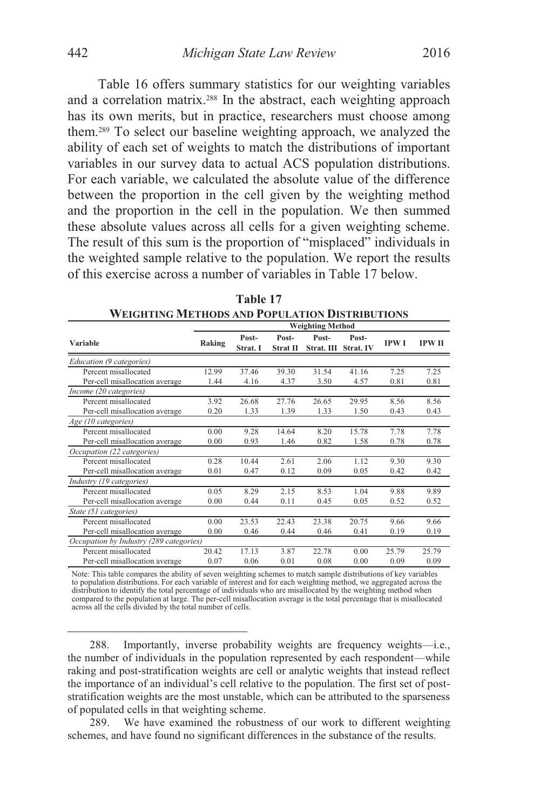Table 16 offers summary statistics for our weighting variables and a correlation matrix.288 In the abstract, each weighting approach has its own merits, but in practice, researchers must choose among them.289 To select our baseline weighting approach, we analyzed the ability of each set of weights to match the distributions of important variables in our survey data to actual ACS population distributions. For each variable, we calculated the absolute value of the difference between the proportion in the cell given by the weighting method and the proportion in the cell in the population. We then summed these absolute values across all cells for a given weighting scheme. The result of this sum is the proportion of "misplaced" individuals in the weighted sample relative to the population. We report the results of this exercise across a number of variables in Table 17 below.

|                                         | <b>Weighting Method</b> |                   |                          |                     |                    |             |               |
|-----------------------------------------|-------------------------|-------------------|--------------------------|---------------------|--------------------|-------------|---------------|
| Variable                                | Raking                  | Post-<br>Strat. I | Post-<br><b>Strat II</b> | Post-<br>Strat. III | Post-<br>Strat. IV | <b>IPWI</b> | <b>IPW II</b> |
| Education (9 categories)                |                         |                   |                          |                     |                    |             |               |
| Percent misallocated                    | 12.99                   | 37.46             | 39.30                    | 31.54               | 41.16              | 7.25        | 7.25          |
| Per-cell misallocation average          | 1.44                    | 4.16              | 4.37                     | 3.50                | 4.57               | 0.81        | 0.81          |
| Income (20 categories)                  |                         |                   |                          |                     |                    |             |               |
| Percent misallocated                    | 3.92                    | 26.68             | 27.76                    | 26.65               | 29.95              | 8.56        | 8.56          |
| Per-cell misallocation average          | 0.20                    | 1.33              | 1.39                     | 1.33                | 1.50               | 0.43        | 0.43          |
| Age (10 categories)                     |                         |                   |                          |                     |                    |             |               |
| Percent misallocated                    | 0.00                    | 9.28              | 14.64                    | 8.20                | 15.78              | 7.78        | 7.78          |
| Per-cell misallocation average          | 0.00                    | 0.93              | 1.46                     | 0.82                | 1.58               | 0.78        | 0.78          |
| Occupation (22 categories)              |                         |                   |                          |                     |                    |             |               |
| Percent misallocated                    | 0.28                    | 10.44             | 2.61                     | 2.06                | 1.12               | 9.30        | 9.30          |
| Per-cell misallocation average          | 0.01                    | 0.47              | 0.12                     | 0.09                | 0.05               | 0.42        | 0.42          |
| Industry (19 categories)                |                         |                   |                          |                     |                    |             |               |
| Percent misallocated                    | 0.05                    | 8.29              | 2.15                     | 8.53                | 1.04               | 9.88        | 9.89          |
| Per-cell misallocation average          | 0.00                    | 0.44              | 0.11                     | 0.45                | 0.05               | 0.52        | 0.52          |
| State (51 categories)                   |                         |                   |                          |                     |                    |             |               |
| Percent misallocated                    | 0.00                    | 23.53             | 22.43                    | 23.38               | 20.75              | 9.66        | 9.66          |
| Per-cell misallocation average          | 0.00                    | 0.46              | 0.44                     | 0.46                | 0.41               | 0.19        | 0.19          |
| Occupation by Industry (289 categories) |                         |                   |                          |                     |                    |             |               |
| Percent misallocated                    | 20.42                   | 17.13             | 3.87                     | 22.78               | 0.00               | 25.79       | 25.79         |
| Per-cell misallocation average          | 0.07                    | 0.06              | 0.01                     | 0.08                | 0.00               | 0.09        | 0.09          |

**Table 17 WEIGHTING METHODS AND POPULATION DISTRIBUTIONS**

Note: This table compares the ability of seven weighting schemes to match sample distributions of key variables to population distributions. For each variable of interest and for each weighting method, we aggregated across the distribution to identify the total percentage of individuals who are misallocated by the weighting method when<br>compared to the population at large. The per-cell misallocation average is the total percentage that is misallo across all the cells divided by the total number of cells.

 288. Importantly, inverse probability weights are frequency weights—i.e., the number of individuals in the population represented by each respondent—while raking and post-stratification weights are cell or analytic weights that instead reflect the importance of an individual's cell relative to the population. The first set of poststratification weights are the most unstable, which can be attributed to the sparseness of populated cells in that weighting scheme.

 289. We have examined the robustness of our work to different weighting schemes, and have found no significant differences in the substance of the results.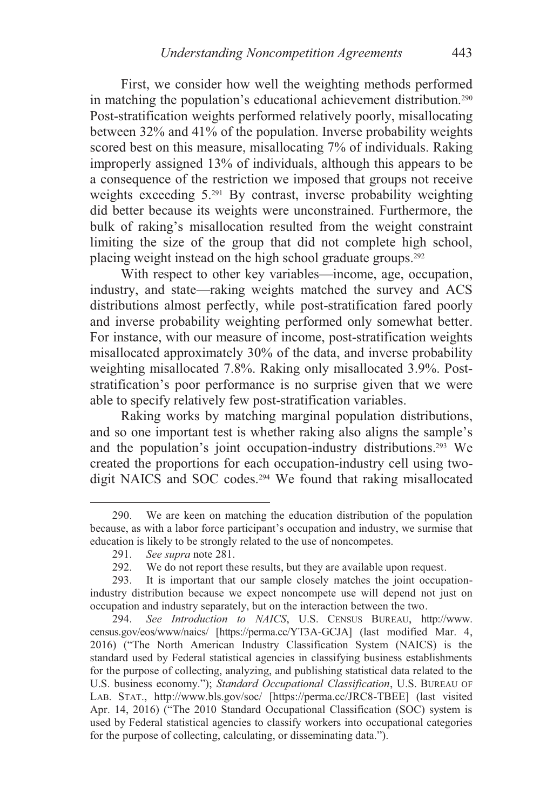First, we consider how well the weighting methods performed in matching the population's educational achievement distribution.290 Post-stratification weights performed relatively poorly, misallocating between 32% and 41% of the population. Inverse probability weights scored best on this measure, misallocating 7% of individuals. Raking improperly assigned 13% of individuals, although this appears to be a consequence of the restriction we imposed that groups not receive weights exceeding 5.291 By contrast, inverse probability weighting did better because its weights were unconstrained. Furthermore, the bulk of raking's misallocation resulted from the weight constraint limiting the size of the group that did not complete high school, placing weight instead on the high school graduate groups.292

With respect to other key variables—income, age, occupation, industry, and state—raking weights matched the survey and ACS distributions almost perfectly, while post-stratification fared poorly and inverse probability weighting performed only somewhat better. For instance, with our measure of income, post-stratification weights misallocated approximately 30% of the data, and inverse probability weighting misallocated 7.8%. Raking only misallocated 3.9%. Poststratification's poor performance is no surprise given that we were able to specify relatively few post-stratification variables.

Raking works by matching marginal population distributions, and so one important test is whether raking also aligns the sample's and the population's joint occupation-industry distributions.293 We created the proportions for each occupation-industry cell using twodigit NAICS and SOC codes.294 We found that raking misallocated

 <sup>290.</sup> We are keen on matching the education distribution of the population because, as with a labor force participant's occupation and industry, we surmise that education is likely to be strongly related to the use of noncompetes.<br>291. See supra note 281.

 <sup>291.</sup> *See supra* note 281.

 <sup>292.</sup> We do not report these results, but they are available upon request.

 <sup>293.</sup> It is important that our sample closely matches the joint occupationindustry distribution because we expect noncompete use will depend not just on occupation and industry separately, but on the interaction between the two.

<sup>294.</sup> *See Introduction to NAICS*, U.S. CENSUS BUREAU, http://www. census.gov/eos/www/naics/ [https://perma.cc/YT3A-GCJA] (last modified Mar. 4, 2016) ("The North American Industry Classification System (NAICS) is the standard used by Federal statistical agencies in classifying business establishments for the purpose of collecting, analyzing, and publishing statistical data related to the U.S. business economy."); *Standard Occupational Classification*, U.S. BUREAU OF LAB. STAT., http://www.bls.gov/soc/ [https://perma.cc/JRC8-TBEE] (last visited Apr. 14, 2016) ("The 2010 Standard Occupational Classification (SOC) system is used by Federal statistical agencies to classify workers into occupational categories for the purpose of collecting, calculating, or disseminating data.").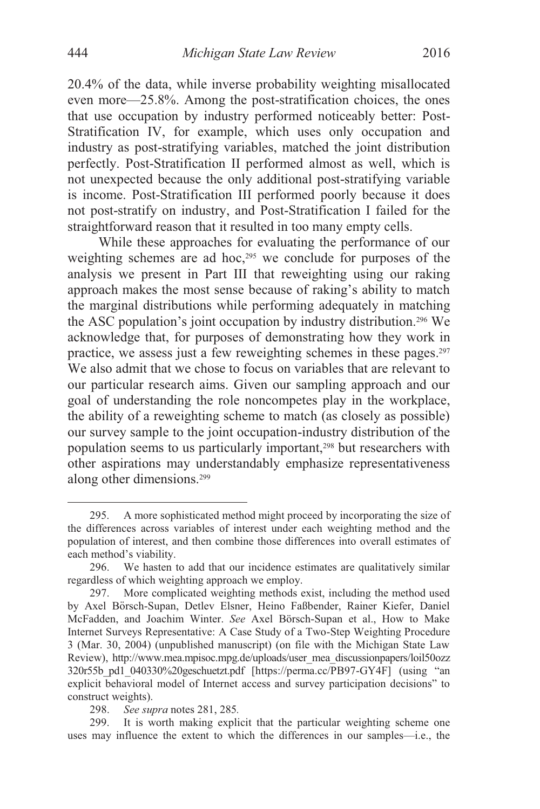20.4% of the data, while inverse probability weighting misallocated even more—25.8%. Among the post-stratification choices, the ones that use occupation by industry performed noticeably better: Post-Stratification IV, for example, which uses only occupation and industry as post-stratifying variables, matched the joint distribution perfectly. Post-Stratification II performed almost as well, which is not unexpected because the only additional post-stratifying variable is income. Post-Stratification III performed poorly because it does not post-stratify on industry, and Post-Stratification I failed for the straightforward reason that it resulted in too many empty cells.

While these approaches for evaluating the performance of our weighting schemes are ad hoc,<sup>295</sup> we conclude for purposes of the analysis we present in Part III that reweighting using our raking approach makes the most sense because of raking's ability to match the marginal distributions while performing adequately in matching the ASC population's joint occupation by industry distribution.296 We acknowledge that, for purposes of demonstrating how they work in practice, we assess just a few reweighting schemes in these pages.297 We also admit that we chose to focus on variables that are relevant to our particular research aims. Given our sampling approach and our goal of understanding the role noncompetes play in the workplace, the ability of a reweighting scheme to match (as closely as possible) our survey sample to the joint occupation-industry distribution of the population seems to us particularly important,<sup>298</sup> but researchers with other aspirations may understandably emphasize representativeness along other dimensions.299

 <sup>295.</sup> A more sophisticated method might proceed by incorporating the size of the differences across variables of interest under each weighting method and the population of interest, and then combine those differences into overall estimates of each method's viability.

 <sup>296.</sup> We hasten to add that our incidence estimates are qualitatively similar regardless of which weighting approach we employ.

 <sup>297.</sup> More complicated weighting methods exist, including the method used by Axel Börsch-Supan, Detlev Elsner, Heino Faßbender, Rainer Kiefer, Daniel McFadden, and Joachim Winter. *See* Axel Börsch-Supan et al., How to Make Internet Surveys Representative: A Case Study of a Two-Step Weighting Procedure 3 (Mar. 30, 2004) (unpublished manuscript) (on file with the Michigan State Law Review), http://www.mea.mpisoc.mpg.de/uploads/user\_mea\_discussionpapers/loil50ozz 320r55b\_pd1\_040330%20geschuetzt.pdf [https://perma.cc/PB97-GY4F] (using "an explicit behavioral model of Internet access and survey participation decisions" to construct weights).

<sup>298.</sup> *See supra* notes 281, 285*.* 

 <sup>299.</sup> It is worth making explicit that the particular weighting scheme one uses may influence the extent to which the differences in our samples—i.e., the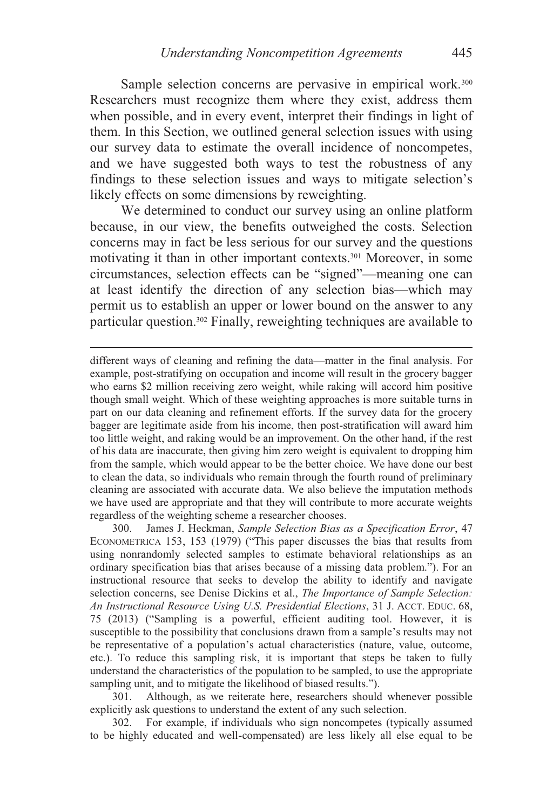Sample selection concerns are pervasive in empirical work.<sup>300</sup> Researchers must recognize them where they exist, address them when possible, and in every event, interpret their findings in light of them. In this Section, we outlined general selection issues with using our survey data to estimate the overall incidence of noncompetes, and we have suggested both ways to test the robustness of any findings to these selection issues and ways to mitigate selection's likely effects on some dimensions by reweighting.

We determined to conduct our survey using an online platform because, in our view, the benefits outweighed the costs. Selection concerns may in fact be less serious for our survey and the questions motivating it than in other important contexts.301 Moreover, in some circumstances, selection effects can be "signed"—meaning one can at least identify the direction of any selection bias—which may permit us to establish an upper or lower bound on the answer to any particular question.302 Finally, reweighting techniques are available to

 $\overline{a}$ 

different ways of cleaning and refining the data—matter in the final analysis. For example, post-stratifying on occupation and income will result in the grocery bagger who earns \$2 million receiving zero weight, while raking will accord him positive though small weight. Which of these weighting approaches is more suitable turns in part on our data cleaning and refinement efforts. If the survey data for the grocery bagger are legitimate aside from his income, then post-stratification will award him too little weight, and raking would be an improvement. On the other hand, if the rest of his data are inaccurate, then giving him zero weight is equivalent to dropping him from the sample, which would appear to be the better choice. We have done our best to clean the data, so individuals who remain through the fourth round of preliminary cleaning are associated with accurate data. We also believe the imputation methods we have used are appropriate and that they will contribute to more accurate weights regardless of the weighting scheme a researcher chooses.

 300. James J. Heckman, *Sample Selection Bias as a Specification Error*, 47 ECONOMETRICA 153, 153 (1979) ("This paper discusses the bias that results from using nonrandomly selected samples to estimate behavioral relationships as an ordinary specification bias that arises because of a missing data problem."). For an instructional resource that seeks to develop the ability to identify and navigate selection concerns, see Denise Dickins et al., *The Importance of Sample Selection: An Instructional Resource Using U.S. Presidential Elections*, 31 J. ACCT. EDUC. 68, 75 (2013) ("Sampling is a powerful, efficient auditing tool. However, it is susceptible to the possibility that conclusions drawn from a sample's results may not be representative of a population's actual characteristics (nature, value, outcome, etc.). To reduce this sampling risk, it is important that steps be taken to fully understand the characteristics of the population to be sampled, to use the appropriate sampling unit, and to mitigate the likelihood of biased results.").

 301. Although, as we reiterate here, researchers should whenever possible explicitly ask questions to understand the extent of any such selection.

 302. For example, if individuals who sign noncompetes (typically assumed to be highly educated and well-compensated) are less likely all else equal to be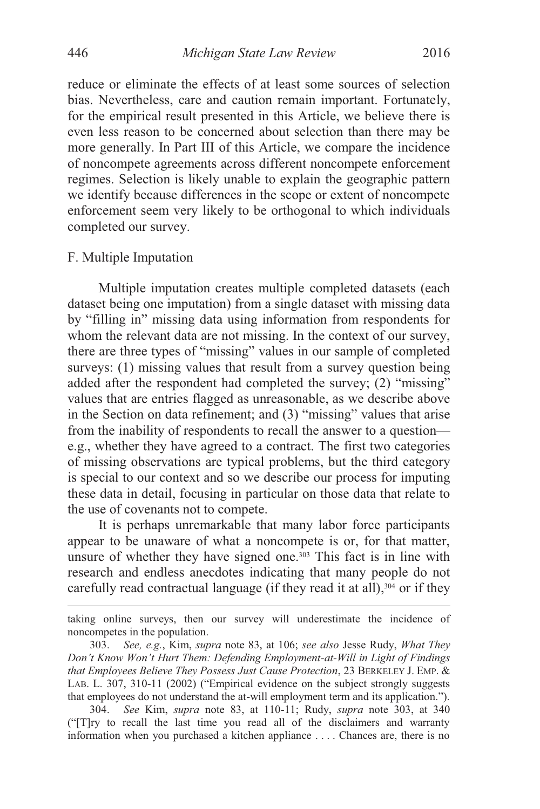reduce or eliminate the effects of at least some sources of selection bias. Nevertheless, care and caution remain important. Fortunately, for the empirical result presented in this Article, we believe there is even less reason to be concerned about selection than there may be more generally. In Part III of this Article, we compare the incidence of noncompete agreements across different noncompete enforcement regimes. Selection is likely unable to explain the geographic pattern we identify because differences in the scope or extent of noncompete enforcement seem very likely to be orthogonal to which individuals completed our survey.

# F. Multiple Imputation

 $\overline{a}$ 

Multiple imputation creates multiple completed datasets (each dataset being one imputation) from a single dataset with missing data by "filling in" missing data using information from respondents for whom the relevant data are not missing. In the context of our survey, there are three types of "missing" values in our sample of completed surveys: (1) missing values that result from a survey question being added after the respondent had completed the survey; (2) "missing" values that are entries flagged as unreasonable, as we describe above in the Section on data refinement; and (3) "missing" values that arise from the inability of respondents to recall the answer to a question e.g., whether they have agreed to a contract. The first two categories of missing observations are typical problems, but the third category is special to our context and so we describe our process for imputing these data in detail, focusing in particular on those data that relate to the use of covenants not to compete.

It is perhaps unremarkable that many labor force participants appear to be unaware of what a noncompete is or, for that matter, unsure of whether they have signed one. $303$  This fact is in line with research and endless anecdotes indicating that many people do not carefully read contractual language (if they read it at all), $304$  or if they

taking online surveys, then our survey will underestimate the incidence of noncompetes in the population.

<sup>303.</sup> *See, e.g.*, Kim, *supra* note 83, at 106; *see also* Jesse Rudy, *What They Don't Know Won't Hurt Them: Defending Employment-at-Will in Light of Findings that Employees Believe They Possess Just Cause Protection*, 23 BERKELEY J. EMP. & LAB. L. 307, 310-11 (2002) ("Empirical evidence on the subject strongly suggests that employees do not understand the at-will employment term and its application.").

<sup>304.</sup> *See* Kim, *supra* note 83, at 110-11; Rudy, *supra* note 303, at 340 ("[T]ry to recall the last time you read all of the disclaimers and warranty information when you purchased a kitchen appliance . . . . Chances are, there is no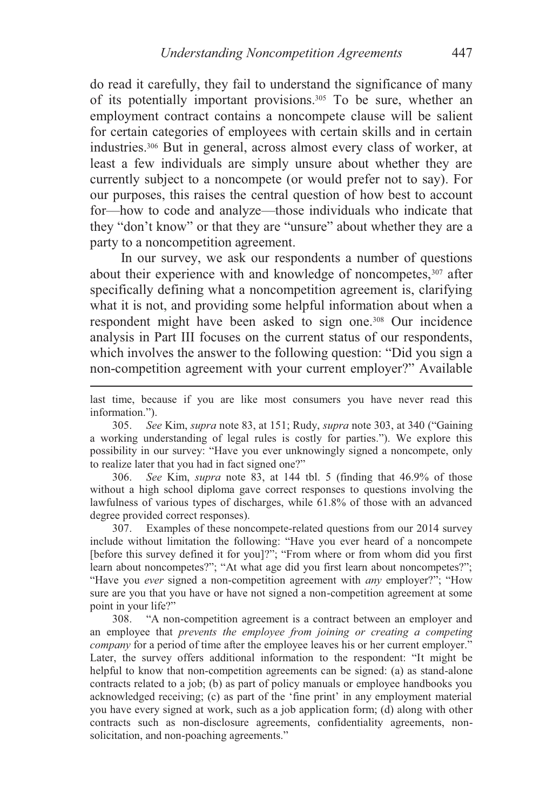do read it carefully, they fail to understand the significance of many of its potentially important provisions.305 To be sure, whether an employment contract contains a noncompete clause will be salient for certain categories of employees with certain skills and in certain industries.306 But in general, across almost every class of worker, at least a few individuals are simply unsure about whether they are currently subject to a noncompete (or would prefer not to say). For our purposes, this raises the central question of how best to account for—how to code and analyze—those individuals who indicate that they "don't know" or that they are "unsure" about whether they are a party to a noncompetition agreement.

In our survey, we ask our respondents a number of questions about their experience with and knowledge of noncompetes,<sup>307</sup> after specifically defining what a noncompetition agreement is, clarifying what it is not, and providing some helpful information about when a respondent might have been asked to sign one.308 Our incidence analysis in Part III focuses on the current status of our respondents, which involves the answer to the following question: "Did you sign a non-competition agreement with your current employer?" Available

last time, because if you are like most consumers you have never read this information.").

 $\overline{a}$ 

305. *See* Kim, *supra* note 83, at 151; Rudy, *supra* note 303, at 340 ("Gaining a working understanding of legal rules is costly for parties."). We explore this possibility in our survey: "Have you ever unknowingly signed a noncompete, only to realize later that you had in fact signed one?"

306. *See* Kim, *supra* note 83, at 144 tbl. 5 (finding that 46.9% of those without a high school diploma gave correct responses to questions involving the lawfulness of various types of discharges, while 61.8% of those with an advanced degree provided correct responses).

 307. Examples of these noncompete-related questions from our 2014 survey include without limitation the following: "Have you ever heard of a noncompete [before this survey defined it for you]?"; "From where or from whom did you first learn about noncompetes?"; "At what age did you first learn about noncompetes?"; "Have you *ever* signed a non-competition agreement with *any* employer?"; "How sure are you that you have or have not signed a non-competition agreement at some point in your life?"<br>308. "A nor

 308. "A non-competition agreement is a contract between an employer and an employee that *prevents the employee from joining or creating a competing company* for a period of time after the employee leaves his or her current employer." Later, the survey offers additional information to the respondent: "It might be helpful to know that non-competition agreements can be signed: (a) as stand-alone contracts related to a job; (b) as part of policy manuals or employee handbooks you acknowledged receiving; (c) as part of the 'fine print' in any employment material you have every signed at work, such as a job application form; (d) along with other contracts such as non-disclosure agreements, confidentiality agreements, nonsolicitation, and non-poaching agreements."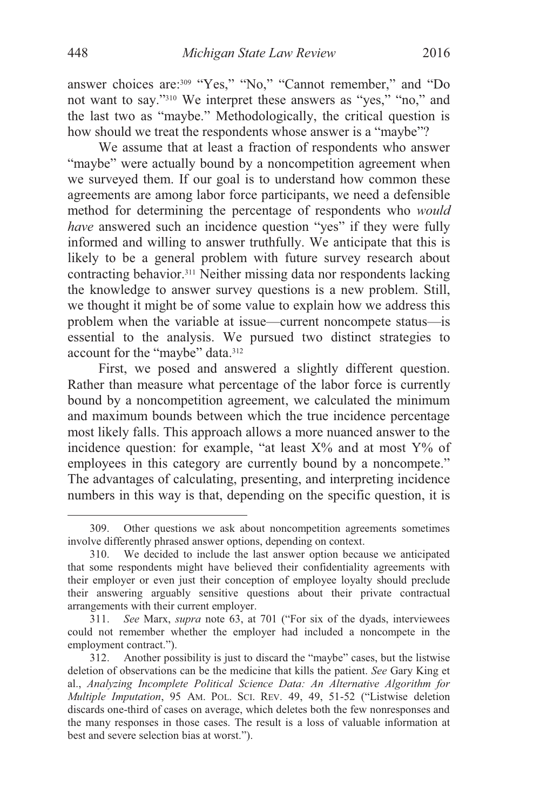answer choices are:309 "Yes," "No," "Cannot remember," and "Do not want to say."310 We interpret these answers as "yes," "no," and the last two as "maybe." Methodologically, the critical question is how should we treat the respondents whose answer is a "maybe"?

We assume that at least a fraction of respondents who answer "maybe" were actually bound by a noncompetition agreement when we surveyed them. If our goal is to understand how common these agreements are among labor force participants, we need a defensible method for determining the percentage of respondents who *would have* answered such an incidence question "yes" if they were fully informed and willing to answer truthfully. We anticipate that this is likely to be a general problem with future survey research about contracting behavior.311 Neither missing data nor respondents lacking the knowledge to answer survey questions is a new problem. Still, we thought it might be of some value to explain how we address this problem when the variable at issue—current noncompete status—is essential to the analysis. We pursued two distinct strategies to account for the "maybe" data.312

First, we posed and answered a slightly different question. Rather than measure what percentage of the labor force is currently bound by a noncompetition agreement, we calculated the minimum and maximum bounds between which the true incidence percentage most likely falls. This approach allows a more nuanced answer to the incidence question: for example, "at least  $X\%$  and at most  $Y\%$  of employees in this category are currently bound by a noncompete." The advantages of calculating, presenting, and interpreting incidence numbers in this way is that, depending on the specific question, it is

 <sup>309.</sup> Other questions we ask about noncompetition agreements sometimes involve differently phrased answer options, depending on context.

 <sup>310.</sup> We decided to include the last answer option because we anticipated that some respondents might have believed their confidentiality agreements with their employer or even just their conception of employee loyalty should preclude their answering arguably sensitive questions about their private contractual arrangements with their current employer.

<sup>311.</sup> *See* Marx, *supra* note 63, at 701 ("For six of the dyads, interviewees could not remember whether the employer had included a noncompete in the employment contract.").

 <sup>312.</sup> Another possibility is just to discard the "maybe" cases, but the listwise deletion of observations can be the medicine that kills the patient. *See* Gary King et al., *Analyzing Incomplete Political Science Data: An Alternative Algorithm for Multiple Imputation*, 95 AM. POL. SCI. REV. 49, 49, 51-52 ("Listwise deletion discards one-third of cases on average, which deletes both the few nonresponses and the many responses in those cases. The result is a loss of valuable information at best and severe selection bias at worst.").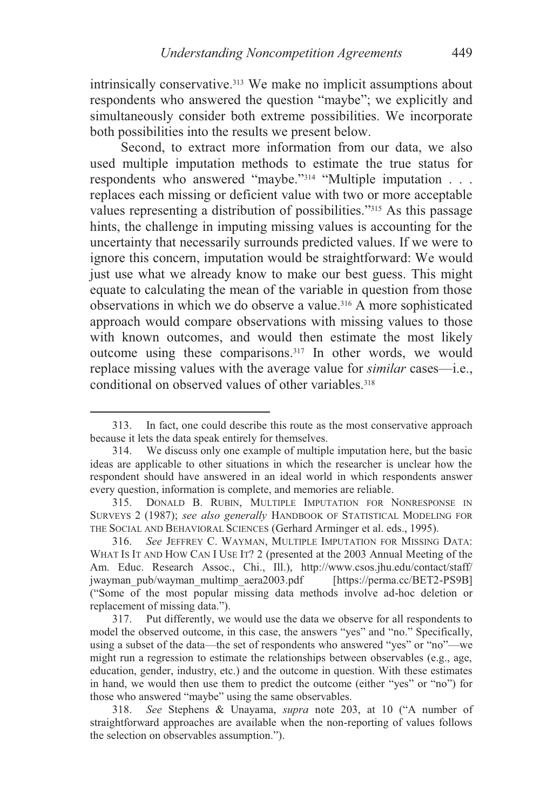intrinsically conservative.<sup>313</sup> We make no implicit assumptions about respondents who answered the question "maybe"; we explicitly and simultaneously consider both extreme possibilities. We incorporate both possibilities into the results we present below.

Second, to extract more information from our data, we also used multiple imputation methods to estimate the true status for respondents who answered "maybe."314 "Multiple imputation . . . replaces each missing or deficient value with two or more acceptable values representing a distribution of possibilities."315 As this passage hints, the challenge in imputing missing values is accounting for the uncertainty that necessarily surrounds predicted values. If we were to ignore this concern, imputation would be straightforward: We would just use what we already know to make our best guess. This might equate to calculating the mean of the variable in question from those observations in which we do observe a value.316 A more sophisticated approach would compare observations with missing values to those with known outcomes, and would then estimate the most likely outcome using these comparisons.317 In other words, we would replace missing values with the average value for *similar* cases—i.e., conditional on observed values of other variables.<sup>318</sup>

 <sup>313.</sup> In fact, one could describe this route as the most conservative approach because it lets the data speak entirely for themselves.

 <sup>314.</sup> We discuss only one example of multiple imputation here, but the basic ideas are applicable to other situations in which the researcher is unclear how the respondent should have answered in an ideal world in which respondents answer every question, information is complete, and memories are reliable.

 <sup>315.</sup> DONALD B. RUBIN, MULTIPLE IMPUTATION FOR NONRESPONSE IN SURVEYS 2 (1987); *see also generally* HANDBOOK OF STATISTICAL MODELING FOR THE SOCIAL AND BEHAVIORAL SCIENCES (Gerhard Arminger et al. eds., 1995).

<sup>316.</sup> *See* JEFFREY C. WAYMAN, MULTIPLE IMPUTATION FOR MISSING DATA: WHAT IS IT AND HOW CAN I USE IT? 2 (presented at the 2003 Annual Meeting of the Am. Educ. Research Assoc., Chi., Ill.), http://www.csos.jhu.edu/contact/staff/ jwayman\_pub/wayman\_multimp\_aera2003.pdf [https://perma.cc/BET2-PS9B] ("Some of the most popular missing data methods involve ad-hoc deletion or replacement of missing data.").<br>317. Put differently, we

 <sup>317.</sup> Put differently, we would use the data we observe for all respondents to model the observed outcome, in this case, the answers "yes" and "no." Specifically, using a subset of the data—the set of respondents who answered "yes" or "no"—we might run a regression to estimate the relationships between observables (e.g., age, education, gender, industry, etc.) and the outcome in question. With these estimates in hand, we would then use them to predict the outcome (either "yes" or "no") for those who answered "maybe" using the same observables.

<sup>318.</sup> *See* Stephens & Unayama, *supra* note 203, at 10 ("A number of straightforward approaches are available when the non-reporting of values follows the selection on observables assumption.").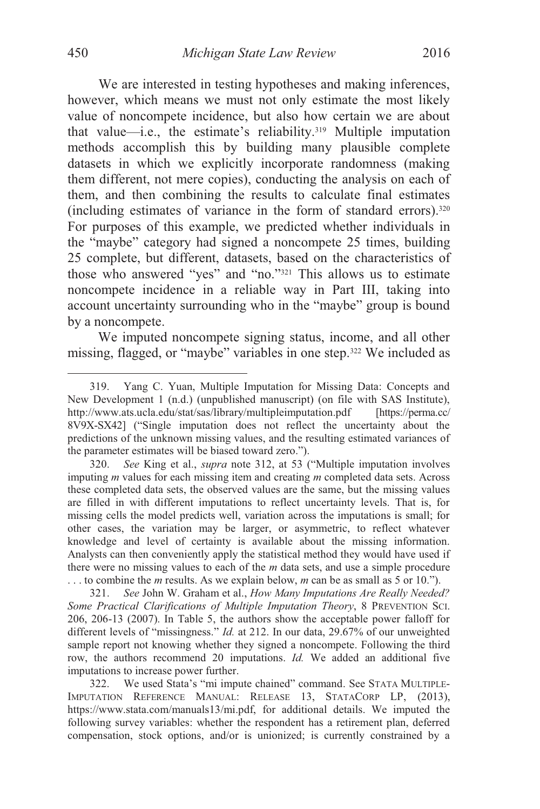We are interested in testing hypotheses and making inferences, however, which means we must not only estimate the most likely value of noncompete incidence, but also how certain we are about that value—i.e., the estimate's reliability.319 Multiple imputation methods accomplish this by building many plausible complete datasets in which we explicitly incorporate randomness (making them different, not mere copies), conducting the analysis on each of them, and then combining the results to calculate final estimates (including estimates of variance in the form of standard errors).320 For purposes of this example, we predicted whether individuals in the "maybe" category had signed a noncompete 25 times, building 25 complete, but different, datasets, based on the characteristics of those who answered "yes" and "no."321 This allows us to estimate noncompete incidence in a reliable way in Part III, taking into account uncertainty surrounding who in the "maybe" group is bound by a noncompete.

We imputed noncompete signing status, income, and all other missing, flagged, or "maybe" variables in one step.322 We included as

 <sup>319.</sup> Yang C. Yuan, Multiple Imputation for Missing Data: Concepts and New Development 1 (n.d.) (unpublished manuscript) (on file with SAS Institute), http://www.ats.ucla.edu/stat/sas/library/multipleimputation.pdf [https://perma.cc/ 8V9X-SX42] ("Single imputation does not reflect the uncertainty about the predictions of the unknown missing values, and the resulting estimated variances of the parameter estimates will be biased toward zero.").

<sup>320.</sup> *See* King et al., *supra* note 312, at 53 ("Multiple imputation involves imputing *m* values for each missing item and creating *m* completed data sets. Across these completed data sets, the observed values are the same, but the missing values are filled in with different imputations to reflect uncertainty levels. That is, for missing cells the model predicts well, variation across the imputations is small; for other cases, the variation may be larger, or asymmetric, to reflect whatever knowledge and level of certainty is available about the missing information. Analysts can then conveniently apply the statistical method they would have used if there were no missing values to each of the *m* data sets, and use a simple procedure . . . to combine the *m* results. As we explain below, *m* can be as small as 5 or 10.").

 <sup>321.</sup> *See* John W. Graham et al., *How Many Imputations Are Really Needed? Some Practical Clarifications of Multiple Imputation Theory*, 8 PREVENTION SCI. 206, 206-13 (2007). In Table 5, the authors show the acceptable power falloff for different levels of "missingness." *Id.* at 212. In our data, 29.67% of our unweighted sample report not knowing whether they signed a noncompete. Following the third row, the authors recommend 20 imputations. *Id.* We added an additional five imputations to increase power further.

 <sup>322.</sup> We used Stata's "mi impute chained" command. See STATA MULTIPLE-IMPUTATION REFERENCE MANUAL: RELEASE 13, STATACORP LP, (2013), https://www.stata.com/manuals13/mi.pdf, for additional details. We imputed the following survey variables: whether the respondent has a retirement plan, deferred compensation, stock options, and/or is unionized; is currently constrained by a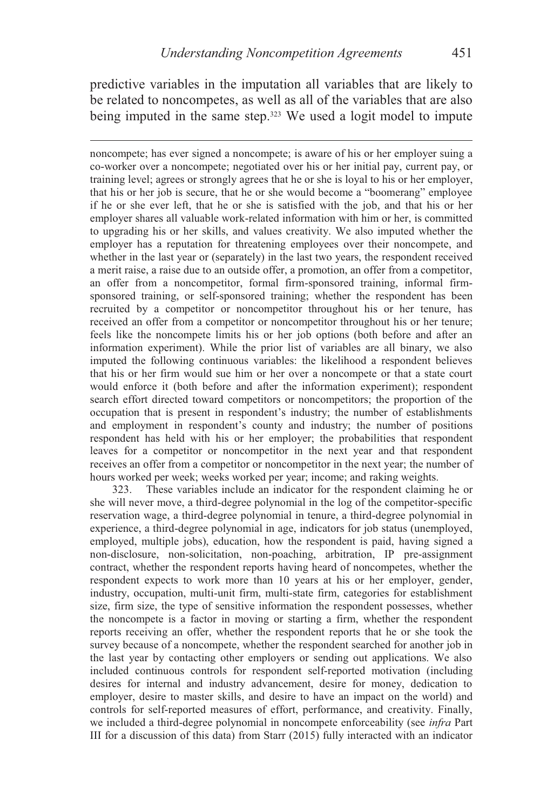predictive variables in the imputation all variables that are likely to be related to noncompetes, as well as all of the variables that are also being imputed in the same step.<sup>323</sup> We used a logit model to impute

 $\overline{a}$ 

noncompete; has ever signed a noncompete; is aware of his or her employer suing a co-worker over a noncompete; negotiated over his or her initial pay, current pay, or training level; agrees or strongly agrees that he or she is loyal to his or her employer, that his or her job is secure, that he or she would become a "boomerang" employee if he or she ever left, that he or she is satisfied with the job, and that his or her employer shares all valuable work-related information with him or her, is committed to upgrading his or her skills, and values creativity. We also imputed whether the employer has a reputation for threatening employees over their noncompete, and whether in the last year or (separately) in the last two years, the respondent received a merit raise, a raise due to an outside offer, a promotion, an offer from a competitor, an offer from a noncompetitor, formal firm-sponsored training, informal firmsponsored training, or self-sponsored training; whether the respondent has been recruited by a competitor or noncompetitor throughout his or her tenure, has received an offer from a competitor or noncompetitor throughout his or her tenure; feels like the noncompete limits his or her job options (both before and after an information experiment). While the prior list of variables are all binary, we also imputed the following continuous variables: the likelihood a respondent believes that his or her firm would sue him or her over a noncompete or that a state court would enforce it (both before and after the information experiment); respondent search effort directed toward competitors or noncompetitors; the proportion of the occupation that is present in respondent's industry; the number of establishments and employment in respondent's county and industry; the number of positions respondent has held with his or her employer; the probabilities that respondent leaves for a competitor or noncompetitor in the next year and that respondent receives an offer from a competitor or noncompetitor in the next year; the number of hours worked per week; weeks worked per year; income; and raking weights.

 323. These variables include an indicator for the respondent claiming he or she will never move, a third-degree polynomial in the log of the competitor-specific reservation wage, a third-degree polynomial in tenure, a third-degree polynomial in experience, a third-degree polynomial in age, indicators for job status (unemployed, employed, multiple jobs), education, how the respondent is paid, having signed a non-disclosure, non-solicitation, non-poaching, arbitration, IP pre-assignment contract, whether the respondent reports having heard of noncompetes, whether the respondent expects to work more than 10 years at his or her employer, gender, industry, occupation, multi-unit firm, multi-state firm, categories for establishment size, firm size, the type of sensitive information the respondent possesses, whether the noncompete is a factor in moving or starting a firm, whether the respondent reports receiving an offer, whether the respondent reports that he or she took the survey because of a noncompete, whether the respondent searched for another job in the last year by contacting other employers or sending out applications. We also included continuous controls for respondent self-reported motivation (including desires for internal and industry advancement, desire for money, dedication to employer, desire to master skills, and desire to have an impact on the world) and controls for self-reported measures of effort, performance, and creativity. Finally, we included a third-degree polynomial in noncompete enforceability (see *infra* Part III for a discussion of this data) from Starr (2015) fully interacted with an indicator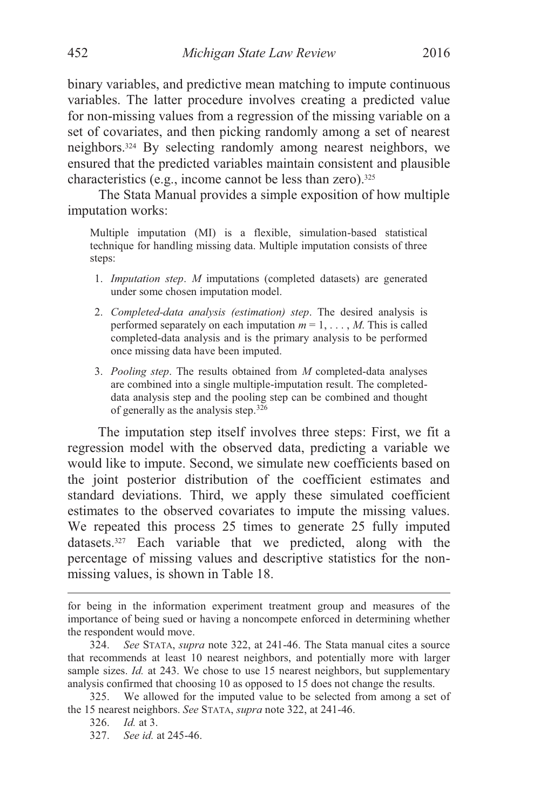binary variables, and predictive mean matching to impute continuous variables. The latter procedure involves creating a predicted value for non-missing values from a regression of the missing variable on a set of covariates, and then picking randomly among a set of nearest neighbors.324 By selecting randomly among nearest neighbors, we ensured that the predicted variables maintain consistent and plausible characteristics (e.g., income cannot be less than zero).325

The Stata Manual provides a simple exposition of how multiple imputation works:

Multiple imputation (MI) is a flexible, simulation-based statistical technique for handling missing data. Multiple imputation consists of three steps:

- 1. *Imputation step*. *M* imputations (completed datasets) are generated under some chosen imputation model.
- 2. *Completed-data analysis (estimation) step*. The desired analysis is performed separately on each imputation  $m = 1, \ldots, M$ . This is called completed-data analysis and is the primary analysis to be performed once missing data have been imputed.
- 3. *Pooling step*. The results obtained from *M* completed-data analyses are combined into a single multiple-imputation result. The completeddata analysis step and the pooling step can be combined and thought of generally as the analysis step.326

The imputation step itself involves three steps: First, we fit a regression model with the observed data, predicting a variable we would like to impute. Second, we simulate new coefficients based on the joint posterior distribution of the coefficient estimates and standard deviations. Third, we apply these simulated coefficient estimates to the observed covariates to impute the missing values. We repeated this process 25 times to generate 25 fully imputed datasets.327 Each variable that we predicted, along with the percentage of missing values and descriptive statistics for the nonmissing values, is shown in Table 18.

for being in the information experiment treatment group and measures of the importance of being sued or having a noncompete enforced in determining whether the respondent would move.

 <sup>324.</sup> *See* STATA, *supra* note 322, at 241-46. The Stata manual cites a source that recommends at least 10 nearest neighbors, and potentially more with larger sample sizes. *Id.* at 243. We chose to use 15 nearest neighbors, but supplementary analysis confirmed that choosing 10 as opposed to 15 does not change the results.

 <sup>325.</sup> We allowed for the imputed value to be selected from among a set of the 15 nearest neighbors. *See* STATA, *supra* note 322, at 241-46.

 <sup>326.</sup> *Id.* at 3.

 <sup>327.</sup> *See id.* at 245-46.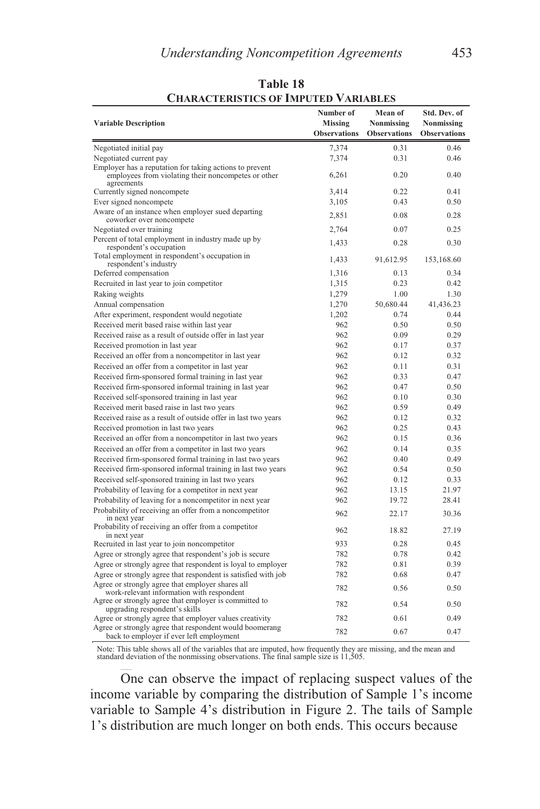| <b>Variable Description</b>                                                                                                  | Number of<br>Missing | Mean of<br>Nonmissing | Std. Dev. of<br>Nonmissing |
|------------------------------------------------------------------------------------------------------------------------------|----------------------|-----------------------|----------------------------|
|                                                                                                                              | <b>Observations</b>  | <b>Observations</b>   | <b>Observations</b>        |
| Negotiated initial pay                                                                                                       | 7,374                | 0.31                  | 0.46                       |
| Negotiated current pay                                                                                                       | 7,374                | 0.31                  | 0.46                       |
| Employer has a reputation for taking actions to prevent<br>employees from violating their noncompetes or other<br>agreements | 6,261                | 0.20                  | 0.40                       |
| Currently signed noncompete                                                                                                  | 3,414                | 0.22                  | 0.41                       |
| Ever signed noncompete                                                                                                       | 3,105                | 0.43                  | 0.50                       |
| Aware of an instance when employer sued departing<br>coworker over noncompete                                                | 2,851                | 0.08                  | 0.28                       |
| Negotiated over training                                                                                                     | 2,764                | 0.07                  | 0.25                       |
| Percent of total employment in industry made up by<br>respondent's occupation                                                | 1,433                | 0.28                  | 0.30                       |
| Total employment in respondent's occupation in<br>respondent's industry                                                      | 1,433                | 91,612.95             | 153,168.60                 |
| Deferred compensation                                                                                                        | 1,316                | 0.13                  | 0.34                       |
| Recruited in last year to join competitor                                                                                    | 1,315                | 0.23                  | 0.42                       |
| Raking weights                                                                                                               | 1,279                | 1.00                  | 1.30                       |
| Annual compensation                                                                                                          | 1,270                | 50,680.44             | 41,436.23                  |
| After experiment, respondent would negotiate                                                                                 | 1,202                | 0.74                  | 0.44                       |
| Received merit based raise within last year                                                                                  | 962                  | 0.50                  | 0.50                       |
| Received raise as a result of outside offer in last year                                                                     | 962                  | 0.09                  | 0.29                       |
| Received promotion in last year                                                                                              | 962                  | 0.17                  | 0.37                       |
| Received an offer from a noncompetitor in last year                                                                          | 962                  | 0.12                  | 0.32                       |
| Received an offer from a competitor in last year                                                                             | 962                  | 0.11                  | 0.31                       |
| Received firm-sponsored formal training in last year                                                                         | 962                  | 0.33                  | 0.47                       |
| Received firm-sponsored informal training in last year                                                                       | 962                  | 0.47                  | 0.50                       |
| Received self-sponsored training in last year                                                                                | 962                  | 0.10                  | 0.30                       |
| Received merit based raise in last two years                                                                                 | 962                  | 0.59                  | 0.49                       |
| Received raise as a result of outside offer in last two years                                                                | 962                  | 0.12                  | 0.32                       |
| Received promotion in last two years                                                                                         | 962                  | 0.25                  | 0.43                       |
| Received an offer from a noncompetitor in last two years                                                                     | 962                  | 0.15                  | 0.36                       |
| Received an offer from a competitor in last two years                                                                        | 962                  | 0.14                  | 0.35                       |
| Received firm-sponsored formal training in last two years                                                                    | 962                  | 0.40                  | 0.49                       |
| Received firm-sponsored informal training in last two years                                                                  | 962                  | 0.54                  | 0.50                       |
| Received self-sponsored training in last two years                                                                           | 962                  | 0.12                  | 0.33                       |
| Probability of leaving for a competitor in next year                                                                         | 962                  | 13.15                 | 21.97                      |
| Probability of leaving for a noncompetitor in next year                                                                      | 962                  | 19.72                 | 28.41                      |
| Probability of receiving an offer from a noncompetitor<br>in next year                                                       | 962                  | 22.17                 | 30.36                      |
| Probability of receiving an offer from a competitor<br>in next year                                                          | 962                  | 18.82                 | 27.19                      |
| Recruited in last year to join noncompetitor                                                                                 | 933                  | 0.28                  | 0.45                       |
| Agree or strongly agree that respondent's job is secure                                                                      | 782                  | 0.78                  | 0.42                       |
| Agree or strongly agree that respondent is loyal to employer                                                                 | 782                  | 0.81                  | 0.39                       |
| Agree or strongly agree that respondent is satisfied with job                                                                | 782                  | 0.68                  | 0.47                       |
| Agree or strongly agree that employer shares all                                                                             | 782                  |                       |                            |
| work-relevant information with respondent                                                                                    |                      | 0.56                  | 0.50                       |
| Agree or strongly agree that employer is committed to<br>upgrading respondent's skills                                       | 782                  | 0.54                  | 0.50                       |
| Agree or strongly agree that employer values creativity                                                                      | 782                  | 0.61                  | 0.49                       |
| Agree or strongly agree that respondent would boomerang<br>back to employer if ever left employment                          | 782                  | 0.67                  | 0.47                       |

**Table 18 CHARACTERISTICS OF IMPUTED VARIABLES** 

Note: This table shows all of the variables that are imputed, how frequently they are missing, and the mean and standard deviation of the nonmissing observations. The final sample size is 11,505.

One can observe the impact of replacing suspect values of the income variable by comparing the distribution of Sample 1's income variable to Sample 4's distribution in Figure 2. The tails of Sample 1's distribution are much longer on both ends. This occurs because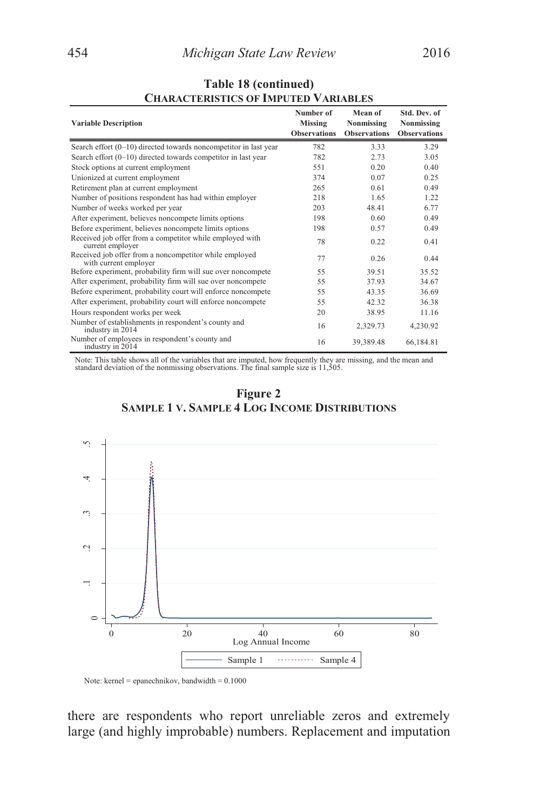| <b>Variable Description</b>                                                     | Number of<br>Missing<br><b>Observations</b> | Mean of<br>Nonmissing<br><b>Observations</b> | Std. Dev. of<br>Nonmissing<br><b>Observations</b> |
|---------------------------------------------------------------------------------|---------------------------------------------|----------------------------------------------|---------------------------------------------------|
| Search effort (0-10) directed towards noncompetitor in last year                | 782                                         | 3.33                                         | 3.29                                              |
| Search effort $(0-10)$ directed towards competitor in last year                 | 782                                         | 2.73                                         | 3.05                                              |
| Stock options at current employment                                             | 551                                         | 0.20                                         | 0.40                                              |
| Unionized at current employment                                                 | 374                                         | 0.07                                         | 0.25                                              |
| Retirement plan at current employment                                           | 265                                         | 0.61                                         | 0.49                                              |
| Number of positions respondent has had within employer                          | 218                                         | 1.65                                         | 1.22                                              |
| Number of weeks worked per year                                                 | 203                                         | 48.41                                        | 6.77                                              |
| After experiment, believes noncompete limits options                            | 198                                         | 0.60                                         | 0.49                                              |
| Before experiment, believes noncompete limits options                           | 198                                         | 0.57                                         | 0.49                                              |
| Received job offer from a competitor while employed with<br>current employer    | 78                                          | 0.22                                         | 0.41                                              |
| Received job offer from a noncompetitor while employed<br>with current employer | 77                                          | 0.26                                         | 0.44                                              |
| Before experiment, probability firm will sue over noncompete                    | 55                                          | 39.51                                        | 35.52                                             |
| After experiment, probability firm will sue over noncompete                     | 55                                          | 37.93                                        | 34.67                                             |
| Before experiment, probability court will enforce noncompete                    | 55                                          | 43.35                                        | 36.69                                             |
| After experiment, probability court will enforce noncompete                     | 55                                          | 42.32                                        | 36.38                                             |
| Hours respondent works per week                                                 | 20                                          | 38.95                                        | 11.16                                             |
| Number of establishments in respondent's county and<br>industry in 2014         | 16                                          | 2,329.73                                     | 4,230.92                                          |
| Number of employees in respondent's county and<br>industry in 2014              | 16                                          | 39,389.48                                    | 66,184.81                                         |

# **Table 18 (continued) CHARACTERISTICS OF IMPUTED VARIABLES**

Note: This table shows all of the variables that are imputed, how frequently they are missing, and the mean and standard deviation of the nonmissing observations. The final sample size is 11,505.





Note: kernel = epanechnikov, bandwidth = 0.1000

there are respondents who report unreliable zeros and extremely large (and highly improbable) numbers. Replacement and imputation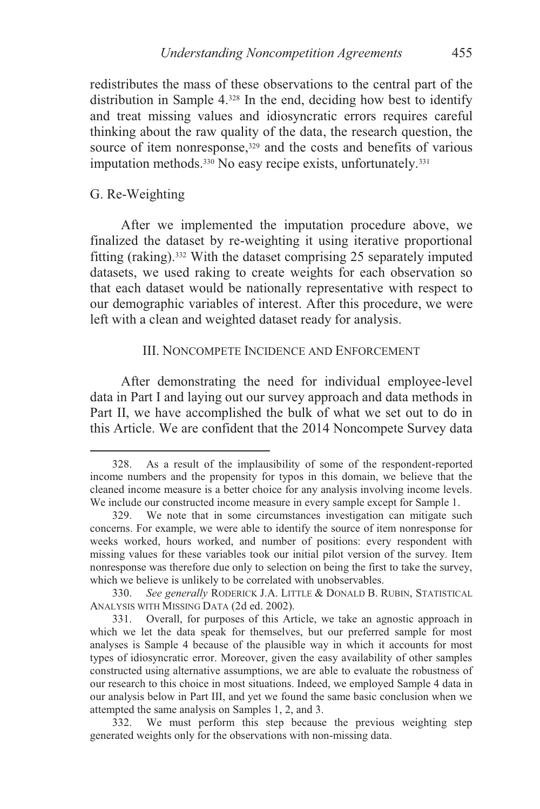redistributes the mass of these observations to the central part of the distribution in Sample 4.328 In the end, deciding how best to identify and treat missing values and idiosyncratic errors requires careful thinking about the raw quality of the data, the research question, the source of item nonresponse,<sup>329</sup> and the costs and benefits of various imputation methods.<sup>330</sup> No easy recipe exists, unfortunately.<sup>331</sup>

## G. Re-Weighting

 $\overline{a}$ 

After we implemented the imputation procedure above, we finalized the dataset by re-weighting it using iterative proportional fitting (raking).332 With the dataset comprising 25 separately imputed datasets, we used raking to create weights for each observation so that each dataset would be nationally representative with respect to our demographic variables of interest. After this procedure, we were left with a clean and weighted dataset ready for analysis.

### III. NONCOMPETE INCIDENCE AND ENFORCEMENT

After demonstrating the need for individual employee-level data in Part I and laying out our survey approach and data methods in Part II, we have accomplished the bulk of what we set out to do in this Article. We are confident that the 2014 Noncompete Survey data

 <sup>328.</sup> As a result of the implausibility of some of the respondent-reported income numbers and the propensity for typos in this domain, we believe that the cleaned income measure is a better choice for any analysis involving income levels. We include our constructed income measure in every sample except for Sample 1.

 <sup>329.</sup> We note that in some circumstances investigation can mitigate such concerns. For example, we were able to identify the source of item nonresponse for weeks worked, hours worked, and number of positions: every respondent with missing values for these variables took our initial pilot version of the survey. Item nonresponse was therefore due only to selection on being the first to take the survey, which we believe is unlikely to be correlated with unobservables.

<sup>330.</sup> *See generally* RODERICK J.A. LITTLE & DONALD B. RUBIN, STATISTICAL ANALYSIS WITH MISSING DATA (2d ed. 2002).

 <sup>331.</sup> Overall, for purposes of this Article, we take an agnostic approach in which we let the data speak for themselves, but our preferred sample for most analyses is Sample 4 because of the plausible way in which it accounts for most types of idiosyncratic error. Moreover, given the easy availability of other samples constructed using alternative assumptions, we are able to evaluate the robustness of our research to this choice in most situations. Indeed, we employed Sample 4 data in our analysis below in Part III, and yet we found the same basic conclusion when we attempted the same analysis on Samples 1, 2, and 3.

 <sup>332.</sup> We must perform this step because the previous weighting step generated weights only for the observations with non-missing data.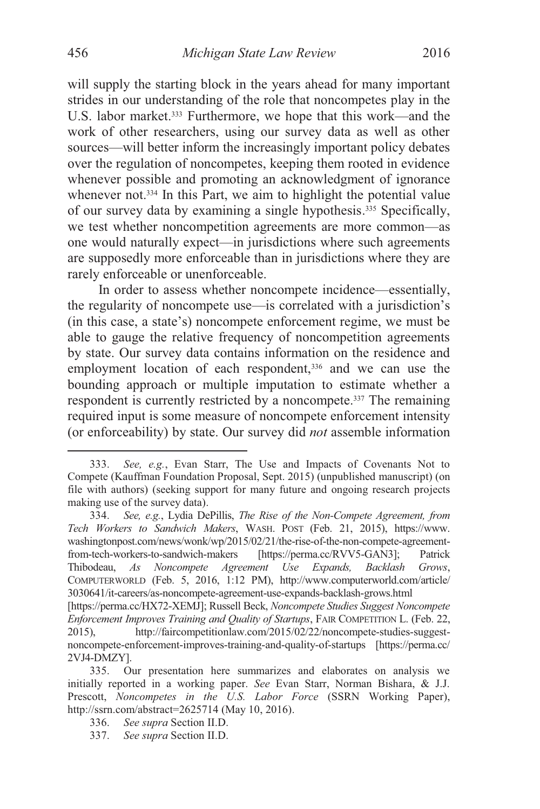will supply the starting block in the years ahead for many important strides in our understanding of the role that noncompetes play in the U.S. labor market.<sup>333</sup> Furthermore, we hope that this work—and the work of other researchers, using our survey data as well as other sources—will better inform the increasingly important policy debates over the regulation of noncompetes, keeping them rooted in evidence whenever possible and promoting an acknowledgment of ignorance whenever not.<sup>334</sup> In this Part, we aim to highlight the potential value of our survey data by examining a single hypothesis.335 Specifically,

we test whether noncompetition agreements are more common—as one would naturally expect—in jurisdictions where such agreements are supposedly more enforceable than in jurisdictions where they are rarely enforceable or unenforceable.

In order to assess whether noncompete incidence—essentially, the regularity of noncompete use—is correlated with a jurisdiction's (in this case, a state's) noncompete enforcement regime, we must be able to gauge the relative frequency of noncompetition agreements by state. Our survey data contains information on the residence and employment location of each respondent,<sup>336</sup> and we can use the bounding approach or multiple imputation to estimate whether a respondent is currently restricted by a noncompete.337 The remaining required input is some measure of noncompete enforcement intensity (or enforceability) by state. Our survey did *not* assemble information

334. *See, e.g.*, Lydia DePillis, *The Rise of the Non-Compete Agreement, from Tech Workers to Sandwich Makers*, WASH. POST (Feb. 21, 2015), https://www. washingtonpost.com/news/wonk/wp/2015/02/21/the-rise-of-the-non-compete-agreement-<br>from-tech-workers-to-sandwich-makers [https://perma.cc/RVV5-GAN3]; Patrick from-tech-workers-to-sandwich-makers [https://perma.cc/RVV5-GAN3]; Patrick Thibodeau, *As Noncompete Agreement Use Expands, Backlash Grows*, COMPUTERWORLD (Feb. 5, 2016, 1:12 PM), http://www.computerworld.com/article/ 3030641/it-careers/as-noncompete-agreement-use-expands-backlash-grows.html

 <sup>333.</sup> *See, e.g.*, Evan Starr, The Use and Impacts of Covenants Not to Compete (Kauffman Foundation Proposal, Sept. 2015) (unpublished manuscript) (on file with authors) (seeking support for many future and ongoing research projects making use of the survey data).

<sup>[</sup>https://perma.cc/HX72-XEMJ]; Russell Beck, *Noncompete Studies Suggest Noncompete Enforcement Improves Training and Quality of Startups*, FAIR COMPETITION L. (Feb. 22, 2015), http://faircompetitionlaw.com/2015/02/22/noncompete-studies-suggestnoncompete-enforcement-improves-training-and-quality-of-startups [https://perma.cc/ 2VJ4-DMZY].

 <sup>335.</sup> Our presentation here summarizes and elaborates on analysis we initially reported in a working paper. *See* Evan Starr, Norman Bishara, & J.J. Prescott, *Noncompetes in the U.S. Labor Force* (SSRN Working Paper), http://ssrn.com/abstract=2625714 (May 10, 2016).

<sup>336.</sup> *See supra* Section II.D.

<sup>337.</sup> *See supra* Section II.D.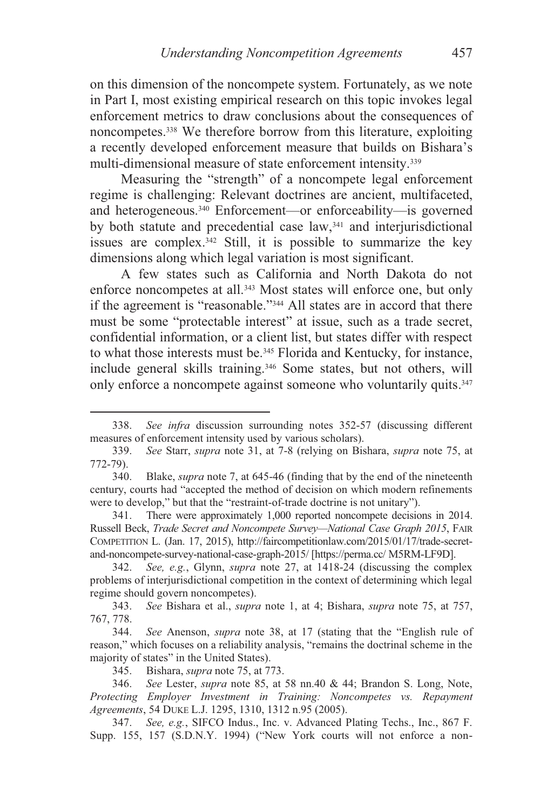on this dimension of the noncompete system. Fortunately, as we note in Part I, most existing empirical research on this topic invokes legal enforcement metrics to draw conclusions about the consequences of noncompetes.338 We therefore borrow from this literature, exploiting a recently developed enforcement measure that builds on Bishara's multi-dimensional measure of state enforcement intensity.339

Measuring the "strength" of a noncompete legal enforcement regime is challenging: Relevant doctrines are ancient, multifaceted, and heterogeneous.340 Enforcement—or enforceability—is governed by both statute and precedential case law,<sup>341</sup> and interjurisdictional issues are complex.342 Still, it is possible to summarize the key dimensions along which legal variation is most significant.

A few states such as California and North Dakota do not enforce noncompetes at all.<sup>343</sup> Most states will enforce one, but only if the agreement is "reasonable."344 All states are in accord that there must be some "protectable interest" at issue, such as a trade secret, confidential information, or a client list, but states differ with respect to what those interests must be.<sup>345</sup> Florida and Kentucky, for instance, include general skills training.346 Some states, but not others, will only enforce a noncompete against someone who voluntarily quits.<sup>347</sup>

 <sup>338.</sup> *See infra* discussion surrounding notes 352-57 (discussing different measures of enforcement intensity used by various scholars).

<sup>339.</sup> *See* Starr, *supra* note 31, at 7-8 (relying on Bishara, *supra* note 75, at 772-79).

 <sup>340.</sup> Blake, *supra* note 7, at 645-46 (finding that by the end of the nineteenth century, courts had "accepted the method of decision on which modern refinements were to develop," but that the "restraint-of-trade doctrine is not unitary").

 <sup>341.</sup> There were approximately 1,000 reported noncompete decisions in 2014. Russell Beck, *Trade Secret and Noncompete Survey—National Case Graph 2015*, FAIR COMPETITION L. (Jan. 17, 2015), http://faircompetitionlaw.com/2015/01/17/trade-secretand-noncompete-survey-national-case-graph-2015/ [https://perma.cc/ M5RM-LF9D].

 <sup>342.</sup> *See, e.g.*, Glynn, *supra* note 27, at 1418-24 (discussing the complex problems of interjurisdictional competition in the context of determining which legal regime should govern noncompetes).

<sup>343.</sup> *See* Bishara et al., *supra* note 1, at 4; Bishara, *supra* note 75, at 757, 767, 778.

<sup>344.</sup> *See* Anenson, *supra* note 38, at 17 (stating that the "English rule of reason," which focuses on a reliability analysis, "remains the doctrinal scheme in the majority of states" in the United States).

 <sup>345.</sup> Bishara, *supra* note 75, at 773.

<sup>346.</sup> *See* Lester, *supra* note 85, at 58 nn.40 & 44; Brandon S. Long, Note, *Protecting Employer Investment in Training: Noncompetes vs. Repayment Agreements*, 54 DUKE L.J. 1295, 1310, 1312 n.95 (2005).

 <sup>347.</sup> *See, e.g.*, SIFCO Indus., Inc. v. Advanced Plating Techs., Inc., 867 F. Supp. 155, 157 (S.D.N.Y. 1994) ("New York courts will not enforce a non-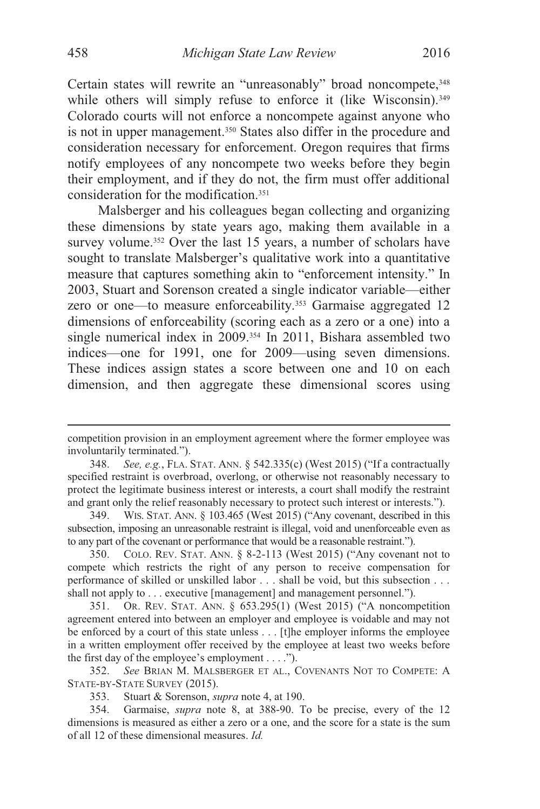Certain states will rewrite an "unreasonably" broad noncompete, 348 while others will simply refuse to enforce it (like Wisconsin).<sup>349</sup> Colorado courts will not enforce a noncompete against anyone who is not in upper management.<sup>350</sup> States also differ in the procedure and consideration necessary for enforcement. Oregon requires that firms notify employees of any noncompete two weeks before they begin their employment, and if they do not, the firm must offer additional consideration for the modification.351

Malsberger and his colleagues began collecting and organizing these dimensions by state years ago, making them available in a survey volume.<sup>352</sup> Over the last 15 years, a number of scholars have sought to translate Malsberger's qualitative work into a quantitative measure that captures something akin to "enforcement intensity." In 2003, Stuart and Sorenson created a single indicator variable—either zero or one—to measure enforceability.353 Garmaise aggregated 12 dimensions of enforceability (scoring each as a zero or a one) into a single numerical index in 2009.354 In 2011, Bishara assembled two indices—one for 1991, one for 2009—using seven dimensions. These indices assign states a score between one and 10 on each dimension, and then aggregate these dimensional scores using

 352. *See* BRIAN M. MALSBERGER ET AL., COVENANTS NOT TO COMPETE: A STATE-BY-STATE SURVEY (2015).

353. Stuart & Sorenson, *supra* note 4, at 190.

 354. Garmaise, *supra* note 8, at 388-90. To be precise, every of the 12 dimensions is measured as either a zero or a one, and the score for a state is the sum of all 12 of these dimensional measures. *Id.* 

competition provision in an employment agreement where the former employee was involuntarily terminated.").

 <sup>348.</sup> *See, e.g.*, FLA. STAT. ANN. § 542.335(c) (West 2015) ("If a contractually specified restraint is overbroad, overlong, or otherwise not reasonably necessary to protect the legitimate business interest or interests, a court shall modify the restraint and grant only the relief reasonably necessary to protect such interest or interests.").

 <sup>349.</sup> WIS. STAT. ANN. § 103.465 (West 2015) ("Any covenant, described in this subsection, imposing an unreasonable restraint is illegal, void and unenforceable even as to any part of the covenant or performance that would be a reasonable restraint.").

 <sup>350.</sup> COLO. REV. STAT. ANN. § 8-2-113 (West 2015) ("Any covenant not to compete which restricts the right of any person to receive compensation for performance of skilled or unskilled labor . . . shall be void, but this subsection . . . shall not apply to . . . executive [management] and management personnel.").

 <sup>351.</sup> OR. REV. STAT. ANN. § 653.295(1) (West 2015) ("A noncompetition agreement entered into between an employer and employee is voidable and may not be enforced by a court of this state unless . . . [t]he employer informs the employee in a written employment offer received by the employee at least two weeks before the first day of the employee's employment . . . .").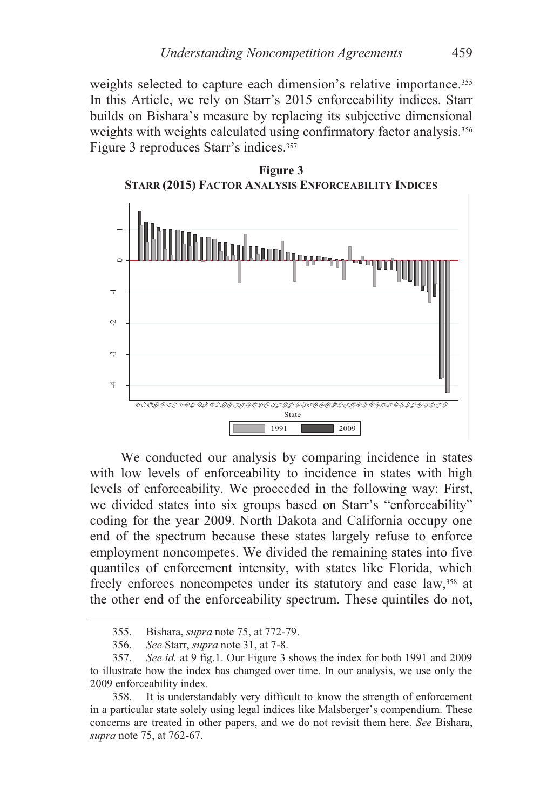weights selected to capture each dimension's relative importance.<sup>355</sup> In this Article, we rely on Starr's 2015 enforceability indices. Starr builds on Bishara's measure by replacing its subjective dimensional weights with weights calculated using confirmatory factor analysis.<sup>356</sup> Figure 3 reproduces Starr's indices.357



We conducted our analysis by comparing incidence in states with low levels of enforceability to incidence in states with high levels of enforceability. We proceeded in the following way: First, we divided states into six groups based on Starr's "enforceability" coding for the year 2009. North Dakota and California occupy one end of the spectrum because these states largely refuse to enforce employment noncompetes. We divided the remaining states into five quantiles of enforcement intensity, with states like Florida, which freely enforces noncompetes under its statutory and case law,358 at the other end of the enforceability spectrum. These quintiles do not,

 <sup>355.</sup> Bishara, *supra* note 75, at 772-79.

 <sup>356.</sup> *See* Starr, *supra* note 31, at 7-8.

 <sup>357.</sup> *See id.* at 9 fig.1. Our Figure 3 shows the index for both 1991 and 2009 to illustrate how the index has changed over time. In our analysis, we use only the 2009 enforceability index.

 <sup>358.</sup> It is understandably very difficult to know the strength of enforcement in a particular state solely using legal indices like Malsberger's compendium. These concerns are treated in other papers, and we do not revisit them here. *See* Bishara,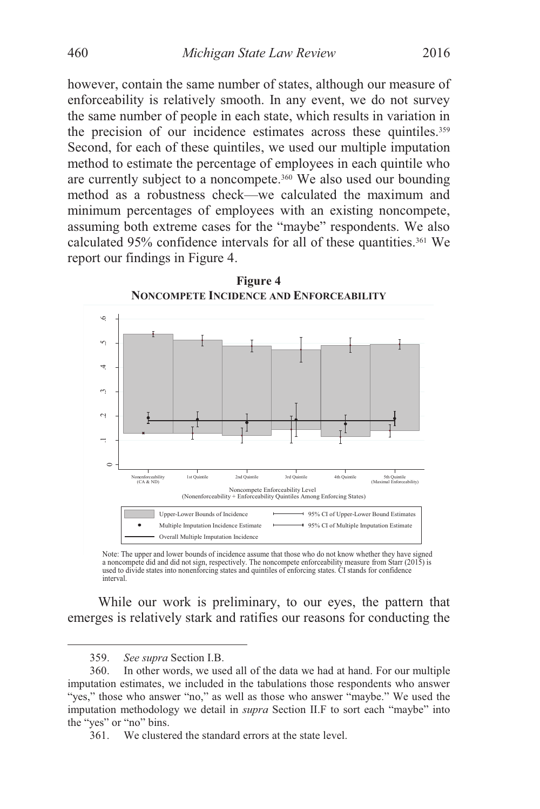however, contain the same number of states, although our measure of enforceability is relatively smooth. In any event, we do not survey the same number of people in each state, which results in variation in the precision of our incidence estimates across these quintiles.<sup>359</sup> Second, for each of these quintiles, we used our multiple imputation method to estimate the percentage of employees in each quintile who are currently subject to a noncompete.360 We also used our bounding method as a robustness check—we calculated the maximum and minimum percentages of employees with an existing noncompete, assuming both extreme cases for the "maybe" respondents. We also calculated 95% confidence intervals for all of these quantities.<sup>361</sup> We report our findings in Figure 4.



**Figure 4** 

Note: The upper and lower bounds of incidence assume that those who do not know whether they have signed a noncompete did and did not sign, respectively. The noncompete enforceability measure from Starr (2015) is used to divide states into nonenforcing states and quintiles of enforcing states. CI stands for confidence interval.

While our work is preliminary, to our eyes, the pattern that emerges is relatively stark and ratifies our reasons for conducting the

 <sup>359.</sup> *See supra* Section I.B.

 <sup>360.</sup> In other words, we used all of the data we had at hand. For our multiple imputation estimates, we included in the tabulations those respondents who answer "yes," those who answer "no," as well as those who answer "maybe." We used the imputation methodology we detail in *supra* Section II.F to sort each "maybe" into the "yes" or "no" bins.

 <sup>361.</sup> We clustered the standard errors at the state level.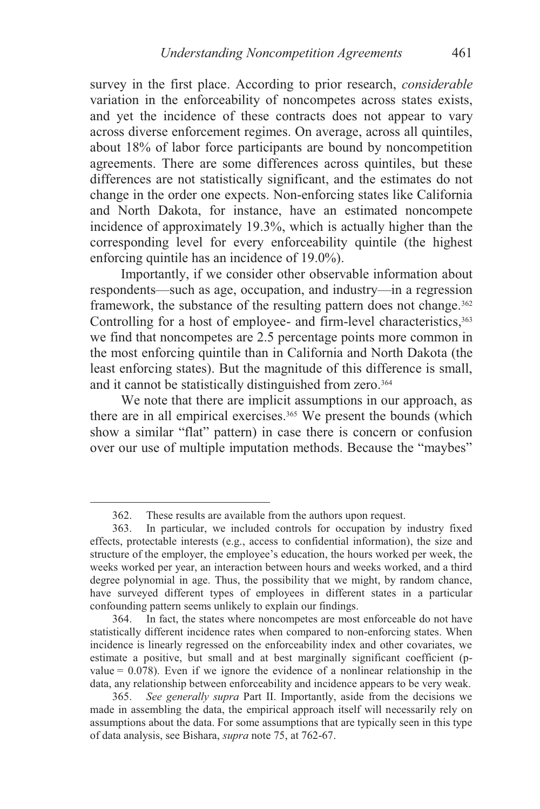survey in the first place. According to prior research, *considerable* variation in the enforceability of noncompetes across states exists, and yet the incidence of these contracts does not appear to vary across diverse enforcement regimes. On average, across all quintiles, about 18% of labor force participants are bound by noncompetition agreements. There are some differences across quintiles, but these differences are not statistically significant, and the estimates do not change in the order one expects. Non-enforcing states like California and North Dakota, for instance, have an estimated noncompete incidence of approximately 19.3%, which is actually higher than the corresponding level for every enforceability quintile (the highest enforcing quintile has an incidence of 19.0%).

Importantly, if we consider other observable information about respondents—such as age, occupation, and industry—in a regression framework, the substance of the resulting pattern does not change.<sup>362</sup> Controlling for a host of employee- and firm-level characteristics,<sup>363</sup> we find that noncompetes are 2.5 percentage points more common in the most enforcing quintile than in California and North Dakota (the least enforcing states). But the magnitude of this difference is small, and it cannot be statistically distinguished from zero.<sup>364</sup>

We note that there are implicit assumptions in our approach, as there are in all empirical exercises.365 We present the bounds (which show a similar "flat" pattern) in case there is concern or confusion over our use of multiple imputation methods. Because the "maybes"

<sup>362.</sup> These results are available from the authors upon request.<br>363. In particular, we included controls for occupation by

In particular, we included controls for occupation by industry fixed effects, protectable interests (e.g., access to confidential information), the size and structure of the employer, the employee's education, the hours worked per week, the weeks worked per year, an interaction between hours and weeks worked, and a third degree polynomial in age. Thus, the possibility that we might, by random chance, have surveyed different types of employees in different states in a particular confounding pattern seems unlikely to explain our findings.

 <sup>364.</sup> In fact, the states where noncompetes are most enforceable do not have statistically different incidence rates when compared to non-enforcing states. When incidence is linearly regressed on the enforceability index and other covariates, we estimate a positive, but small and at best marginally significant coefficient (pvalue  $= 0.078$ ). Even if we ignore the evidence of a nonlinear relationship in the data, any relationship between enforceability and incidence appears to be very weak.

<sup>365.</sup> *See generally supra* Part II. Importantly, aside from the decisions we made in assembling the data, the empirical approach itself will necessarily rely on assumptions about the data. For some assumptions that are typically seen in this type of data analysis, see Bishara, *supra* note 75, at 762-67.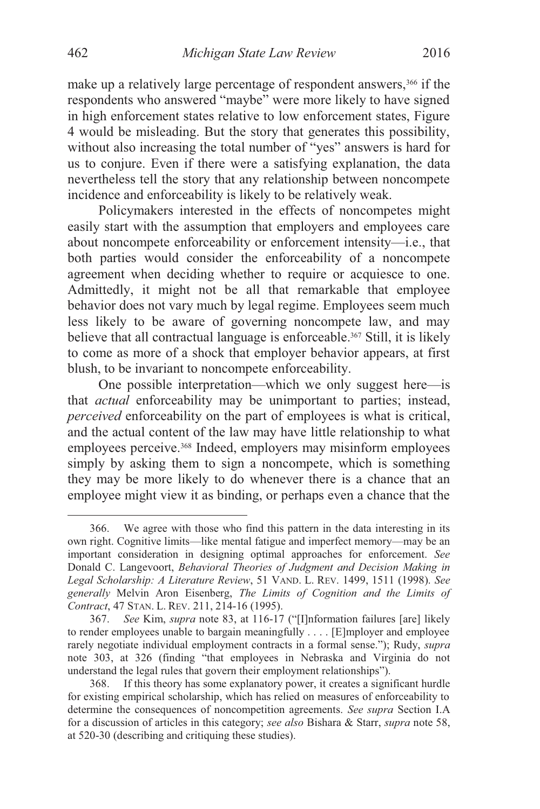make up a relatively large percentage of respondent answers,<sup>366</sup> if the respondents who answered "maybe" were more likely to have signed in high enforcement states relative to low enforcement states, Figure 4 would be misleading. But the story that generates this possibility, without also increasing the total number of "yes" answers is hard for us to conjure. Even if there were a satisfying explanation, the data nevertheless tell the story that any relationship between noncompete incidence and enforceability is likely to be relatively weak.

Policymakers interested in the effects of noncompetes might easily start with the assumption that employers and employees care about noncompete enforceability or enforcement intensity—i.e., that both parties would consider the enforceability of a noncompete agreement when deciding whether to require or acquiesce to one. Admittedly, it might not be all that remarkable that employee behavior does not vary much by legal regime. Employees seem much less likely to be aware of governing noncompete law, and may believe that all contractual language is enforceable.367 Still, it is likely to come as more of a shock that employer behavior appears, at first blush, to be invariant to noncompete enforceability.

One possible interpretation—which we only suggest here—is that *actual* enforceability may be unimportant to parties; instead, *perceived* enforceability on the part of employees is what is critical, and the actual content of the law may have little relationship to what employees perceive.<sup>368</sup> Indeed, employers may misinform employees simply by asking them to sign a noncompete, which is something they may be more likely to do whenever there is a chance that an employee might view it as binding, or perhaps even a chance that the

 <sup>366.</sup> We agree with those who find this pattern in the data interesting in its own right. Cognitive limits—like mental fatigue and imperfect memory—may be an important consideration in designing optimal approaches for enforcement. *See*  Donald C. Langevoort, *Behavioral Theories of Judgment and Decision Making in Legal Scholarship: A Literature Review*, 51 VAND. L. REV. 1499, 1511 (1998). *See generally* Melvin Aron Eisenberg, *The Limits of Cognition and the Limits of Contract*, 47 STAN. L. REV. 211, 214-16 (1995).

<sup>367.</sup> *See* Kim, *supra* note 83, at 116-17 ("[I]nformation failures [are] likely to render employees unable to bargain meaningfully . . . . [E]mployer and employee rarely negotiate individual employment contracts in a formal sense."); Rudy, *supra* note 303, at 326 (finding "that employees in Nebraska and Virginia do not understand the legal rules that govern their employment relationships").

 <sup>368.</sup> If this theory has some explanatory power, it creates a significant hurdle for existing empirical scholarship, which has relied on measures of enforceability to determine the consequences of noncompetition agreements. *See supra* Section I.A for a discussion of articles in this category; *see also* Bishara & Starr, *supra* note 58, at 520-30 (describing and critiquing these studies).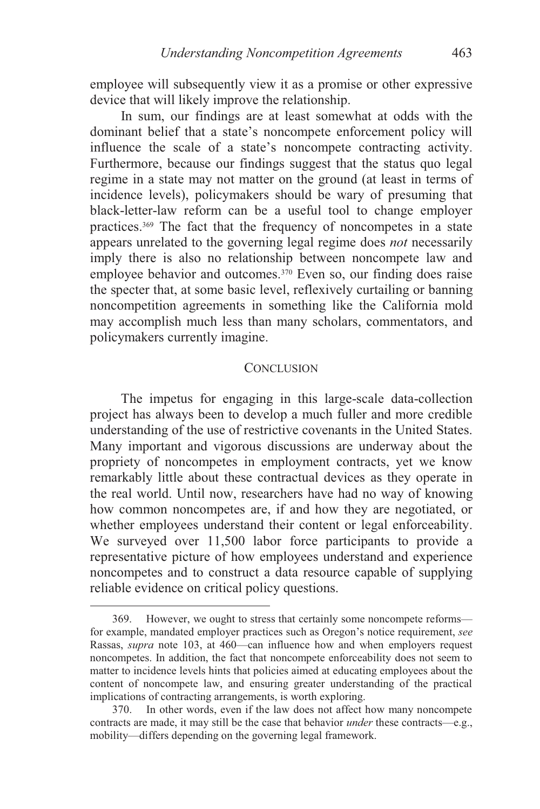employee will subsequently view it as a promise or other expressive device that will likely improve the relationship.

In sum, our findings are at least somewhat at odds with the dominant belief that a state's noncompete enforcement policy will influence the scale of a state's noncompete contracting activity. Furthermore, because our findings suggest that the status quo legal regime in a state may not matter on the ground (at least in terms of incidence levels), policymakers should be wary of presuming that black-letter-law reform can be a useful tool to change employer practices.369 The fact that the frequency of noncompetes in a state appears unrelated to the governing legal regime does *not* necessarily imply there is also no relationship between noncompete law and employee behavior and outcomes.<sup>370</sup> Even so, our finding does raise the specter that, at some basic level, reflexively curtailing or banning noncompetition agreements in something like the California mold may accomplish much less than many scholars, commentators, and policymakers currently imagine.

### **CONCLUSION**

The impetus for engaging in this large-scale data-collection project has always been to develop a much fuller and more credible understanding of the use of restrictive covenants in the United States. Many important and vigorous discussions are underway about the propriety of noncompetes in employment contracts, yet we know remarkably little about these contractual devices as they operate in the real world. Until now, researchers have had no way of knowing how common noncompetes are, if and how they are negotiated, or whether employees understand their content or legal enforceability. We surveyed over 11,500 labor force participants to provide a representative picture of how employees understand and experience noncompetes and to construct a data resource capable of supplying reliable evidence on critical policy questions.

 <sup>369.</sup> However, we ought to stress that certainly some noncompete reforms for example, mandated employer practices such as Oregon's notice requirement, *see*  Rassas, *supra* note 103, at 460—can influence how and when employers request noncompetes. In addition, the fact that noncompete enforceability does not seem to matter to incidence levels hints that policies aimed at educating employees about the content of noncompete law, and ensuring greater understanding of the practical implications of contracting arrangements, is worth exploring.

 <sup>370.</sup> In other words, even if the law does not affect how many noncompete contracts are made, it may still be the case that behavior *under* these contracts—e.g., mobility—differs depending on the governing legal framework.